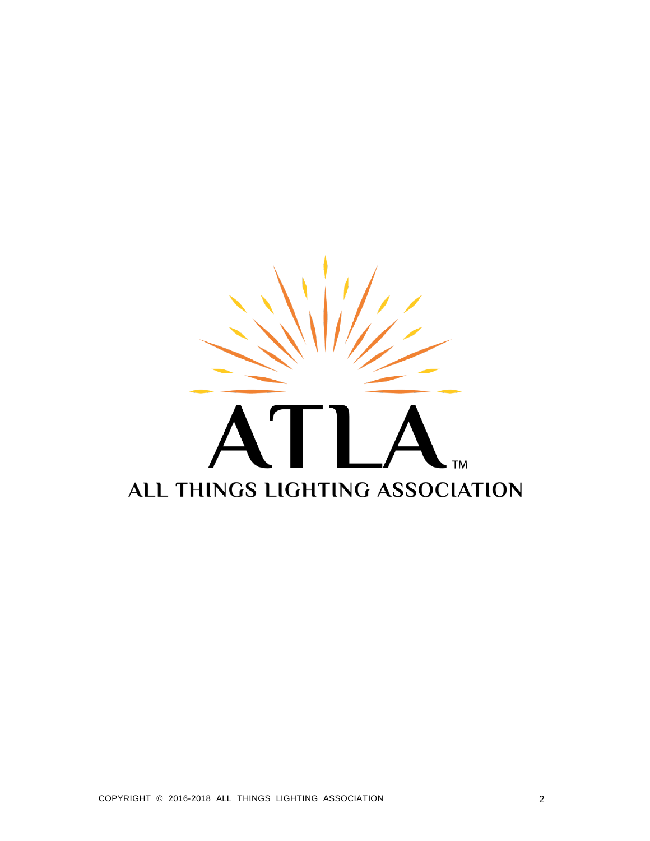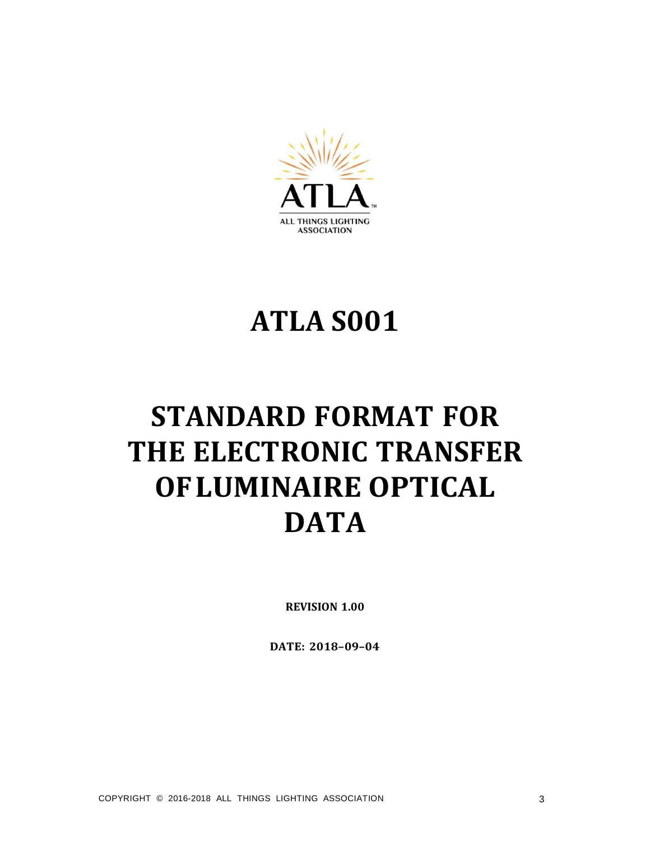

# **ATLA S001**

# **STANDARD FORMAT FOR THE ELECTRONIC TRANSFER OFLUMINAIRE OPTICAL DATA**

**REVISION 1.00**

**DATE: 2018–09–04**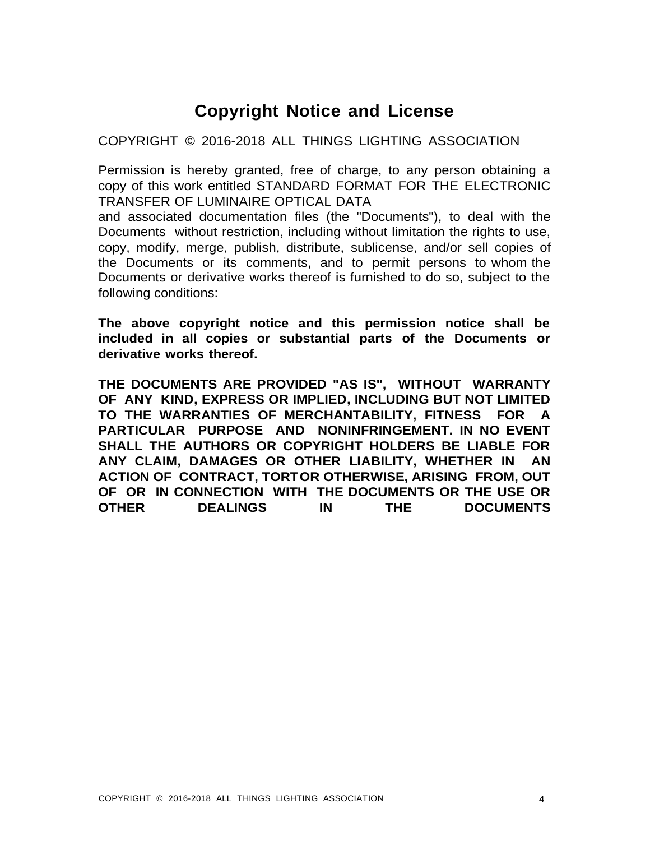# **Copyright Notice and License**

COPYRIGHT © 2016-2018 ALL THINGS LIGHTING ASSOCIATION

Permission is hereby granted, free of charge, to any person obtaining a copy of this work entitled STANDARD FORMAT FOR THE ELECTRONIC TRANSFER OF LUMINAIRE OPTICAL DATA

and associated documentation files (the "Documents"), to deal with the Documents without restriction, including without limitation the rights to use, copy, modify, merge, publish, distribute, sublicense, and/or sell copies of the Documents or its comments, and to permit persons to whom the Documents or derivative works thereof is furnished to do so, subject to the following conditions:

**The above copyright notice and this permission notice shall be included in all copies or substantial parts of the Documents or derivative works thereof.**

**THE DOCUMENTS ARE PROVIDED "AS IS", WITHOUT WARRANTY OF ANY KIND, EXPRESS OR IMPLIED, INCLUDING BUT NOT LIMITED TO THE WARRANTIES OF MERCHANTABILITY, FITNESS FOR A PARTICULAR PURPOSE AND NONINFRINGEMENT. IN NO EVENT SHALL THE AUTHORS OR COPYRIGHT HOLDERS BE LIABLE FOR ANY CLAIM, DAMAGES OR OTHER LIABILITY, WHETHER IN AN ACTION OF CONTRACT, TORTOR OTHERWISE, ARISING FROM, OUT OF OR IN CONNECTION WITH THE DOCUMENTS OR THE USE OR OTHER DEALINGS IN THE DOCUMENTS**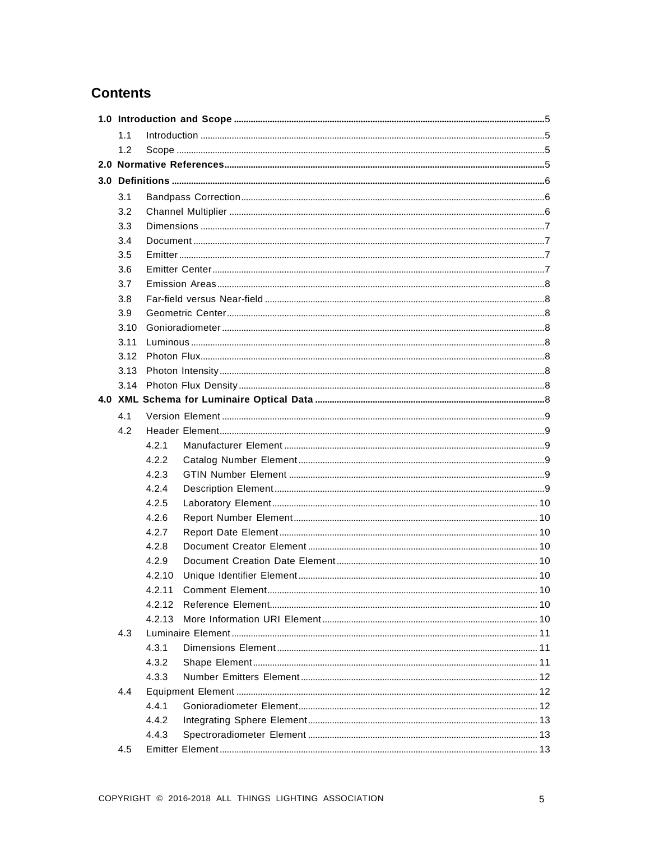# **Contents**

| 1.1  |        |  |  |  |
|------|--------|--|--|--|
| 1.2  |        |  |  |  |
|      |        |  |  |  |
|      |        |  |  |  |
| 3.1  |        |  |  |  |
| 3.2  |        |  |  |  |
| 3.3  |        |  |  |  |
| 3.4  |        |  |  |  |
| 3.5  |        |  |  |  |
| 3.6  |        |  |  |  |
| 3.7  |        |  |  |  |
| 3.8  |        |  |  |  |
| 3.9  |        |  |  |  |
| 3.10 |        |  |  |  |
| 3.11 |        |  |  |  |
| 3.12 |        |  |  |  |
| 3.13 |        |  |  |  |
|      |        |  |  |  |
|      |        |  |  |  |
| 4.1  |        |  |  |  |
| 4.2  |        |  |  |  |
|      | 4.2.1  |  |  |  |
|      | 4.2.2  |  |  |  |
|      | 4.2.3  |  |  |  |
|      | 4.2.4  |  |  |  |
|      | 4.2.5  |  |  |  |
|      | 4.2.6  |  |  |  |
|      | 4.2.7  |  |  |  |
|      | 4.2.8  |  |  |  |
|      | 4.2.9  |  |  |  |
|      | 4.2.10 |  |  |  |
|      | 4.2.12 |  |  |  |
|      | 4.2.13 |  |  |  |
| 4.3  |        |  |  |  |
|      | 4.3.1  |  |  |  |
|      | 4.3.2  |  |  |  |
|      | 4.3.3  |  |  |  |
| 4.4  |        |  |  |  |
|      | 4.4.1  |  |  |  |
|      | 4.4.2  |  |  |  |
|      | 4.4.3  |  |  |  |
| 4.5  |        |  |  |  |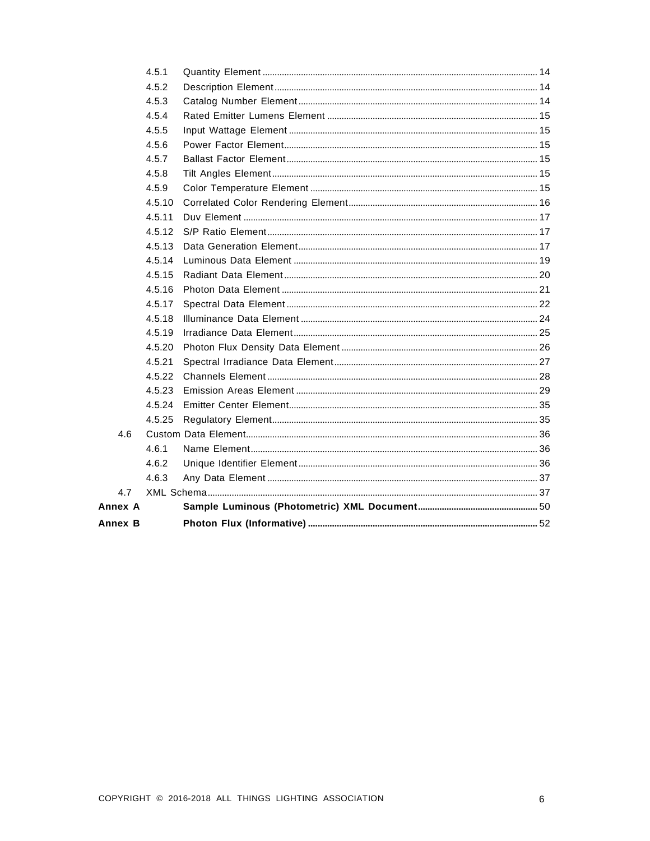| Annex B |        |  |
|---------|--------|--|
| Annex A |        |  |
| 4.7     |        |  |
|         | 4.6.3  |  |
|         | 4.6.2  |  |
|         | 4.6.1  |  |
| 4.6     |        |  |
|         | 4.5.25 |  |
|         | 4.5.24 |  |
|         | 4.5.23 |  |
|         | 4.5.22 |  |
|         | 4.5.21 |  |
|         | 4.5.20 |  |
|         | 4.5.19 |  |
|         | 4.5.18 |  |
|         | 4.5.17 |  |
|         | 4.5.16 |  |
|         | 4.5.15 |  |
|         | 4.5.14 |  |
|         | 4.5.13 |  |
|         | 4.5.12 |  |
|         | 4.5.11 |  |
|         | 4.5.10 |  |
|         | 4.5.9  |  |
|         | 4.5.8  |  |
|         | 4.5.7  |  |
|         | 4.5.6  |  |
|         | 4.5.5  |  |
|         | 4.5.4  |  |
|         | 4.5.3  |  |
|         | 4.5.2  |  |
|         | 4.5.1  |  |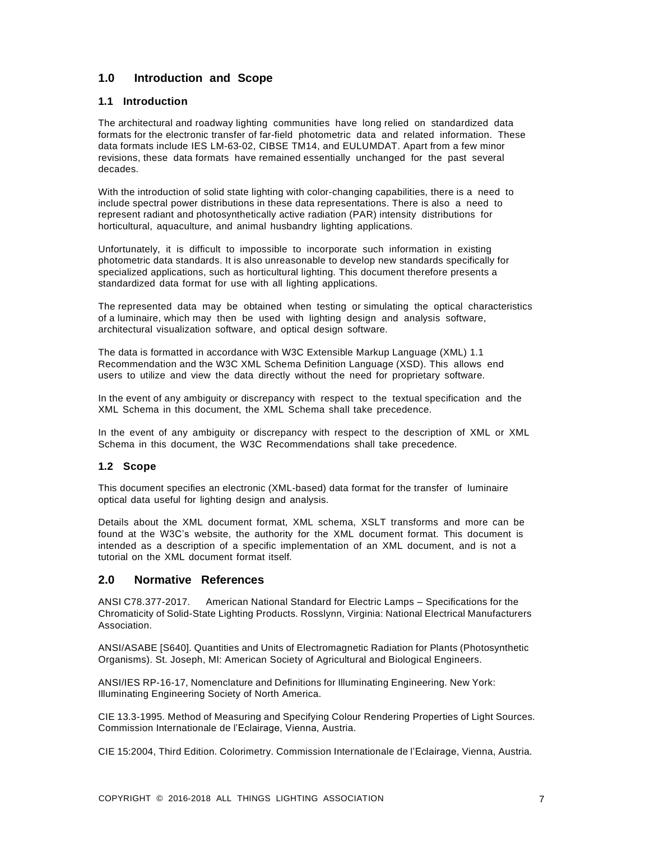# <span id="page-5-0"></span>**1.0 Introduction and Scope**

# <span id="page-5-1"></span>**1.1 Introduction**

The architectural and roadway lighting communities have long relied on standardized data formats for the electronic transfer of far-field photometric data and related information. These data formats include IES LM-63-02, CIBSE TM14, and EULUMDAT. Apart from a few minor revisions, these data formats have remained essentially unchanged for the past several decades.

With the introduction of solid state lighting with color-changing capabilities, there is a need to include spectral power distributions in these data representations. There is also a need to represent radiant and photosynthetically active radiation (PAR) intensity distributions for horticultural, aquaculture, and animal husbandry lighting applications.

Unfortunately, it is difficult to impossible to incorporate such information in existing photometric data standards. It is also unreasonable to develop new standards specifically for specialized applications, such as horticultural lighting. This document therefore presents a standardized data format for use with all lighting applications.

The represented data may be obtained when testing or simulating the optical characteristics of a luminaire, which may then be used with lighting design and analysis software, architectural visualization software, and optical design software.

The data is formatted in accordance with W3C Extensible Markup Language (XML) 1.1 Recommendation and the W3C XML Schema Definition Language (XSD). This allows end users to utilize and view the data directly without the need for proprietary software.

In the event of any ambiguity or discrepancy with respect to the textual specification and the XML Schema in this document, the XML Schema shall take precedence.

In the event of any ambiguity or discrepancy with respect to the description of XML or XML Schema in this document, the W3C Recommendations shall take precedence.

# <span id="page-5-2"></span>**1.2 Scope**

This document specifies an electronic (XML-based) data format for the transfer of luminaire optical data useful for lighting design and analysis.

Details about the XML document format, XML schema, XSLT transforms and more can be found at the W3C's website, the authority for the XML document format. This document is intended as a description of a specific implementation of an XML document, and is not a tutorial on the XML document format itself.

# <span id="page-5-3"></span>**2.0 Normative References**

ANSI C78.377-2017. American National Standard for Electric Lamps – Specifications for the Chromaticity of Solid-State Lighting Products. Rosslynn, Virginia: National Electrical Manufacturers Association.

ANSI/ASABE [S640]. Quantities and Units of Electromagnetic Radiation for Plants (Photosynthetic Organisms). St. Joseph, MI: American Society of Agricultural and Biological Engineers.

ANSI/IES RP-16-17, Nomenclature and Definitions for Illuminating Engineering. New York: Illuminating Engineering Society of North America.

CIE 13.3-1995. Method of Measuring and Specifying Colour Rendering Properties of Light Sources. Commission Internationale de l'Eclairage, Vienna, Austria.

CIE 15:2004, Third Edition. Colorimetry. Commission Internationale de l'Eclairage, Vienna, Austria.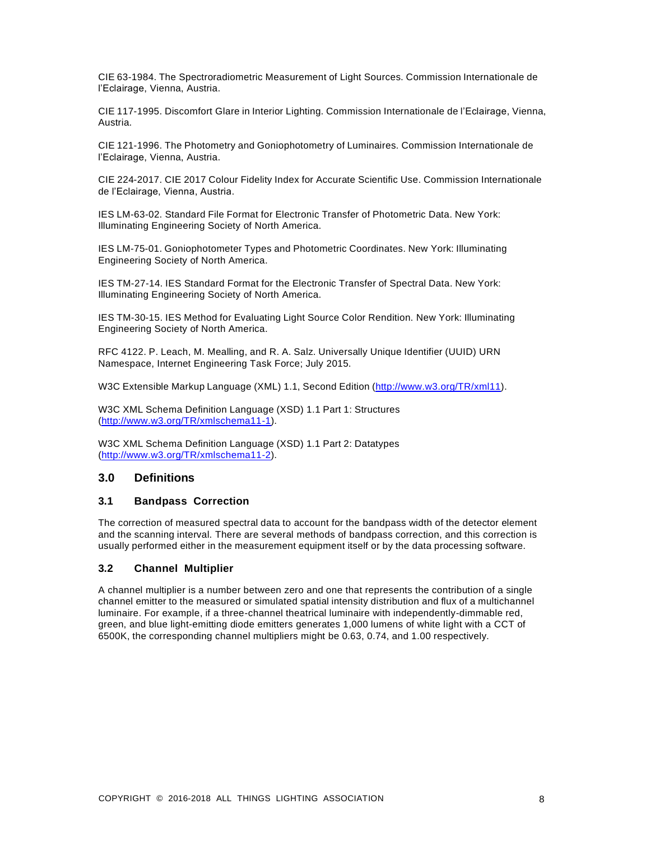CIE 63-1984. The Spectroradiometric Measurement of Light Sources. Commission Internationale de l'Eclairage, Vienna, Austria.

CIE 117-1995. Discomfort Glare in Interior Lighting. Commission Internationale de l'Eclairage, Vienna, Austria.

CIE 121-1996. The Photometry and Goniophotometry of Luminaires. Commission Internationale de l'Eclairage, Vienna, Austria.

CIE 224-2017. CIE 2017 Colour Fidelity Index for Accurate Scientific Use. Commission Internationale de l'Eclairage, Vienna, Austria.

IES LM-63-02. Standard File Format for Electronic Transfer of Photometric Data. New York: Illuminating Engineering Society of North America.

IES LM-75-01. Goniophotometer Types and Photometric Coordinates. New York: Illuminating Engineering Society of North America.

IES TM-27-14. IES Standard Format for the Electronic Transfer of Spectral Data. New York: Illuminating Engineering Society of North America.

IES TM-30-15. IES Method for Evaluating Light Source Color Rendition. New York: Illuminating Engineering Society of North America.

RFC 4122. P. Leach, M. Mealling, and R. A. Salz. Universally Unique Identifier (UUID) URN Namespace, Internet Engineering Task Force; July 2015.

W3C Extensible Markup Language (XML) 1.1, Second Edition [\(http://www.w3.org/TR/xml11\).](http://www.w3.org/TR/xml11))

W3C XML Schema Definition Language (XSD) 1.1 Part 1: Structures [\(http://www.w3.org/TR/xmlschema11-1\).](http://www.w3.org/TR/xmlschema11-1))

W3C XML Schema Definition Language (XSD) 1.1 Part 2: Datatypes [\(http://www.w3.org/TR/xmlschema11-2\).](http://www.w3.org/TR/xmlschema11-2))

# <span id="page-6-0"></span>**3.0 Definitions**

# <span id="page-6-1"></span>**3.1 Bandpass Correction**

The correction of measured spectral data to account for the bandpass width of the detector element and the scanning interval. There are several methods of bandpass correction, and this correction is usually performed either in the measurement equipment itself or by the data processing software.

# <span id="page-6-2"></span>**3.2 Channel Multiplier**

A channel multiplier is a number between zero and one that represents the contribution of a single channel emitter to the measured or simulated spatial intensity distribution and flux of a multichannel luminaire. For example, if a three-channel theatrical luminaire with independently-dimmable red, green, and blue light-emitting diode emitters generates 1,000 lumens of white light with a CCT of 6500K, the corresponding channel multipliers might be 0.63, 0.74, and 1.00 respectively.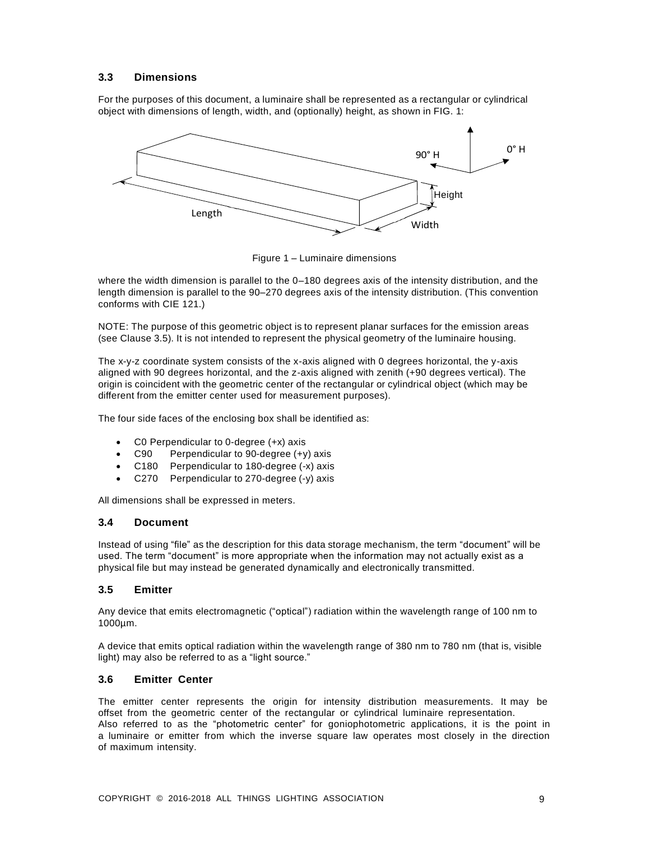# <span id="page-7-0"></span>**3.3 Dimensions**

For the purposes of this document, a luminaire shall be represented as a rectangular or cylindrical object with dimensions of length, width, and (optionally) height, as shown in FIG. 1:



Figure 1 – Luminaire dimensions

where the width dimension is parallel to the 0–180 degrees axis of the intensity distribution, and the length dimension is parallel to the 90–270 degrees axis of the intensity distribution. (This convention conforms with CIE 121.)

NOTE: The purpose of this geometric object is to represent planar surfaces for the emission areas (see Clause 3.5). It is not intended to represent the physical geometry of the luminaire housing.

The x-y-z coordinate system consists of the x-axis aligned with 0 degrees horizontal, the y-axis aligned with 90 degrees horizontal, and the z-axis aligned with zenith (+90 degrees vertical). The origin is coincident with the geometric center of the rectangular or cylindrical object (which may be different from the emitter center used for measurement purposes).

The four side faces of the enclosing box shall be identified as:

- C0 Perpendicular to 0-degree (+x) axis
- C90 Perpendicular to 90-degree (+y) axis
- C180 Perpendicular to 180-degree (-x) axis
- C270 Perpendicular to 270-degree (-y) axis

All dimensions shall be expressed in meters.

# <span id="page-7-1"></span>**3.4 Document**

Instead of using "file" as the description for this data storage mechanism, the term "document" will be used. The term "document" is more appropriate when the information may not actually exist as a physical file but may instead be generated dynamically and electronically transmitted.

# <span id="page-7-2"></span>**3.5 Emitter**

Any device that emits electromagnetic ("optical") radiation within the wavelength range of 100 nm to 1000µm.

A device that emits optical radiation within the wavelength range of 380 nm to 780 nm (that is, visible light) may also be referred to as a "light source."

# <span id="page-7-3"></span>**3.6 Emitter Center**

The emitter center represents the origin for intensity distribution measurements. It may be offset from the geometric center of the rectangular or cylindrical luminaire representation. Also referred to as the "photometric center" for goniophotometric applications, it is the point in a luminaire or emitter from which the inverse square law operates most closely in the direction of maximum intensity.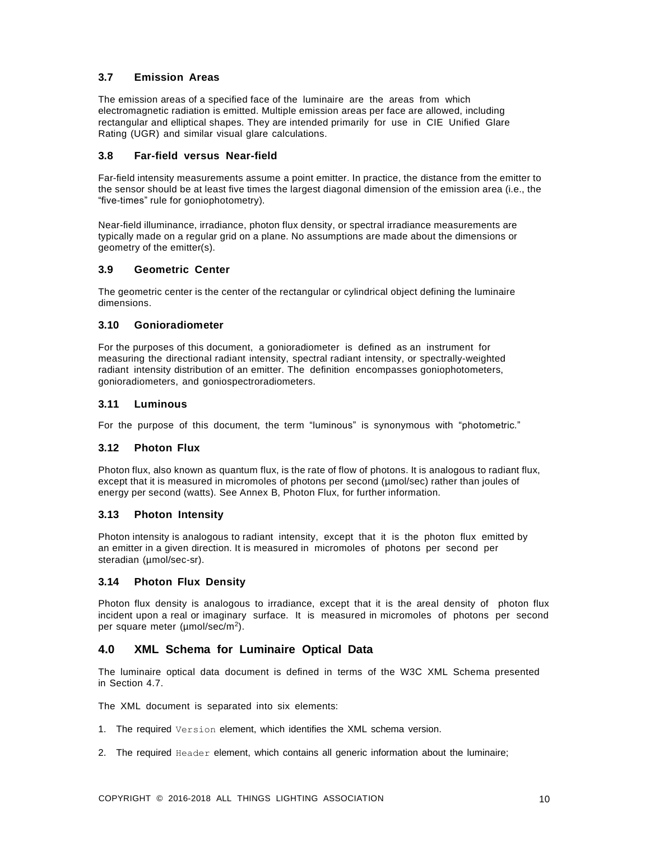# <span id="page-8-0"></span>**3.7 Emission Areas**

The emission areas of a specified face of the luminaire are the areas from which electromagnetic radiation is emitted. Multiple emission areas per face are allowed, including rectangular and elliptical shapes. They are intended primarily for use in CIE Unified Glare Rating (UGR) and similar visual glare calculations.

# <span id="page-8-1"></span>**3.8 Far-field versus Near-field**

Far-field intensity measurements assume a point emitter. In practice, the distance from the emitter to the sensor should be at least five times the largest diagonal dimension of the emission area (i.e., the "five-times" rule for goniophotometry).

Near-field illuminance, irradiance, photon flux density, or spectral irradiance measurements are typically made on a regular grid on a plane. No assumptions are made about the dimensions or geometry of the emitter(s).

# <span id="page-8-2"></span>**3.9 Geometric Center**

The geometric center is the center of the rectangular or cylindrical object defining the luminaire dimensions.

# <span id="page-8-3"></span>**3.10 Gonioradiometer**

For the purposes of this document, a gonioradiometer is defined as an instrument for measuring the directional radiant intensity, spectral radiant intensity, or spectrally-weighted radiant intensity distribution of an emitter. The definition encompasses goniophotometers, gonioradiometers, and goniospectroradiometers.

# <span id="page-8-4"></span>**3.11 Luminous**

For the purpose of this document, the term "luminous" is synonymous with "photometric."

# <span id="page-8-5"></span>**3.12 Photon Flux**

Photon flux, also known as quantum flux, is the rate of flow of photons. It is analogous to radiant flux, except that it is measured in micromoles of photons per second (µmol/sec) rather than joules of energy per second (watts). See Annex B, Photon Flux, for further information.

# <span id="page-8-6"></span>**3.13 Photon Intensity**

Photon intensity is analogous to radiant intensity, except that it is the photon flux emitted by an emitter in a given direction. It is measured in micromoles of photons per second per steradian (µmol/sec-sr).

# <span id="page-8-7"></span>**3.14 Photon Flux Density**

Photon flux density is analogous to irradiance, except that it is the areal density of photon flux incident upon a real or imaginary surface. It is measured in micromoles of photons per second per square meter (µmol/sec/m<sup>2</sup>).

# <span id="page-8-8"></span>**4.0 XML Schema for Luminaire Optical Data**

The luminaire optical data document is defined in terms of the W3C XML Schema presented in Section 4.7.

The XML document is separated into six elements:

- 1. The required Version element, which identifies the XML schema version.
- 2. The required Header element, which contains all generic information about the luminaire;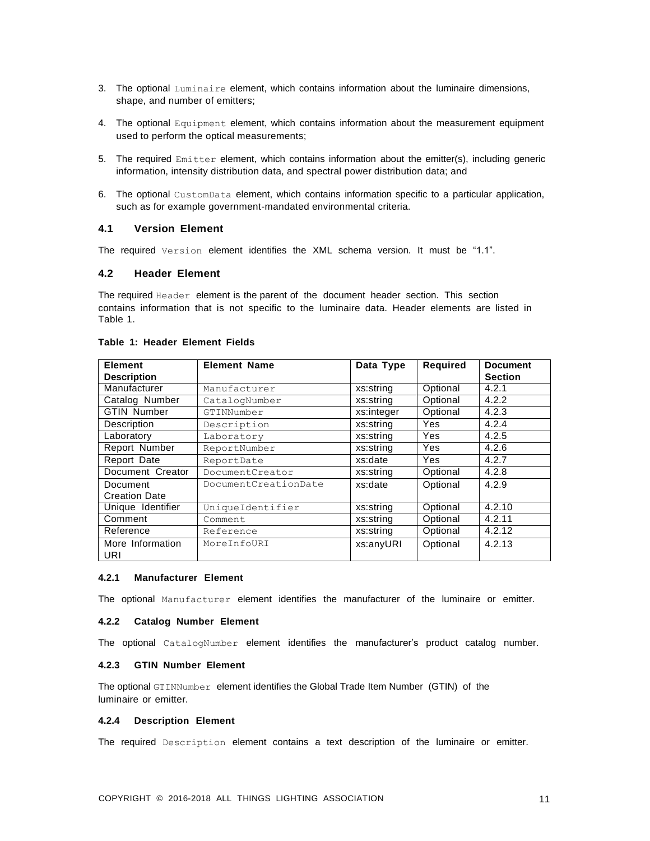- 3. The optional Luminaire element, which contains information about the luminaire dimensions, shape, and number of emitters;
- 4. The optional Equipment element, which contains information about the measurement equipment used to perform the optical measurements;
- 5. The required Emitter element, which contains information about the emitter(s), including generic information, intensity distribution data, and spectral power distribution data; and
- 6. The optional CustomData element, which contains information specific to a particular application, such as for example government-mandated environmental criteria.

# <span id="page-9-0"></span>**4.1 Version Element**

<span id="page-9-1"></span>The required Version element identifies the XML schema version. It must be "1.1".

# **4.2 Header Element**

The required Header element is the parent of the document header section. This section contains information that is not specific to the luminaire data. Header elements are listed in Table 1.

| <b>Element</b>          | <b>Element Name</b>  | Data Type  | Required   | <b>Document</b> |
|-------------------------|----------------------|------------|------------|-----------------|
| <b>Description</b>      |                      |            |            | <b>Section</b>  |
| Manufacturer            | Manufacturer         | xs:string  | Optional   | 4.2.1           |
| Catalog Number          | CatalogNumber        | xs:string  | Optional   | 4.2.2           |
| <b>GTIN Number</b>      | GTINNumber           | xs:integer | Optional   | 4.2.3           |
| Description             | Description          | xs:string  | <b>Yes</b> | 4.2.4           |
| Laboratory              | Laboratory           | xs:string  | <b>Yes</b> | 4.2.5           |
| Report Number           | ReportNumber         | xs:string  | <b>Yes</b> | 4.2.6           |
| <b>Report Date</b>      | ReportDate           | xs:date    | <b>Yes</b> | 4.2.7           |
| Document Creator        | DocumentCreator      | xs:string  | Optional   | 4.2.8           |
| Document                | DocumentCreationDate | xs:date    | Optional   | 4.2.9           |
| <b>Creation Date</b>    |                      |            |            |                 |
| Unique Identifier       | UniqueIdentifier     | xs:string  | Optional   | 4.2.10          |
| Comment                 | Comment              | xs:string  | Optional   | 4.2.11          |
| Reference               | Reference            | xs:string  | Optional   | 4.2.12          |
| More Information<br>URI | MoreInfoURI          | xs:anyURI  | Optional   | 4.2.13          |

#### **Table 1: Header Element Fields**

#### <span id="page-9-2"></span>**4.2.1 Manufacturer Element**

<span id="page-9-3"></span>The optional Manufacturer element identifies the manufacturer of the luminaire or emitter.

#### **4.2.2 Catalog Number Element**

The optional CatalogNumber element identifies the manufacturer's product catalog number.

# <span id="page-9-4"></span>**4.2.3 GTIN Number Element**

The optional GTINNumber element identifies the Global Trade Item Number (GTIN) of the luminaire or emitter.

#### <span id="page-9-5"></span>**4.2.4 Description Element**

The required Description element contains a text description of the luminaire or emitter.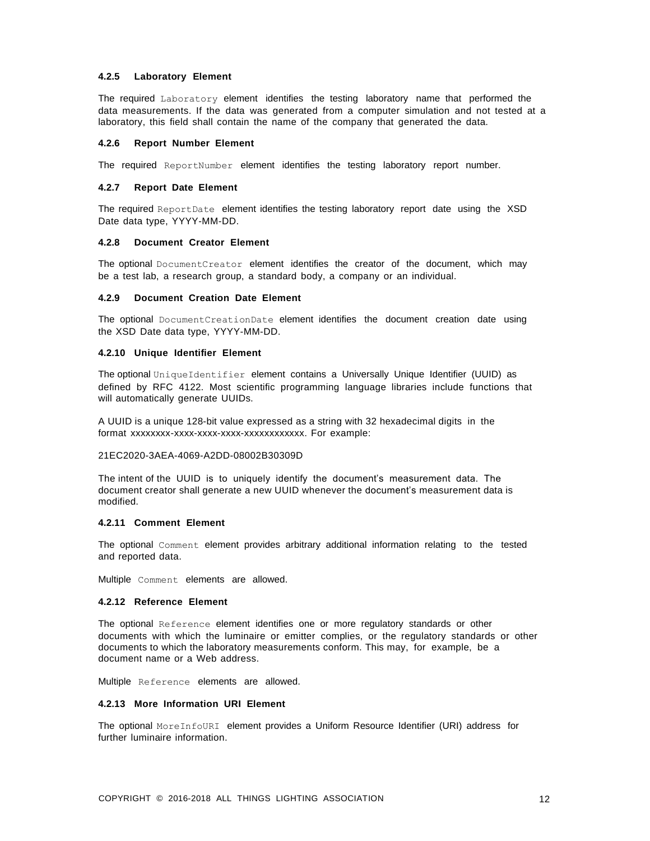#### <span id="page-10-0"></span>**4.2.5 Laboratory Element**

The required Laboratory element identifies the testing laboratory name that performed the data measurements. If the data was generated from a computer simulation and not tested at a laboratory, this field shall contain the name of the company that generated the data.

#### <span id="page-10-1"></span>**4.2.6 Report Number Element**

The required ReportNumber element identifies the testing laboratory report number.

#### <span id="page-10-2"></span>**4.2.7 Report Date Element**

The required ReportDate element identifies the testing laboratory report date using the XSD Date data type, YYYY-MM-DD.

#### <span id="page-10-3"></span>**4.2.8 Document Creator Element**

The optional DocumentCreator element identifies the creator of the document, which may be a test lab, a research group, a standard body, a company or an individual.

# <span id="page-10-4"></span>**4.2.9 Document Creation Date Element**

The optional DocumentCreationDate element identifies the document creation date using the XSD Date data type, YYYY-MM-DD.

#### <span id="page-10-5"></span>**4.2.10 Unique Identifier Element**

The optional UniqueIdentifier element contains a Universally Unique Identifier (UUID) as defined by RFC 4122. Most scientific programming language libraries include functions that will automatically generate UUIDs.

A UUID is a unique 128-bit value expressed as a string with 32 hexadecimal digits in the format xxxxxxxx-xxxx-xxxx-xxxx-xxxxxxxxxxxx. For example:

## 21EC2020-3AEA-4069-A2DD-08002B30309D

The intent of the UUID is to uniquely identify the document's measurement data. The document creator shall generate a new UUID whenever the document's measurement data is modified.

# <span id="page-10-6"></span>**4.2.11 Comment Element**

The optional Comment element provides arbitrary additional information relating to the tested and reported data.

<span id="page-10-7"></span>Multiple Comment elements are allowed.

#### **4.2.12 Reference Element**

The optional Reference element identifies one or more regulatory standards or other documents with which the luminaire or emitter complies, or the regulatory standards or other documents to which the laboratory measurements conform. This may, for example, be a document name or a Web address.

<span id="page-10-8"></span>Multiple Reference elements are allowed.

#### **4.2.13 More Information URI Element**

The optional MoreInfoURI element provides a Uniform Resource Identifier (URI) address for further luminaire information.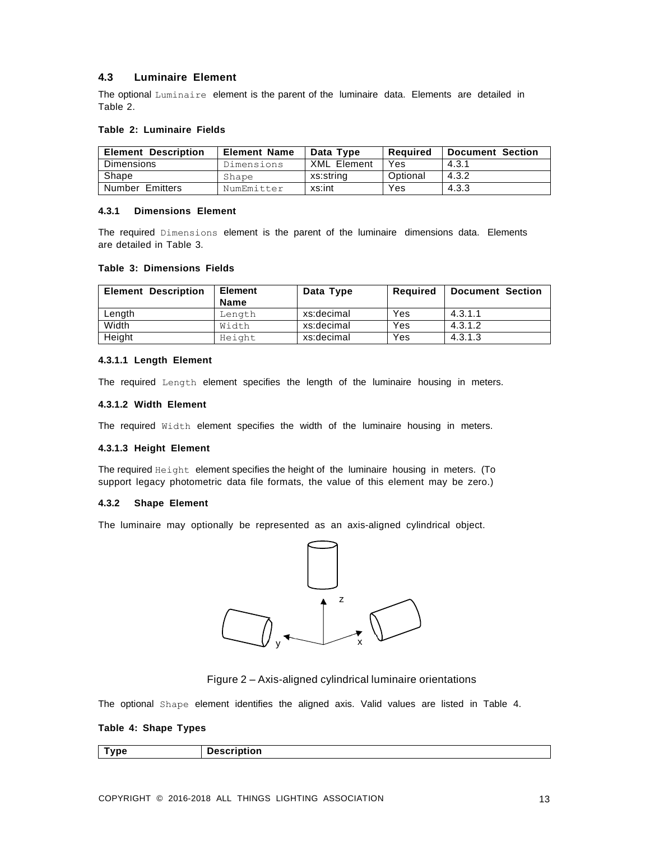# <span id="page-11-0"></span>**4.3 Luminaire Element**

The optional Luminaire element is the parent of the luminaire data. Elements are detailed in Table 2.

# **Table 2: Luminaire Fields**

| <b>Element Description</b> | <b>Element Name</b> | Data Type   | Reauired | <b>Document Section</b> |
|----------------------------|---------------------|-------------|----------|-------------------------|
| Dimensions                 | Dimensions          | XML Element | Yes      | 4.3.1                   |
| Shape                      | Shape               | xs:string   | Optional | 4.3.2                   |
| Number Emitters            | NumEmitter          | xs:int      | Yes      | 4.3.3                   |

# <span id="page-11-1"></span>**4.3.1 Dimensions Element**

The required Dimensions element is the parent of the luminaire dimensions data. Elements are detailed in Table 3.

#### **Table 3: Dimensions Fields**

| <b>Element Description</b> | <b>Element</b> | Data Type  | Required | Document Section |
|----------------------------|----------------|------------|----------|------------------|
|                            | <b>Name</b>    |            |          |                  |
| Length                     | Length         | xs:decimal | Yes      | 4.3.1.1          |
| Width                      | Width          | xs:decimal | Yes      | 4.3.1.2          |
| Height                     | Height         | xs:decimal | Yes      | 4.3.1.3          |

#### **4.3.1.1 Length Element**

The required Length element specifies the length of the luminaire housing in meters.

# **4.3.1.2 Width Element**

The required Width element specifies the width of the luminaire housing in meters.

#### **4.3.1.3 Height Element**

The required Height element specifies the height of the luminaire housing in meters. (To support legacy photometric data file formats, the value of this element may be zero.)

# <span id="page-11-2"></span>**4.3.2 Shape Element**

The luminaire may optionally be represented as an axis-aligned cylindrical object.



# Figure 2 – Axis-aligned cylindrical luminaire orientations

The optional Shape element identifies the aligned axis. Valid values are listed in Table 4.

#### **Table 4: Shape Types**

| . | Nescrintion<br>υτισπ<br><br>. . |
|---|---------------------------------|
|   |                                 |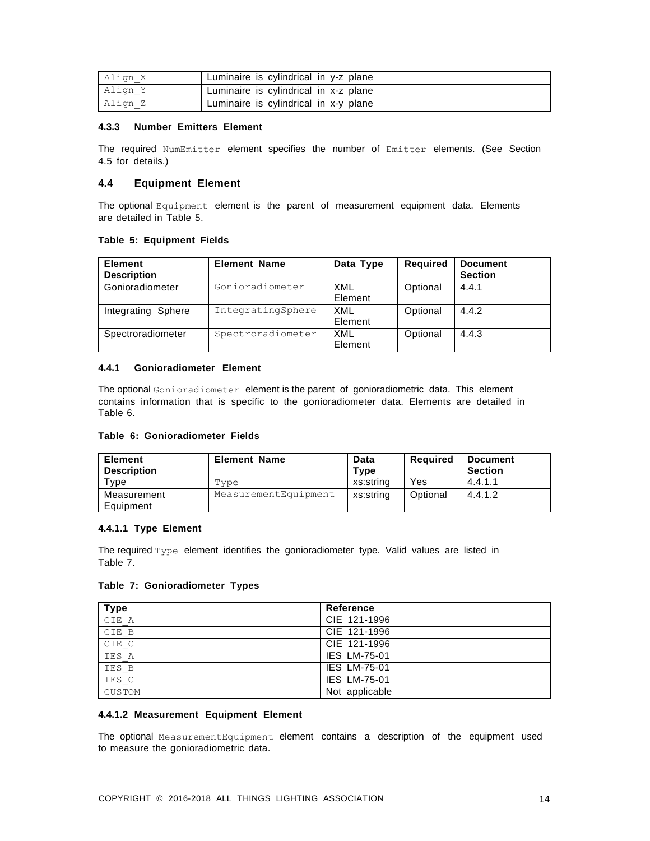| Align X | Luminaire is cylindrical in y-z plane |
|---------|---------------------------------------|
| Align Y | Luminaire is cylindrical in x-z plane |
| Align Z | Luminaire is cylindrical in x-y plane |

# <span id="page-12-0"></span>**4.3.3 Number Emitters Element**

The required NumEmitter element specifies the number of Emitter elements. (See Section 4.5 for details.)

# <span id="page-12-1"></span>**4.4 Equipment Element**

The optional Equipment element is the parent of measurement equipment data. Elements are detailed in Table 5.

# **Table 5: Equipment Fields**

| Element<br><b>Description</b> | <b>Element Name</b> | Data Type             | Required | <b>Document</b><br><b>Section</b> |
|-------------------------------|---------------------|-----------------------|----------|-----------------------------------|
| Gonioradiometer               | Gonioradiometer     | XML<br>Element        | Optional | 4.4.1                             |
| Integrating Sphere            | IntegratingSphere   | XML<br>Element        | Optional | 4.4.2                             |
| Spectroradiometer             | Spectroradiometer   | <b>XML</b><br>Element | Optional | 4.4.3                             |

# <span id="page-12-2"></span>**4.4.1 Gonioradiometer Element**

The optional Gonioradiometer element is the parent of gonioradiometric data. This element contains information that is specific to the gonioradiometer data. Elements are detailed in Table 6.

# **Table 6: Gonioradiometer Fields**

| Element<br><b>Description</b> | <b>Element Name</b>  | Data<br>Type | Reguired | <b>Document</b><br><b>Section</b> |
|-------------------------------|----------------------|--------------|----------|-----------------------------------|
| Type                          | Type                 | xs:string    | Yes      | 4.4.1.1                           |
| Measurement                   | MeasurementEquipment | xs:string    | Optional | 4.4.1.2                           |
| Equipment                     |                      |              |          |                                   |

# **4.4.1.1 Type Element**

The required Type element identifies the gonioradiometer type. Valid values are listed in Table 7.

# **Table 7: Gonioradiometer Types**

| <b>Type</b> | Reference           |
|-------------|---------------------|
| CIE A       | CIE 121-1996        |
| CIE B       | CIE 121-1996        |
| CIE C       | CIE 121-1996        |
| IES A       | <b>IES LM-75-01</b> |
| IES B       | <b>IES LM-75-01</b> |
| IES C       | <b>IES LM-75-01</b> |
| CUSTOM      | Not applicable      |

# **4.4.1.2 Measurement Equipment Element**

The optional MeasurementEquipment element contains a description of the equipment used to measure the gonioradiometric data.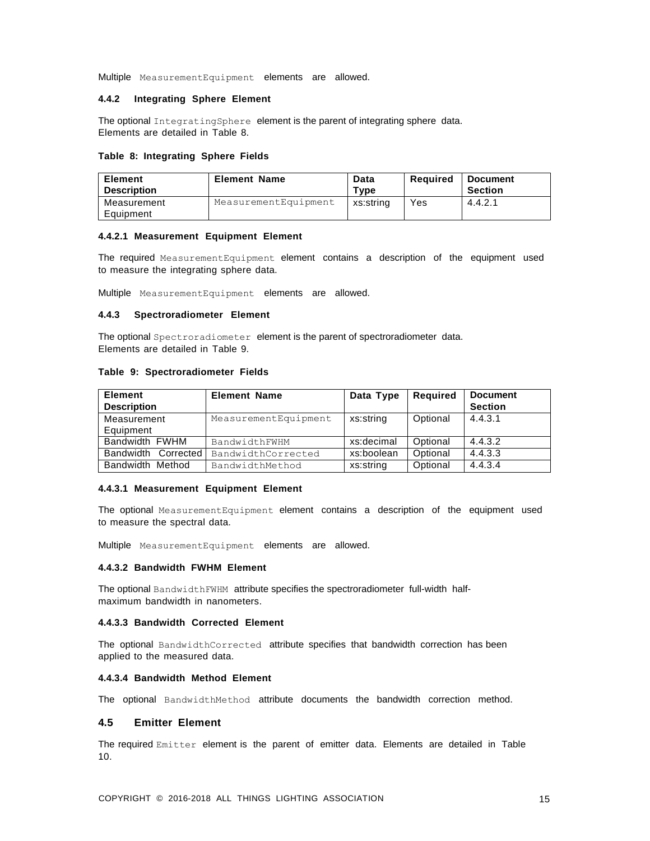Multiple MeasurementEquipment elements are allowed.

# <span id="page-13-0"></span>**4.4.2 Integrating Sphere Element**

The optional IntegratingSphere element is the parent of integrating sphere data. Elements are detailed in Table 8.

#### **Table 8: Integrating Sphere Fields**

| <b>Element</b><br><b>Description</b> | <b>Element Name</b>  | Data<br>Type | Reauired | <b>Document</b><br><b>Section</b> |
|--------------------------------------|----------------------|--------------|----------|-----------------------------------|
| Measurement<br>Equipment             | MeasurementEquipment | xs:string    | Yes      | 4.4.2.1                           |

#### **4.4.2.1 Measurement Equipment Element**

The required MeasurementEquipment element contains a description of the equipment used to measure the integrating sphere data.

Multiple MeasurementEquipment elements are allowed.

### <span id="page-13-1"></span>**4.4.3 Spectroradiometer Element**

The optional Spectroradiometer element is the parent of spectroradiometer data. Elements are detailed in Table 9.

#### **Table 9: Spectroradiometer Fields**

| <b>Element</b><br><b>Description</b> | <b>Element Name</b>  | Data Type  | <b>Required</b> | <b>Document</b><br><b>Section</b> |
|--------------------------------------|----------------------|------------|-----------------|-----------------------------------|
| Measurement                          | MeasurementEquipment | xs:string  | Optional        | 4.4.3.1                           |
| Equipment                            |                      |            |                 |                                   |
| Bandwidth FWHM                       | BandwidthFWHM        | xs:decimal | Optional        | 4.4.3.2                           |
| <b>Bandwidth</b><br>Corrected I      | BandwidthCorrected   | xs:boolean | Optional        | 4.4.3.3                           |
| Bandwidth Method                     | BandwidthMethod      | xs:string  | Optional        | 4.4.3.4                           |

#### **4.4.3.1 Measurement Equipment Element**

The optional MeasurementEquipment element contains a description of the equipment used to measure the spectral data.

Multiple MeasurementEquipment elements are allowed.

#### **4.4.3.2 Bandwidth FWHM Element**

The optional BandwidthFWHM attribute specifies the spectroradiometer full-width halfmaximum bandwidth in nanometers.

#### **4.4.3.3 Bandwidth Corrected Element**

The optional BandwidthCorrected attribute specifies that bandwidth correction has been applied to the measured data.

# **4.4.3.4 Bandwidth Method Element**

The optional BandwidthMethod attribute documents the bandwidth correction method.

# <span id="page-13-2"></span>**4.5 Emitter Element**

The required Emitter element is the parent of emitter data. Elements are detailed in Table 10.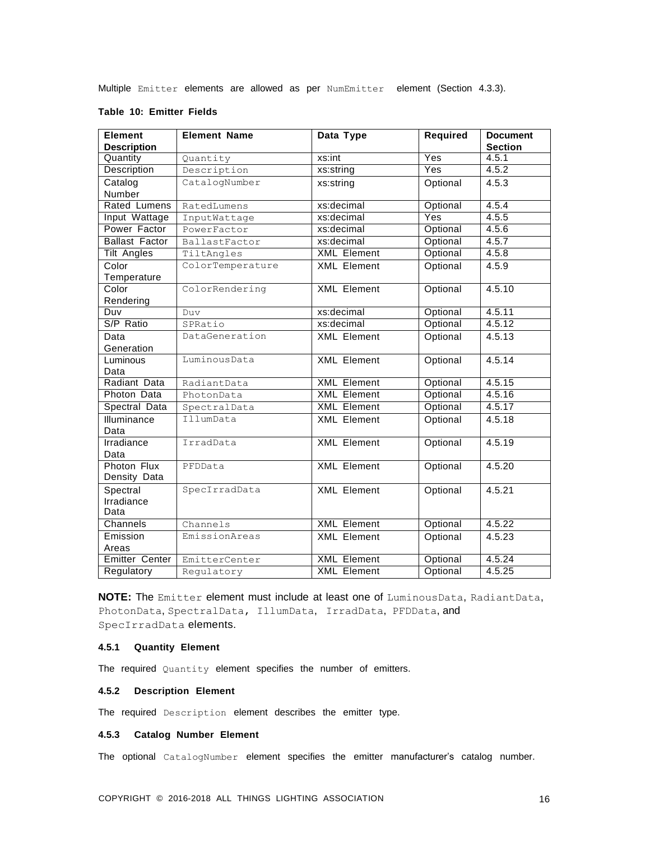Multiple Emitter elements are allowed as per NumEmitter element (Section 4.3.3).

| <b>Element</b>        | <b>Element Name</b> | Data Type          | Required | <b>Document</b> |
|-----------------------|---------------------|--------------------|----------|-----------------|
| <b>Description</b>    |                     |                    |          | <b>Section</b>  |
| Quantity              | Quantity            | xs:int             | Yes      | 4.5.1           |
| Description           | Description         | xs:string          | Yes      | 4.5.2           |
| Catalog               | CatalogNumber       | xs:string          | Optional | 4.5.3           |
| Number                |                     |                    |          |                 |
| Rated Lumens          | RatedLumens         | xs:decimal         | Optional | 4.5.4           |
| Input Wattage         | InputWattage        | xs:decimal         | Yes      | 4.5.5           |
| Power Factor          | PowerFactor         | xs:decimal         | Optional | 4.5.6           |
| <b>Ballast Factor</b> | BallastFactor       | xs:decimal         | Optional | 4.5.7           |
| <b>Tilt Angles</b>    | TiltAngles          | <b>XML</b> Element | Optional | 4.5.8           |
| Color                 | ColorTemperature    | <b>XML</b> Element | Optional | 4.5.9           |
| Temperature           |                     |                    |          |                 |
| Color                 | ColorRendering      | <b>XML</b> Element | Optional | 4.5.10          |
| Rendering             |                     |                    |          |                 |
| Duv                   | Duy                 | xs:decimal         | Optional | 4.5.11          |
| S/P Ratio             | SPRatio             | xs:decimal         | Optional | 4.5.12          |
| Data                  | DataGeneration      | <b>XML Element</b> | Optional | 4.5.13          |
| Generation            |                     |                    |          |                 |
| Luminous              | LuminousData        | <b>XML</b> Element | Optional | 4.5.14          |
| Data                  |                     |                    |          |                 |
| Radiant Data          | RadiantData         | <b>XML</b> Element | Optional | 4.5.15          |
| Photon Data           | PhotonData          | <b>XML</b> Element | Optional | 4.5.16          |
| Spectral Data         | SpectralData        | <b>XML</b> Element | Optional | 4.5.17          |
| Illuminance           | IllumData           | <b>XML Element</b> | Optional | 4.5.18          |
| Data                  |                     |                    |          |                 |
| Irradiance            | IrradData           | <b>XML</b> Element | Optional | 4.5.19          |
| Data                  |                     |                    |          |                 |
| Photon Flux           | PFDData             | <b>XML</b> Element | Optional | 4.5.20          |
| Density Data          |                     |                    |          |                 |
| Spectral              | SpecIrradData       | <b>XML Element</b> | Optional | 4.5.21          |
| Irradiance            |                     |                    |          |                 |
| Data                  |                     |                    |          |                 |
| Channels              | Channels            | <b>XML</b> Element | Optional | 4.5.22          |
| Emission              | EmissionAreas       | <b>XML Element</b> | Optional | 4.5.23          |
| Areas                 |                     |                    |          |                 |
| <b>Emitter Center</b> | EmitterCenter       | <b>XML</b> Element | Optional | 4.5.24          |
| Regulatory            | Regulatory          | <b>XML</b> Element | Optional | 4.5.25          |

#### **Table 10: Emitter Fields**

**NOTE:** The Emitter element must include at least one of LuminousData, RadiantData, PhotonData, SpectralData, IllumData, IrradData, PFDData, and SpecIrradData elements.

# <span id="page-14-0"></span>**4.5.1 Quantity Element**

The required Quantity element specifies the number of emitters.

# <span id="page-14-1"></span>**4.5.2 Description Element**

The required Description element describes the emitter type.

# <span id="page-14-2"></span>**4.5.3 Catalog Number Element**

The optional CatalogNumber element specifies the emitter manufacturer's catalog number.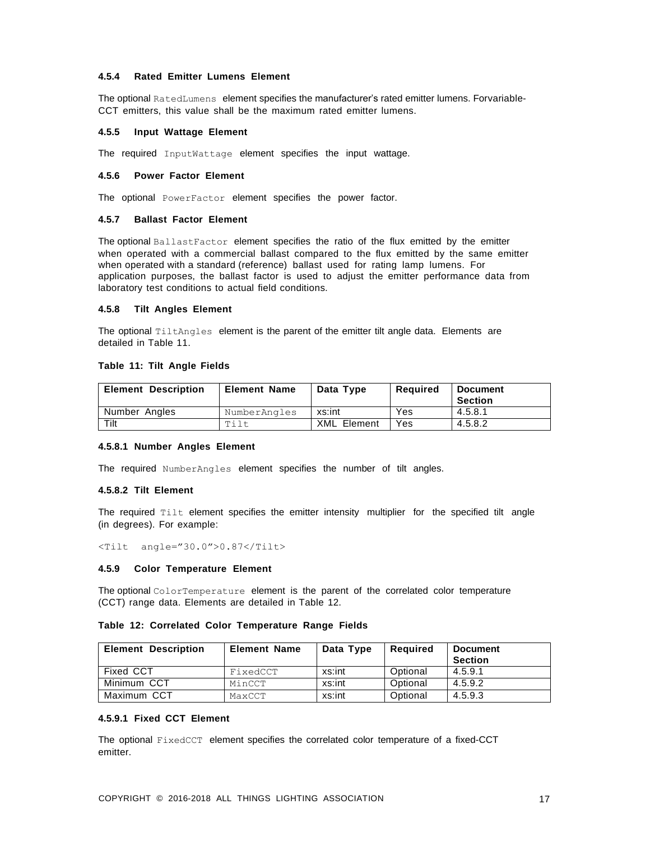# <span id="page-15-0"></span>**4.5.4 Rated Emitter Lumens Element**

The optional RatedLumens element specifies the manufacturer's rated emitter lumens. Forvariable-CCT emitters, this value shall be the maximum rated emitter lumens.

#### <span id="page-15-1"></span>**4.5.5 Input Wattage Element**

The required InputWattage element specifies the input wattage.

# <span id="page-15-2"></span>**4.5.6 Power Factor Element**

<span id="page-15-3"></span>The optional PowerFactor element specifies the power factor.

#### **4.5.7 Ballast Factor Element**

The optional BallastFactor element specifies the ratio of the flux emitted by the emitter when operated with a commercial ballast compared to the flux emitted by the same emitter when operated with a standard (reference) ballast used for rating lamp lumens. For application purposes, the ballast factor is used to adjust the emitter performance data from laboratory test conditions to actual field conditions.

# <span id="page-15-4"></span>**4.5.8 Tilt Angles Element**

The optional TiltAngles element is the parent of the emitter tilt angle data. Elements are detailed in Table 11.

# **Table 11: Tilt Angle Fields**

| <b>Element Description</b> | <b>Element Name</b> | Data Type          | Reauired | <b>Document</b><br><b>Section</b> |
|----------------------------|---------------------|--------------------|----------|-----------------------------------|
| Number Angles              | NumberAngles        | xs:int             | Yes      | 4.5.8.1                           |
| Tilt                       | Tilt                | <b>XML</b> Element | Yes      | 4.5.8.2                           |

#### **4.5.8.1 Number Angles Element**

The required NumberAngles element specifies the number of tilt angles.

#### **4.5.8.2 Tilt Element**

The required Tilt element specifies the emitter intensity multiplier for the specified tilt angle (in degrees). For example:

<Tilt angle="30.0">0.87</Tilt>

#### <span id="page-15-5"></span>**4.5.9 Color Temperature Element**

The optional ColorTemperature element is the parent of the correlated color temperature (CCT) range data. Elements are detailed in Table 12.

### **Table 12: Correlated Color Temperature Range Fields**

| <b>Element Description</b> | <b>Element Name</b> | Data Type | Reauired | <b>Document</b><br><b>Section</b> |
|----------------------------|---------------------|-----------|----------|-----------------------------------|
| Fixed CCT                  | FixedCCT            | xs:int    | Optional | 4.5.9.1                           |
| Minimum CCT                | MinCCT              | xs:int    | Optional | 4.5.9.2                           |
| Maximum CCT                | MaxCCT              | xs:int    | Optional | 4.5.9.3                           |

# **4.5.9.1 Fixed CCT Element**

The optional FixedCCT element specifies the correlated color temperature of a fixed-CCT emitter.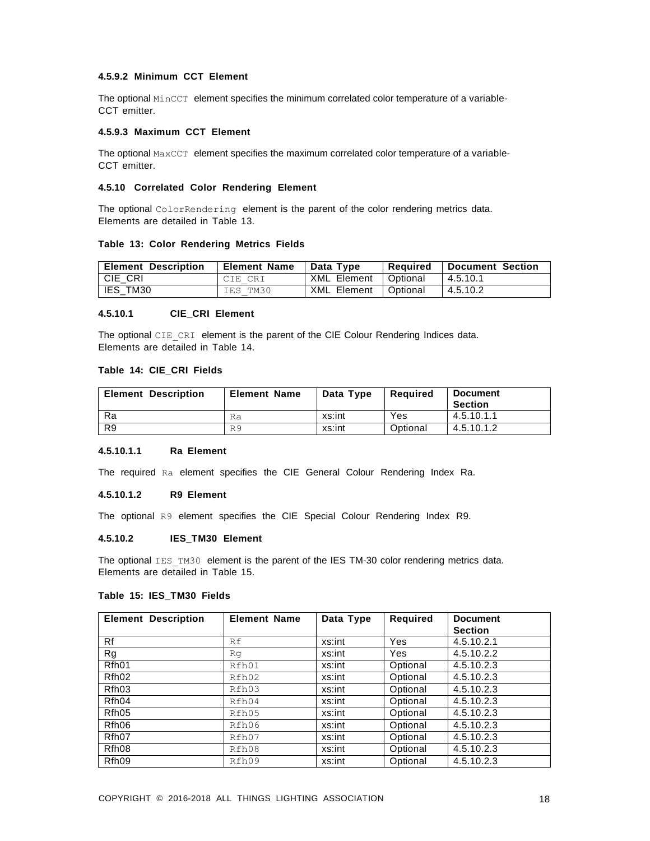# **4.5.9.2 Minimum CCT Element**

The optional MinCCT element specifies the minimum correlated color temperature of a variable-CCT emitter.

#### **4.5.9.3 Maximum CCT Element**

The optional  $MaxCCT$  element specifies the maximum correlated color temperature of a variable-CCT emitter.

# <span id="page-16-0"></span>**4.5.10 Correlated Color Rendering Element**

The optional ColorRendering element is the parent of the color rendering metrics data. Elements are detailed in Table 13.

# **Table 13: Color Rendering Metrics Fields**

| <b>Element Description</b> | <b>Element Name</b> | Data Type              | Required | <b>Document Section</b> |
|----------------------------|---------------------|------------------------|----------|-------------------------|
| CIE CRI                    | CIE CRI             | XML Element   Optional |          | 14.5.10.1               |
| <b>IES TM30</b>            | IES TM30            | XML Element   Optional |          | 4.5.10.2                |

#### **4.5.10.1 CIE\_CRI Element**

The optional CIE\_CRI element is the parent of the CIE Colour Rendering Indices data. Elements are detailed in Table 14.

#### **Table 14: CIE\_CRI Fields**

| <b>Element Description</b> | <b>Element Name</b> | Data Type | Reauired | <b>Document</b><br><b>Section</b> |
|----------------------------|---------------------|-----------|----------|-----------------------------------|
| Ra                         | Ra                  | xs:int    | Yes      | 4.5.10.1.1                        |
| R <sub>9</sub>             | R9                  | xs:int    | Optional | 4.5.10.1.2                        |

# **4.5.10.1.1 Ra Element**

The required Ra element specifies the CIE General Colour Rendering Index Ra.

### **4.5.10.1.2 R9 Element**

The optional R9 element specifies the CIE Special Colour Rendering Index R9.

#### **4.5.10.2 IES\_TM30 Element**

The optional IES TM30 element is the parent of the IES TM-30 color rendering metrics data. Elements are detailed in Table 15.

# **Table 15: IES\_TM30 Fields**

| <b>Element Description</b> | <b>Element Name</b> | Data Type | Required | <b>Document</b> |
|----------------------------|---------------------|-----------|----------|-----------------|
|                            |                     |           |          | <b>Section</b>  |
| Rf                         | Rf                  | xs:int    | Yes      | 4.5.10.2.1      |
| Rg                         | Rq                  | xs:int    | Yes      | 4.5.10.2.2      |
| Rfh01                      | Rfh01               | xs:int    | Optional | 4.5.10.2.3      |
| Rfh <sub>02</sub>          | Rfh02               | xs:int    | Optional | 4.5.10.2.3      |
| Rfh03                      | Rfh03               | xs:int    | Optional | 4.5.10.2.3      |
| Rfh04                      | Rfh04               | xs:int    | Optional | 4.5.10.2.3      |
| Rfh05                      | Rfh05               | xs:int    | Optional | 4.5.10.2.3      |
| Rfh06                      | Rfh06               | xs:int    | Optional | 4.5.10.2.3      |
| Rfh07                      | Rfh07               | xs:int    | Optional | 4.5.10.2.3      |
| Rfh08                      | Rfh08               | xs:int    | Optional | 4.5.10.2.3      |
| Rfh09                      | Rfh09               | xs:int    | Optional | 4.5.10.2.3      |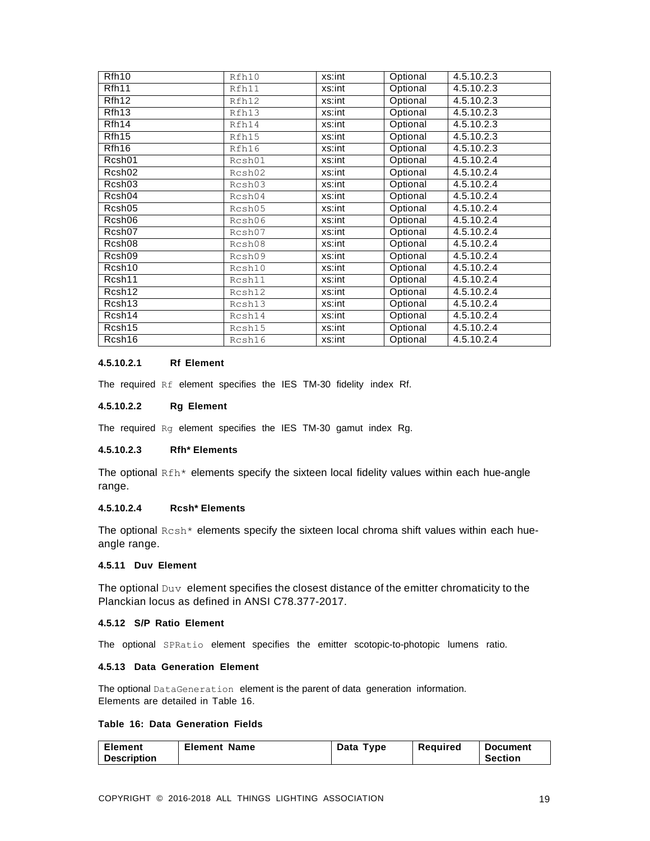| Rfh <sub>10</sub>  | Rfh10  | xs:int | Optional | 4.5.10.2.3 |
|--------------------|--------|--------|----------|------------|
| Rfh11              | Rfh11  | xs:int | Optional | 4.5.10.2.3 |
| Rfh12              | Rfh12  | xs:int | Optional | 4.5.10.2.3 |
| Rfh <sub>13</sub>  | Rfh13  | xs:int | Optional | 4.5.10.2.3 |
| Rfh <sub>14</sub>  | Rfh14  | xs:int | Optional | 4.5.10.2.3 |
| Rfh15              | Rfh15  | xs:int | Optional | 4.5.10.2.3 |
| Rfh <sub>16</sub>  | Rfh16  | xs:int | Optional | 4.5.10.2.3 |
| Rcsh01             | Rcsh01 | xs:int | Optional | 4.5.10.2.4 |
| Rcsh <sub>02</sub> | Rcsh02 | xs:int | Optional | 4.5.10.2.4 |
| Rcsh03             | Rcsh03 | xs:int | Optional | 4.5.10.2.4 |
| Rcsh04             | Rcsh04 | xs:int | Optional | 4.5.10.2.4 |
| Rcsh05             | Rcsh05 | xs:int | Optional | 4.5.10.2.4 |
| Rcsh06             | Rcsh06 | xs:int | Optional | 4.5.10.2.4 |
| Rcsh07             | Rcsh07 | xs:int | Optional | 4.5.10.2.4 |
| Rcsh08             | Rcsh08 | xs:int | Optional | 4.5.10.2.4 |
| Rcsh09             | Rcsh09 | xs:int | Optional | 4.5.10.2.4 |
| Rcsh10             | Rcsh10 | xs:int | Optional | 4.5.10.2.4 |
| Rcsh11             | Rcsh11 | xs:int | Optional | 4.5.10.2.4 |
| Rcsh12             | Rcsh12 | xs:int | Optional | 4.5.10.2.4 |
| Rcsh <sub>13</sub> | Rcsh13 | xs:int | Optional | 4.5.10.2.4 |
| Rcsh14             | Rcsh14 | xs:int | Optional | 4.5.10.2.4 |
| Rcsh15             | Rcsh15 | xs:int | Optional | 4.5.10.2.4 |
| Rcsh16             | Rcsh16 | xs:int | Optional | 4.5.10.2.4 |

# **4.5.10.2.1 Rf Element**

The required Rf element specifies the IES TM-30 fidelity index Rf.

#### **4.5.10.2.2 Rg Element**

The required Rg element specifies the IES TM-30 gamut index Rg.

# **4.5.10.2.3 Rfh\* Elements**

The optional  $Rfh*$  elements specify the sixteen local fidelity values within each hue-angle range.

# **4.5.10.2.4 Rcsh\* Elements**

The optional  $Rcsh*$  elements specify the sixteen local chroma shift values within each hueangle range.

# <span id="page-17-0"></span>**4.5.11 Duv Element**

The optional  $_{\text{Duv}}$  element specifies the closest distance of the emitter chromaticity to the Planckian locus as defined in ANSI C78.377-2017.

# <span id="page-17-1"></span>**4.5.12 S/P Ratio Element**

<span id="page-17-2"></span>The optional SPRatio element specifies the emitter scotopic-to-photopic lumens ratio.

# **4.5.13 Data Generation Element**

The optional DataGeneration element is the parent of data generation information. Elements are detailed in Table 16.

# **Table 16: Data Generation Fields**

| <b>Element</b> | <b>Element Name</b> | Data Type | Required | <b>Document</b> |
|----------------|---------------------|-----------|----------|-----------------|
| Description    |                     |           |          | <b>Section</b>  |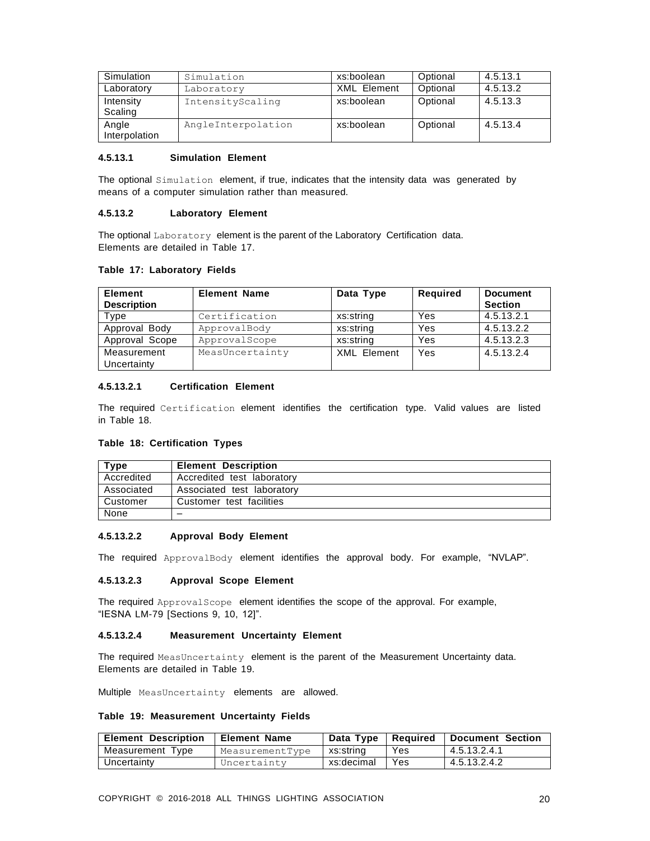| Simulation             | Simulation         | xs:boolean         | Optional | 4.5.13.1 |
|------------------------|--------------------|--------------------|----------|----------|
| Laboratory             | Laboratory         | <b>XML</b> Element | Optional | 4.5.13.2 |
| Intensity<br>Scaling   | IntensityScaling   | xs:boolean         | Optional | 4.5.13.3 |
| Angle<br>Interpolation | AngleInterpolation | xs:boolean         | Optional | 4.5.13.4 |

# **4.5.13.1 Simulation Element**

The optional Simulation element, if true, indicates that the intensity data was generated by means of a computer simulation rather than measured.

#### **4.5.13.2 Laboratory Element**

The optional Laboratory element is the parent of the Laboratory Certification data. Elements are detailed in Table 17.

# **Table 17: Laboratory Fields**

| <b>Element</b><br><b>Description</b> | <b>Element Name</b> | Data Type          | <b>Required</b> | <b>Document</b><br><b>Section</b> |
|--------------------------------------|---------------------|--------------------|-----------------|-----------------------------------|
| Type                                 | Certification       | xs:string          | Yes             | 4.5.13.2.1                        |
| Approval Body                        | ApprovalBody        | xs:string          | Yes             | 4.5.13.2.2                        |
| Approval Scope                       | ApprovalScope       | xs:string          | Yes             | 4.5.13.2.3                        |
| Measurement<br>Uncertainty           | MeasUncertainty     | <b>XML Element</b> | Yes             | 4.5.13.2.4                        |

# **4.5.13.2.1 Certification Element**

The required Certification element identifies the certification type. Valid values are listed in Table 18.

# **Table 18: Certification Types**

| Tvpe       | <b>Element Description</b> |
|------------|----------------------------|
| Accredited | Accredited test laboratory |
| Associated | Associated test laboratory |
| Customer   | Customer test facilities   |
| None       |                            |

# **4.5.13.2.2 Approval Body Element**

The required ApprovalBody element identifies the approval body. For example, "NVLAP".

#### **4.5.13.2.3 Approval Scope Element**

The required ApprovalScope element identifies the scope of the approval. For example, "IESNA LM-79 [Sections 9, 10, 12]".

#### **4.5.13.2.4 Measurement Uncertainty Element**

The required MeasUncertainty element is the parent of the Measurement Uncertainty data. Elements are detailed in Table 19.

Multiple MeasUncertainty elements are allowed.

#### **Table 19: Measurement Uncertainty Fields**

| <b>Element Description</b> | l Element Name  |             |     | Data Type   Required   Document Section |
|----------------------------|-----------------|-------------|-----|-----------------------------------------|
| Measurement Type           | MeasurementType | l xs:string | Yes | 4.5.13.2.4.1                            |
| Uncertainty                | Uncertainty     | xs:decimal  | Yes | 4.5.13.2.4.2                            |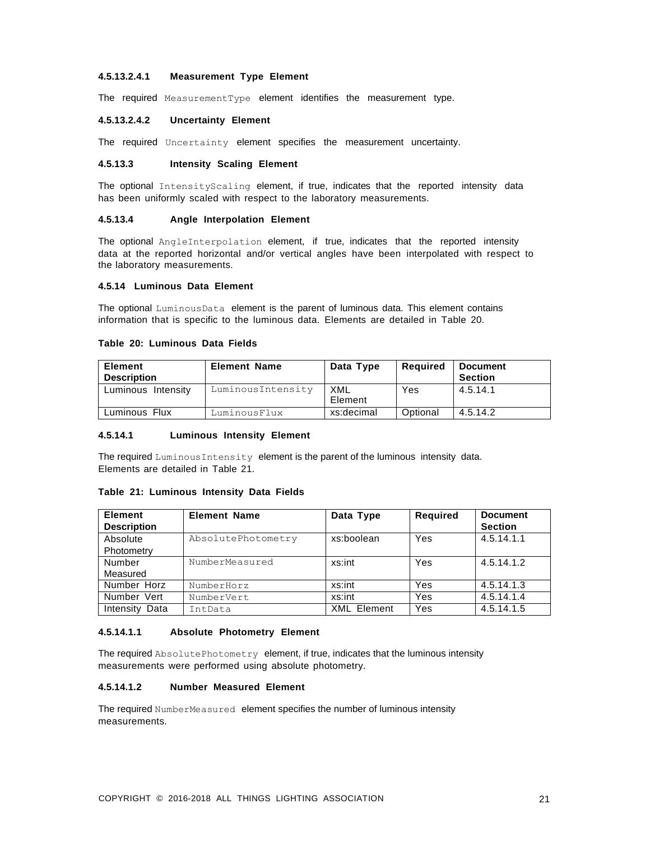# **4.5.13.2.4.1 Measurement Type Element**

The required MeasurementType element identifies the measurement type.

#### **4.5.13.2.4.2 Uncertainty Element**

The required Uncertainty element specifies the measurement uncertainty.

# **4.5.13.3 Intensity Scaling Element**

The optional IntensityScaling element, if true, indicates that the reported intensity data has been uniformly scaled with respect to the laboratory measurements.

#### **4.5.13.4 Angle Interpolation Element**

The optional AngleInterpolation element, if true, indicates that the reported intensity data at the reported horizontal and/or vertical angles have been interpolated with respect to the laboratory measurements.

# <span id="page-19-0"></span>**4.5.14 Luminous Data Element**

The optional LuminousData element is the parent of luminous data. This element contains information that is specific to the luminous data. Elements are detailed in Table 20.

#### **Table 20: Luminous Data Fields**

| <b>Element</b><br><b>Description</b> | <b>Element Name</b> | Data Type      | Required | <b>Document</b><br><b>Section</b> |
|--------------------------------------|---------------------|----------------|----------|-----------------------------------|
| Luminous Intensity                   | LuminousIntensity   | XML<br>Element | Yes      | 4.5.14.1                          |
| Luminous Flux                        | LuminousFlux        | xs:decimal     | Optional | 4.5.14.2                          |

#### **4.5.14.1 Luminous Intensity Element**

The required Luminous Intensity element is the parent of the luminous intensity data. Elements are detailed in Table 21.

# **Table 21: Luminous Intensity Data Fields**

| <b>Element</b><br><b>Description</b> | <b>Element Name</b> | Data Type          | <b>Required</b> | <b>Document</b><br><b>Section</b> |
|--------------------------------------|---------------------|--------------------|-----------------|-----------------------------------|
| Absolute                             | AbsolutePhotometry  | xs:boolean         | Yes             | 4.5.14.1.1                        |
| Photometry                           |                     |                    |                 |                                   |
| Number                               | NumberMeasured      | xs:int             | Yes             | 4.5.14.1.2                        |
| Measured                             |                     |                    |                 |                                   |
| Number Horz                          | NumberHorz          | xs:int             | Yes             | 4.5.14.1.3                        |
| Number Vert                          | NumberVert          | xs:int             | Yes             | 4.5.14.1.4                        |
| Intensity<br>Data                    | IntData             | <b>XML Element</b> | Yes             | 4.5.14.1.5                        |

# **4.5.14.1.1 Absolute Photometry Element**

The required AbsolutePhotometry element, if true, indicates that the luminous intensity measurements were performed using absolute photometry.

# **4.5.14.1.2 Number Measured Element**

The required NumberMeasured element specifies the number of luminous intensity measurements.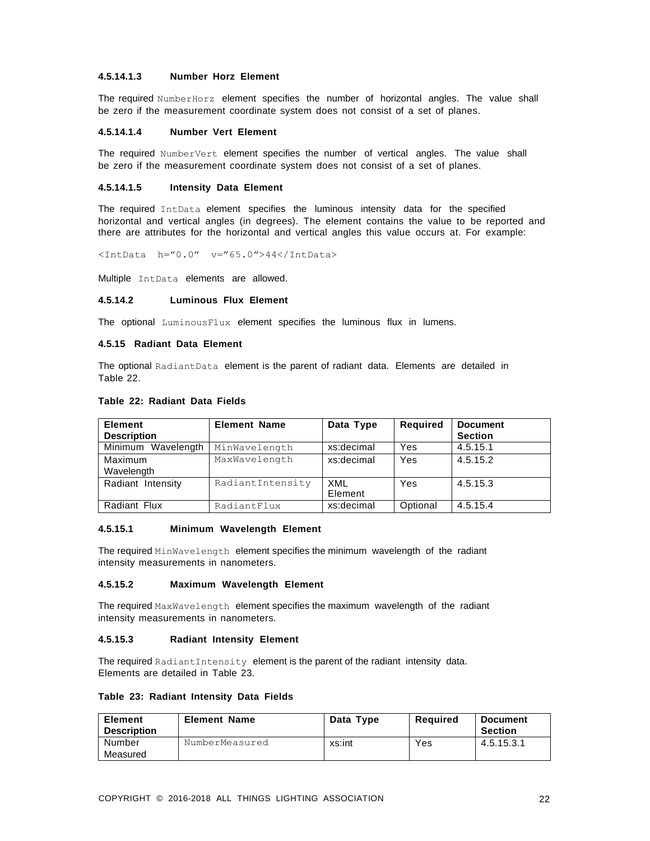# **4.5.14.1.3 Number Horz Element**

The required NumberHorz element specifies the number of horizontal angles. The value shall be zero if the measurement coordinate system does not consist of a set of planes.

#### **4.5.14.1.4 Number Vert Element**

The required NumberVert element specifies the number of vertical angles. The value shall be zero if the measurement coordinate system does not consist of a set of planes.

### **4.5.14.1.5 Intensity Data Element**

The required IntData element specifies the luminous intensity data for the specified horizontal and vertical angles (in degrees). The element contains the value to be reported and there are attributes for the horizontal and vertical angles this value occurs at. For example:

<IntData h="0.0" v="65.0">44</IntData>

Multiple IntData elements are allowed.

#### **4.5.14.2 Luminous Flux Element**

The optional LuminousFlux element specifies the luminous flux in lumens.

# <span id="page-20-0"></span>**4.5.15 Radiant Data Element**

The optional RadiantData element is the parent of radiant data. Elements are detailed in Table 22.

#### **Table 22: Radiant Data Fields**

| <b>Element</b><br><b>Description</b> | <b>Element Name</b> | Data Type      | Required   | <b>Document</b><br><b>Section</b> |
|--------------------------------------|---------------------|----------------|------------|-----------------------------------|
| Minimum Wavelength                   | MinWavelength       | xs:decimal     | Yes        | 4.5.15.1                          |
| Maximum<br>Wavelength                | MaxWavelength       | xs:decimal     | Yes        | 4.5.15.2                          |
| Radiant Intensity                    | RadiantIntensity    | XML<br>Element | <b>Yes</b> | 4.5.15.3                          |
| Radiant Flux                         | RadiantFlux         | xs:decimal     | Optional   | 4.5.15.4                          |

#### **4.5.15.1 Minimum Wavelength Element**

The required MinWavelength element specifies the minimum wavelength of the radiant intensity measurements in nanometers.

# **4.5.15.2 Maximum Wavelength Element**

The required MaxWavelength element specifies the maximum wavelength of the radiant intensity measurements in nanometers.

#### **4.5.15.3 Radiant Intensity Element**

The required RadiantIntensity element is the parent of the radiant intensity data. Elements are detailed in Table 23.

#### **Table 23: Radiant Intensity Data Fields**

| <b>Element</b><br><b>Description</b> | <b>Element Name</b> | Data Type | Reauired | <b>Document</b><br><b>Section</b> |
|--------------------------------------|---------------------|-----------|----------|-----------------------------------|
| Number                               | NumberMeasured      | xs:int    | Yes      | 4.5.15.3.1                        |
| Measured                             |                     |           |          |                                   |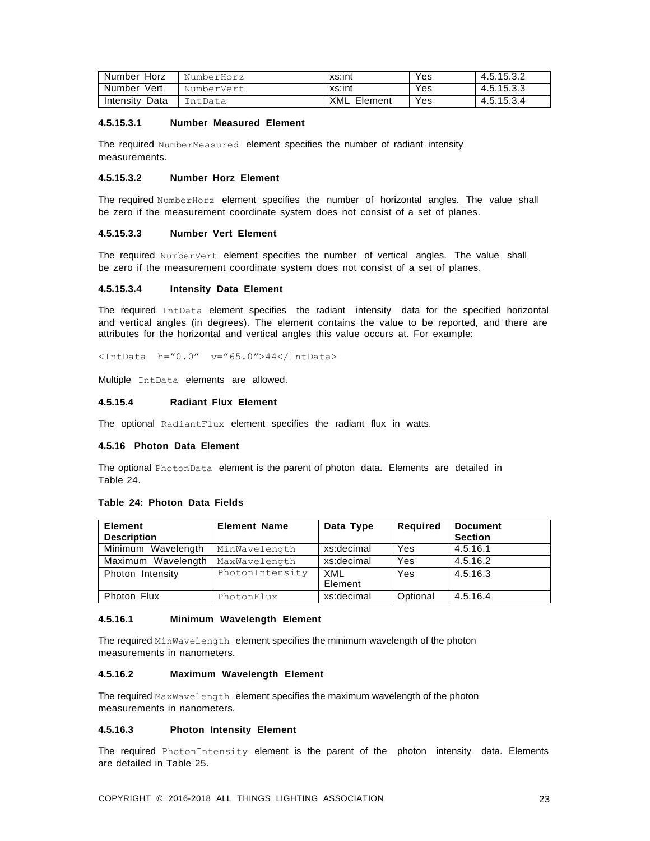| Number<br>Horz    | NumberHorz | xs:int         | Yes | 4.5.15.3.2 |
|-------------------|------------|----------------|-----|------------|
| Number Vert       | NumberVert | xs:int         | Yes | 4.5.15.3.3 |
| Data<br>Intensity | IntData    | XML<br>Element | Yes | 4.5.15.3.4 |

#### **4.5.15.3.1 Number Measured Element**

The required NumberMeasured element specifies the number of radiant intensity measurements.

# **4.5.15.3.2 Number Horz Element**

The required NumberHorz element specifies the number of horizontal angles. The value shall be zero if the measurement coordinate system does not consist of a set of planes.

# **4.5.15.3.3 Number Vert Element**

The required NumberVert element specifies the number of vertical angles. The value shall be zero if the measurement coordinate system does not consist of a set of planes.

#### **4.5.15.3.4 Intensity Data Element**

The required IntData element specifies the radiant intensity data for the specified horizontal and vertical angles (in degrees). The element contains the value to be reported, and there are attributes for the horizontal and vertical angles this value occurs at. For example:

<IntData h="0.0" v="65.0">44</IntData>

Multiple IntData elements are allowed.

# **4.5.15.4 Radiant Flux Element**

<span id="page-21-0"></span>The optional RadiantFlux element specifies the radiant flux in watts.

#### **4.5.16 Photon Data Element**

The optional PhotonData element is the parent of photon data. Elements are detailed in Table 24.

# **Table 24: Photon Data Fields**

| <b>Element</b><br><b>Description</b> | <b>Element Name</b> | Data Type      | Required | <b>Document</b><br><b>Section</b> |
|--------------------------------------|---------------------|----------------|----------|-----------------------------------|
| Minimum Wavelength                   | MinWavelength       | xs:decimal     | Yes      | 4.5.16.1                          |
| Maximum Wavelength                   | MaxWavelength       | xs:decimal     | Yes      | 4.5.16.2                          |
| Photon Intensity                     | PhotonIntensity     | XML<br>Element | Yes      | 4.5.16.3                          |
| Photon Flux                          | PhotonFlux          | xs:decimal     | Optional | 4.5.16.4                          |

# **4.5.16.1 Minimum Wavelength Element**

The required MinWavelength element specifies the minimum wavelength of the photon measurements in nanometers.

#### **4.5.16.2 Maximum Wavelength Element**

The required MaxWavelength element specifies the maximum wavelength of the photon measurements in nanometers.

# **4.5.16.3 Photon Intensity Element**

The required PhotonIntensity element is the parent of the photon intensity data. Elements are detailed in Table 25.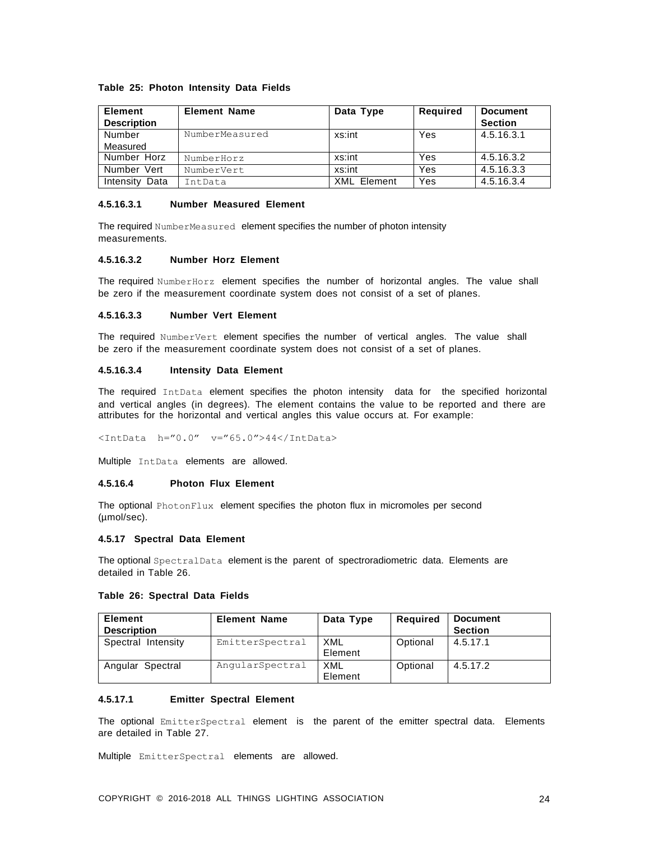# **Table 25: Photon Intensity Data Fields**

| <b>Element</b><br><b>Description</b> | <b>Element Name</b> | Data Type          | <b>Required</b> | <b>Document</b><br><b>Section</b> |
|--------------------------------------|---------------------|--------------------|-----------------|-----------------------------------|
| Number                               | NumberMeasured      | xs:int             | Yes             | 4.5.16.3.1                        |
| Measured                             |                     |                    |                 |                                   |
| Number Horz                          | NumberHorz          | xs:int             | Yes             | 4.5.16.3.2                        |
| Number Vert                          | NumberVert          | xs:int             | Yes             | 4.5.16.3.3                        |
| Intensity<br>Data                    | IntData             | <b>XML</b> Element | Yes             | 4.5.16.3.4                        |

#### **4.5.16.3.1 Number Measured Element**

The required NumberMeasured element specifies the number of photon intensity measurements.

# **4.5.16.3.2 Number Horz Element**

The required NumberHorz element specifies the number of horizontal angles. The value shall be zero if the measurement coordinate system does not consist of a set of planes.

#### **4.5.16.3.3 Number Vert Element**

The required NumberVert element specifies the number of vertical angles. The value shall be zero if the measurement coordinate system does not consist of a set of planes.

#### **4.5.16.3.4 Intensity Data Element**

The required IntData element specifies the photon intensity data for the specified horizontal and vertical angles (in degrees). The element contains the value to be reported and there are attributes for the horizontal and vertical angles this value occurs at. For example:

<IntData h="0.0" v="65.0">44</IntData>

Multiple IntData elements are allowed.

# **4.5.16.4 Photon Flux Element**

The optional PhotonFlux element specifies the photon flux in micromoles per second (µmol/sec).

#### <span id="page-22-0"></span>**4.5.17 Spectral Data Element**

The optional SpectralData element is the parent of spectroradiometric data. Elements are detailed in Table 26.

# **Table 26: Spectral Data Fields**

| <b>Element</b><br><b>Description</b> | <b>Element Name</b> | Data Type      | <b>Required</b> | <b>Document</b><br><b>Section</b> |
|--------------------------------------|---------------------|----------------|-----------------|-----------------------------------|
| Spectral Intensity                   | EmitterSpectral     | XML<br>Element | Optional        | 4.5.17.1                          |
| Angular Spectral                     | AngularSpectral     | XML<br>Element | Optional        | 4.5.17.2                          |

#### **4.5.17.1 Emitter Spectral Element**

The optional EmitterSpectral element is the parent of the emitter spectral data. Elements are detailed in Table 27.

Multiple EmitterSpectral elements are allowed.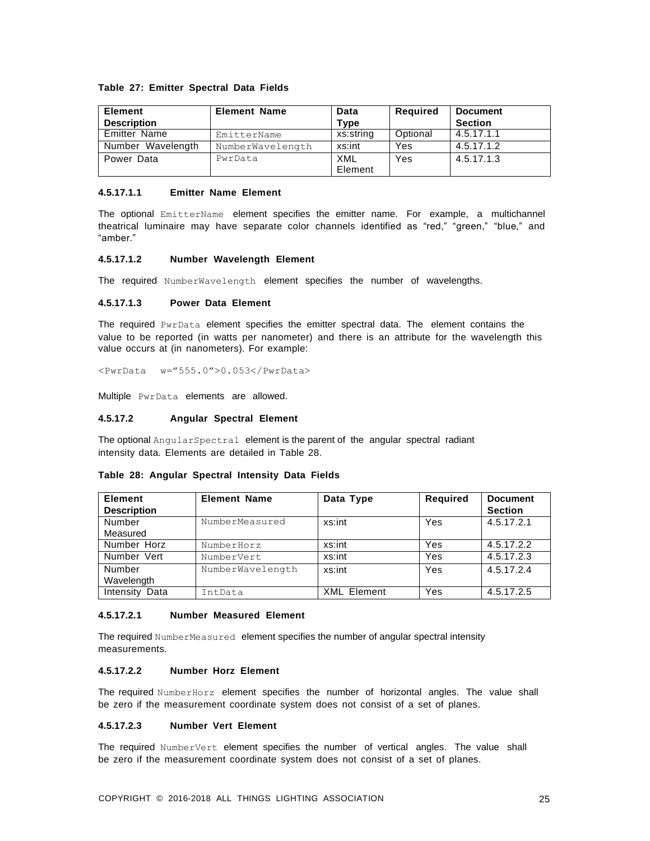# **Table 27: Emitter Spectral Data Fields**

| <b>Element</b>      | <b>Element Name</b> | Data           | Required | <b>Document</b> |
|---------------------|---------------------|----------------|----------|-----------------|
| <b>Description</b>  |                     | Type           |          | <b>Section</b>  |
| <b>Emitter Name</b> | EmitterName         | xs:string      | Optional | 4.5.17.1.1      |
| Number Wavelength   | NumberWavelength    | xs:int         | Yes      | 4.5.17.1.2      |
| Power Data          | PwrData             | XML<br>Element | Yes      | 4.5.17.1.3      |

#### **4.5.17.1.1 Emitter Name Element**

The optional EmitterName element specifies the emitter name. For example, a multichannel theatrical luminaire may have separate color channels identified as "red," "green," "blue," and "amber."

# **4.5.17.1.2 Number Wavelength Element**

The required NumberWavelength element specifies the number of wavelengths.

### **4.5.17.1.3 Power Data Element**

The required PwrData element specifies the emitter spectral data. The element contains the value to be reported (in watts per nanometer) and there is an attribute for the wavelength this value occurs at (in nanometers). For example:

<PwrData w="555.0">0.053</PwrData>

Multiple PwrData elements are allowed.

#### **4.5.17.2 Angular Spectral Element**

The optional AngularSpectral element is the parent of the angular spectral radiant intensity data. Elements are detailed in Table 28.

| <b>Element</b>     | <b>Element Name</b> | Data Type          | <b>Required</b> | <b>Document</b> |
|--------------------|---------------------|--------------------|-----------------|-----------------|
| <b>Description</b> |                     |                    |                 | <b>Section</b>  |
| Number             | NumberMeasured      | xs:int             | Yes             | 4.5.17.2.1      |
| Measured           |                     |                    |                 |                 |
| Number Horz        | NumberHorz          | xs:int             | Yes             | 4.5.17.2.2      |
| Number Vert        | NumberVert          | xs:int             | Yes             | 4.5.17.2.3      |
| Number             | NumberWavelength    | xs:int             | Yes             | 4.5.17.2.4      |
| Wavelength         |                     |                    |                 |                 |
| Intensity Data     | IntData             | <b>XML Element</b> | Yes             | 4.5.17.2.5      |

**Table 28: Angular Spectral Intensity Data Fields**

#### **4.5.17.2.1 Number Measured Element**

The required NumberMeasured element specifies the number of angular spectral intensity measurements.

#### **4.5.17.2.2 Number Horz Element**

The required NumberHorz element specifies the number of horizontal angles. The value shall be zero if the measurement coordinate system does not consist of a set of planes.

# **4.5.17.2.3 Number Vert Element**

The required NumberVert element specifies the number of vertical angles. The value shall be zero if the measurement coordinate system does not consist of a set of planes.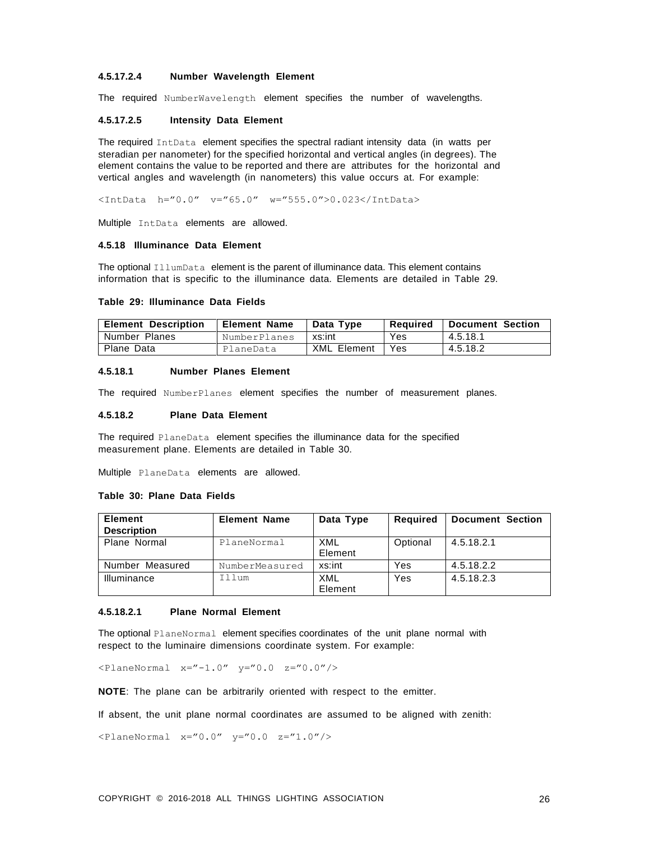# **4.5.17.2.4 Number Wavelength Element**

The required NumberWavelength element specifies the number of wavelengths.

#### **4.5.17.2.5 Intensity Data Element**

The required IntData element specifies the spectral radiant intensity data (in watts per steradian per nanometer) for the specified horizontal and vertical angles (in degrees). The element contains the value to be reported and there are attributes for the horizontal and vertical angles and wavelength (in nanometers) this value occurs at. For example:

<IntData h="0.0" v="65.0" w="555.0">0.023</IntData>

Multiple IntData elements are allowed.

## <span id="page-24-0"></span>**4.5.18 Illuminance Data Element**

The optional IllumData element is the parent of illuminance data. This element contains information that is specific to the illuminance data. Elements are detailed in Table 29.

#### **Table 29: Illuminance Data Fields**

| <b>Element Description</b> | <b>Element Name</b> | Data Type          | Reauired | Document Section |
|----------------------------|---------------------|--------------------|----------|------------------|
| Number Planes              | NumberPlanes        | xs:int             | Yes      | 4.5.18.1         |
| Plane Data                 | PlaneData           | <b>XML Element</b> | Yes.     | 4.5.18.2         |

#### **4.5.18.1 Number Planes Element**

The required NumberPlanes element specifies the number of measurement planes.

#### **4.5.18.2 Plane Data Element**

The required PlaneData element specifies the illuminance data for the specified measurement plane. Elements are detailed in Table 30.

Multiple PlaneData elements are allowed.

#### **Table 30: Plane Data Fields**

| <b>Element</b>     | <b>Element Name</b> | Data Type      | <b>Required</b> | <b>Document Section</b> |
|--------------------|---------------------|----------------|-----------------|-------------------------|
| <b>Description</b> |                     |                |                 |                         |
| Plane Normal       | PlaneNormal         | XML            | Optional        | 4.5.18.2.1              |
|                    |                     | Element        |                 |                         |
| Number Measured    | NumberMeasured      | xs:int         | Yes             | 4.5.18.2.2              |
| Illuminance        | Illum               | XML<br>Element | Yes             | 4.5.18.2.3              |

#### **4.5.18.2.1 Plane Normal Element**

The optional PlaneNormal element specifies coordinates of the unit plane normal with respect to the luminaire dimensions coordinate system. For example:

 $\langle$ PlaneNormal x="-1.0"  $y=$ "0.0  $z=$ "0.0"/>

**NOTE**: The plane can be arbitrarily oriented with respect to the emitter.

If absent, the unit plane normal coordinates are assumed to be aligned with zenith:

 $\langle$ PlaneNormal x="0.0"  $y$ ="0.0 z="1.0"/>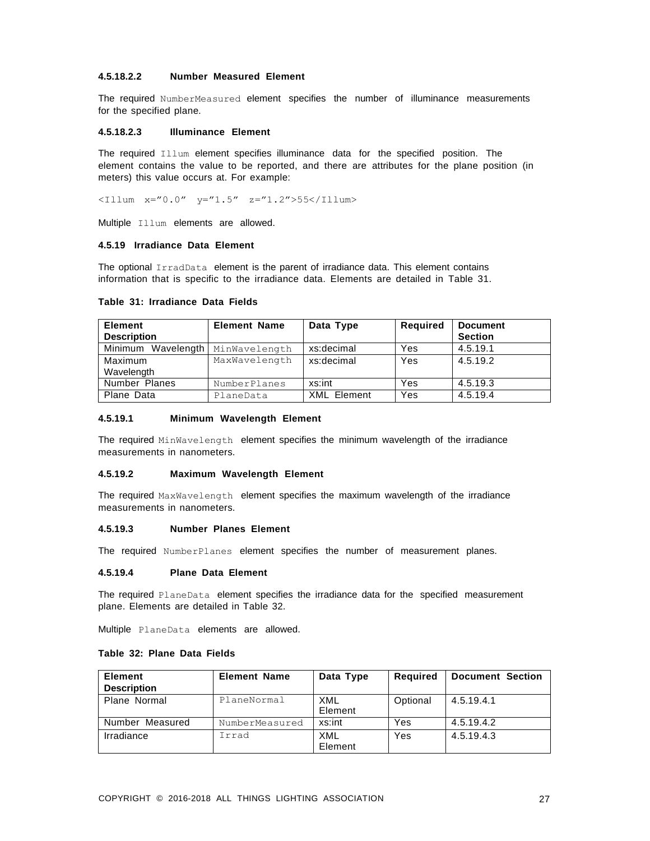# **4.5.18.2.2 Number Measured Element**

The required NumberMeasured element specifies the number of illuminance measurements for the specified plane.

#### **4.5.18.2.3 Illuminance Element**

The required Illum element specifies illuminance data for the specified position. The element contains the value to be reported, and there are attributes for the plane position (in meters) this value occurs at. For example:

 $\langle 111 \text{mm} \ x = 0.0" \ y = 1.5" \ z = "1.2" > 55 \langle 111 \text{mm} \rangle$ 

Multiple Illum elements are allowed.

# <span id="page-25-0"></span>**4.5.19 Irradiance Data Element**

The optional IrradData element is the parent of irradiance data. This element contains information that is specific to the irradiance data. Elements are detailed in Table 31.

| <b>Element</b><br><b>Description</b> | <b>Element Name</b> | Data Type          | <b>Required</b> | <b>Document</b><br><b>Section</b> |
|--------------------------------------|---------------------|--------------------|-----------------|-----------------------------------|
| Minimum Wavelength                   | MinWavelength       | xs:decimal         | Yes             | 4.5.19.1                          |
| Maximum                              | MaxWavelength       | xs:decimal         | Yes             | 4.5.19.2                          |
| Wavelength                           |                     |                    |                 |                                   |
| Number Planes                        | NumberPlanes        | xs:int             | Yes             | 4.5.19.3                          |
| Plane Data                           | PlaneData           | <b>XML Element</b> | Yes             | 4.5.19.4                          |

#### **Table 31: Irradiance Data Fields**

#### **4.5.19.1 Minimum Wavelength Element**

The required MinWavelength element specifies the minimum wavelength of the irradiance measurements in nanometers.

#### **4.5.19.2 Maximum Wavelength Element**

The required MaxWavelength element specifies the maximum wavelength of the irradiance measurements in nanometers.

#### **4.5.19.3 Number Planes Element**

The required NumberPlanes element specifies the number of measurement planes.

### **4.5.19.4 Plane Data Element**

The required PlaneData element specifies the irradiance data for the specified measurement plane. Elements are detailed in Table 32.

Multiple PlaneData elements are allowed.

# **Table 32: Plane Data Fields**

| Element<br><b>Description</b> | <b>Element Name</b> | Data Type      | Required | <b>Document Section</b> |
|-------------------------------|---------------------|----------------|----------|-------------------------|
| Plane Normal                  | PlaneNormal         | XML<br>Element | Optional | 4.5.19.4.1              |
| Number Measured               | NumberMeasured      | xs:int         | Yes      | 4.5.19.4.2              |
| Irradiance                    | Irrad               | XML<br>Element | Yes      | 4.5.19.4.3              |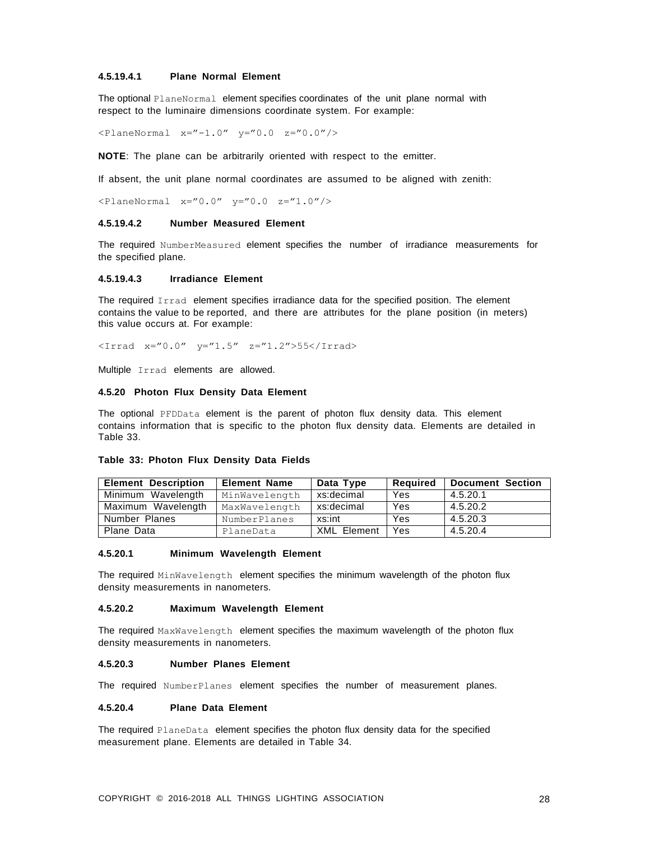# **4.5.19.4.1 Plane Normal Element**

The optional PlaneNormal element specifies coordinates of the unit plane normal with respect to the luminaire dimensions coordinate system. For example:

 $\langle$ PlaneNormal x="-1.0" y="0.0 z="0.0"/>

**NOTE**: The plane can be arbitrarily oriented with respect to the emitter.

If absent, the unit plane normal coordinates are assumed to be aligned with zenith:

 $\langle$ PlaneNormal x="0.0" y="0.0 z="1.0"/>

#### **4.5.19.4.2 Number Measured Element**

The required NumberMeasured element specifies the number of irradiance measurements for the specified plane.

#### **4.5.19.4.3 Irradiance Element**

The required Irrad element specifies irradiance data for the specified position. The element contains the value to be reported, and there are attributes for the plane position (in meters) this value occurs at. For example:

 $\times$ Irrad x="0.0" y="1.5" z="1.2">55</Irrad>

Multiple Irrad elements are allowed.

#### <span id="page-26-0"></span>**4.5.20 Photon Flux Density Data Element**

The optional PFDData element is the parent of photon flux density data. This element contains information that is specific to the photon flux density data. Elements are detailed in Table 33.

#### **Table 33: Photon Flux Density Data Fields**

| <b>Element Description</b> | <b>Element Name</b> | Data Type          | Reauired | <b>Document Section</b> |
|----------------------------|---------------------|--------------------|----------|-------------------------|
| Minimum Wavelength         | MinWavelength       | xs:decimal         | Yes      | 4.5.20.1                |
| Maximum Wavelength         | MaxWavelength       | xs:decimal         | Yes      | 4.5.20.2                |
| Number Planes              | NumberPlanes        | xs:int             | Yes      | 4.5.20.3                |
| Plane Data                 | PlaneData           | <b>XML Element</b> | Yes      | 4.5.20.4                |

#### **4.5.20.1 Minimum Wavelength Element**

The required MinWavelength element specifies the minimum wavelength of the photon flux density measurements in nanometers.

#### **4.5.20.2 Maximum Wavelength Element**

The required MaxWavelength element specifies the maximum wavelength of the photon flux density measurements in nanometers.

#### **4.5.20.3 Number Planes Element**

The required NumberPlanes element specifies the number of measurement planes.

# **4.5.20.4 Plane Data Element**

The required PlaneData element specifies the photon flux density data for the specified measurement plane. Elements are detailed in Table 34.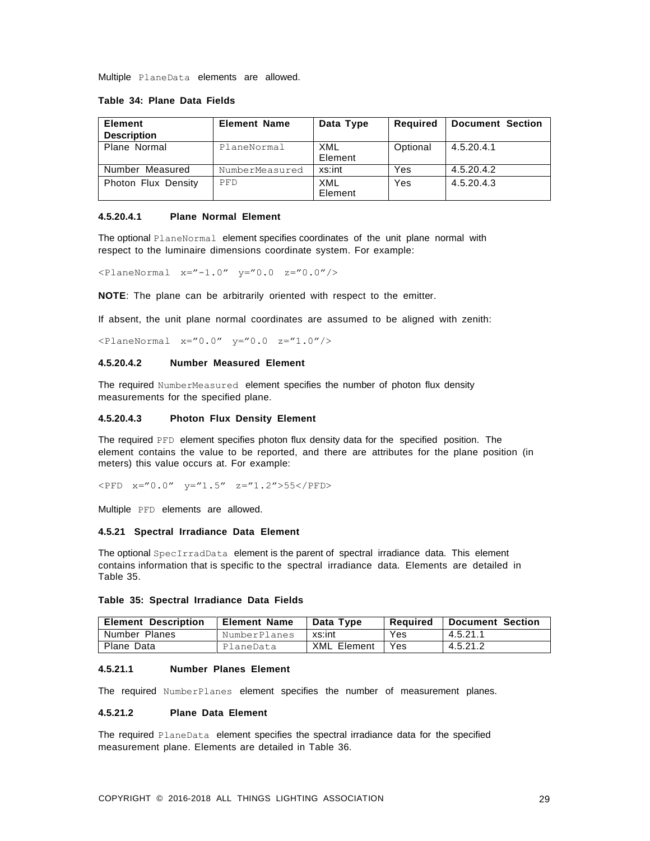Multiple PlaneData elements are allowed.

#### **Table 34: Plane Data Fields**

| <b>Element</b><br><b>Description</b> | <b>Element Name</b> | Data Type      | Required | <b>Document Section</b> |
|--------------------------------------|---------------------|----------------|----------|-------------------------|
| Plane Normal                         | PlaneNormal         | XML<br>Element | Optional | 4.5.20.4.1              |
| Number Measured                      | NumberMeasured      | xs:int         | Yes      | 4.5.20.4.2              |
| Photon Flux Density                  | <b>PFD</b>          | XML<br>Element | Yes      | 4.5.20.4.3              |

# **4.5.20.4.1 Plane Normal Element**

The optional PlaneNormal element specifies coordinates of the unit plane normal with respect to the luminaire dimensions coordinate system. For example:

 $\langle$ PlaneNormal x="-1.0" y="0.0 z="0.0"/>

**NOTE**: The plane can be arbitrarily oriented with respect to the emitter.

If absent, the unit plane normal coordinates are assumed to be aligned with zenith:

 $\langle$ PlaneNormal x="0.0" y="0.0 z="1.0"/>

# **4.5.20.4.2 Number Measured Element**

The required NumberMeasured element specifies the number of photon flux density measurements for the specified plane.

#### **4.5.20.4.3 Photon Flux Density Element**

The required PFD element specifies photon flux density data for the specified position. The element contains the value to be reported, and there are attributes for the plane position (in meters) this value occurs at. For example:

 $\text{CFD}$   $x = 0.0"$   $y = 1.5"$   $z = 1.2"$ >55</PFD>

<span id="page-27-0"></span>Multiple PFD elements are allowed.

#### **4.5.21 Spectral Irradiance Data Element**

The optional SpecIrradData element is the parent of spectral irradiance data. This element contains information that is specific to the spectral irradiance data. Elements are detailed in Table 35.

#### **Table 35: Spectral Irradiance Data Fields**

| <b>Element Description</b> | <b>Element Name</b> | Data Type          | Reauired | Document Section |
|----------------------------|---------------------|--------------------|----------|------------------|
| Number Planes              | NumberPlanes        | xs:int             | Yes      | 4.5.21.1         |
| Plane Data                 | PlaneData           | <b>XML Element</b> | Yes      | 4.5.21.2         |

#### **4.5.21.1 Number Planes Element**

The required NumberPlanes element specifies the number of measurement planes.

# **4.5.21.2 Plane Data Element**

The required PlaneData element specifies the spectral irradiance data for the specified measurement plane. Elements are detailed in Table 36.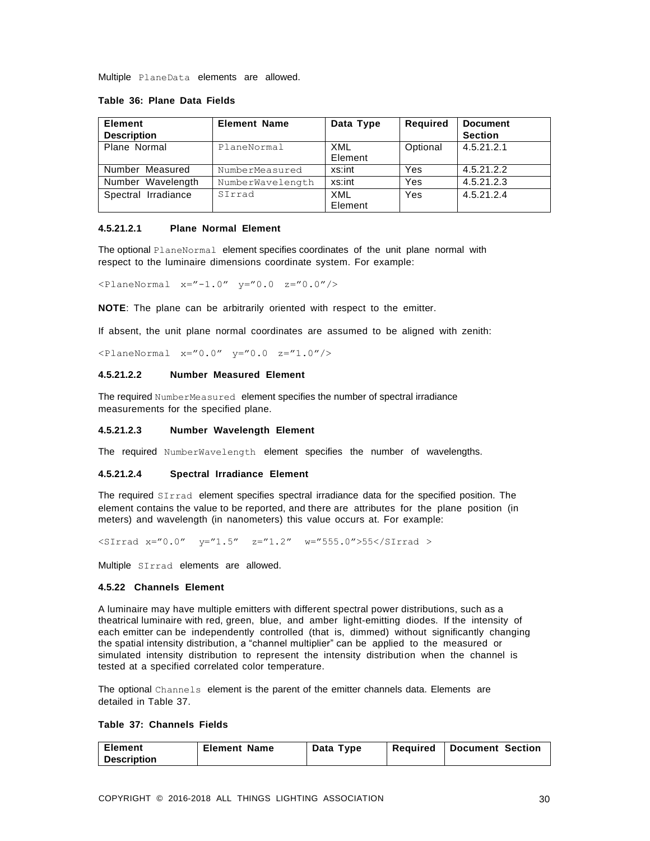Multiple PlaneData elements are allowed.

#### **Table 36: Plane Data Fields**

| <b>Element</b><br><b>Description</b> | <b>Element Name</b> | Data Type             | Required | <b>Document</b><br><b>Section</b> |
|--------------------------------------|---------------------|-----------------------|----------|-----------------------------------|
| Plane Normal                         | PlaneNormal         | <b>XML</b><br>Element | Optional | 4.5.21.2.1                        |
| Number Measured                      | NumberMeasured      | xs:int                | Yes      | 4.5.21.2.2                        |
| Number Wavelength                    | NumberWavelength    | xs:int                | Yes      | 4.5.21.2.3                        |
| Spectral Irradiance                  | SIrrad              | <b>XML</b><br>Element | Yes      | 4.5.21.2.4                        |

# **4.5.21.2.1 Plane Normal Element**

The optional PlaneNormal element specifies coordinates of the unit plane normal with respect to the luminaire dimensions coordinate system. For example:

 $\langle$ PlaneNormal x="-1.0" y="0.0 z="0.0"/>

**NOTE**: The plane can be arbitrarily oriented with respect to the emitter.

If absent, the unit plane normal coordinates are assumed to be aligned with zenith:

 $\langle$ PlaneNormal x="0.0" y="0.0 z="1.0"/>

#### **4.5.21.2.2 Number Measured Element**

The required NumberMeasured element specifies the number of spectral irradiance measurements for the specified plane.

#### **4.5.21.2.3 Number Wavelength Element**

The required NumberWavelength element specifies the number of wavelengths.

#### **4.5.21.2.4 Spectral Irradiance Element**

The required SIrrad element specifies spectral irradiance data for the specified position. The element contains the value to be reported, and there are attributes for the plane position (in meters) and wavelength (in nanometers) this value occurs at. For example:

<SIrrad x="0.0" y="1.5" z="1.2" w="555.0">55</SIrrad >

<span id="page-28-0"></span>Multiple SIrrad elements are allowed.

#### **4.5.22 Channels Element**

A luminaire may have multiple emitters with different spectral power distributions, such as a theatrical luminaire with red, green, blue, and amber light-emitting diodes. If the intensity of each emitter can be independently controlled (that is, dimmed) without significantly changing the spatial intensity distribution, a "channel multiplier" can be applied to the measured or simulated intensity distribution to represent the intensity distribution when the channel is tested at a specified correlated color temperature.

The optional Channels element is the parent of the emitter channels data. Elements are detailed in Table 37.

# **Table 37: Channels Fields**

| <b>Element</b>     | <b>Element Name</b> | Data Type | Reauired | <b>Document Section</b> |
|--------------------|---------------------|-----------|----------|-------------------------|
| <b>Description</b> |                     |           |          |                         |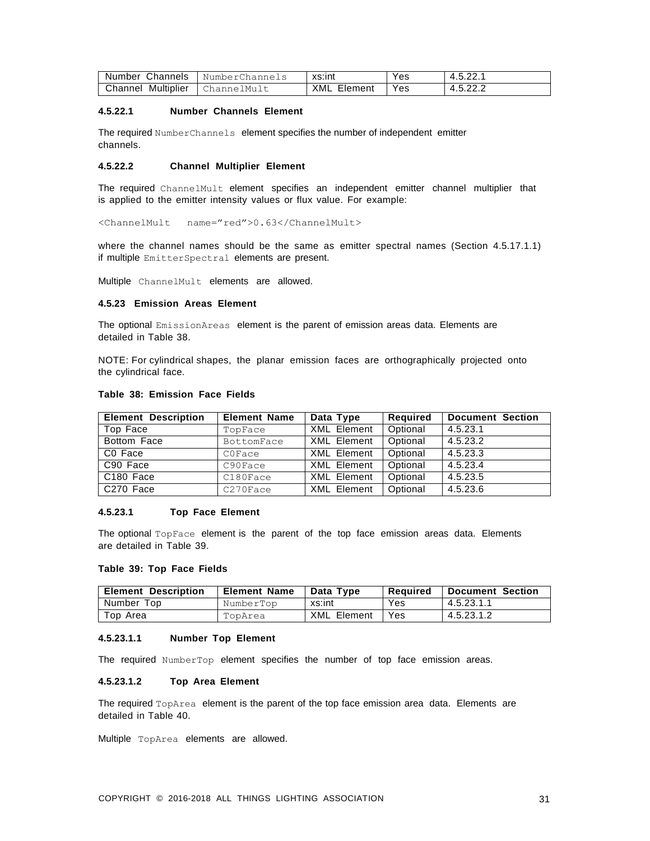| Channels<br>Number    | Channels<br>Number( | xs:int         | Yes | ົດດ<br>-<br>9.J.ZZ. . |
|-----------------------|---------------------|----------------|-----|-----------------------|
| Multiplier<br>こhannel | ChannelMult         | XML<br>Element | Yes | ົດດ<br>4.J.ZZ.L       |

# **4.5.22.1 Number Channels Element**

The required NumberChannels element specifies the number of independent emitter channels.

# **4.5.22.2 Channel Multiplier Element**

The required ChannelMult element specifies an independent emitter channel multiplier that is applied to the emitter intensity values or flux value. For example:

<ChannelMult name="red">0.63</ChannelMult>

where the channel names should be the same as emitter spectral names (Section 4.5.17.1.1) if multiple EmitterSpectral elements are present.

Multiple ChannelMult elements are allowed.

# <span id="page-29-0"></span>**4.5.23 Emission Areas Element**

The optional EmissionAreas element is the parent of emission areas data. Elements are detailed in Table 38.

NOTE: For cylindrical shapes, the planar emission faces are orthographically projected onto the cylindrical face.

#### **Table 38: Emission Face Fields**

| <b>Element Description</b> | <b>Element Name</b> | Data Type          | Required | <b>Document Section</b> |
|----------------------------|---------------------|--------------------|----------|-------------------------|
| Top Face                   | TopFace             | <b>XML Element</b> | Optional | 4.5.23.1                |
| Bottom Face                | BottomFace          | XML Element        | Optional | 4.5.23.2                |
| C <sub>0</sub> Face        | C0Face              | <b>XML Element</b> | Optional | 4.5.23.3                |
| C90 Face                   | C90Face             | <b>XML Element</b> | Optional | 4.5.23.4                |
| C <sub>180</sub> Face      | C180Face            | <b>XML Element</b> | Optional | 4.5.23.5                |
| C270 Face                  | C270Face            | <b>XML Element</b> | Optional | 4.5.23.6                |

#### **4.5.23.1 Top Face Element**

The optional TopFace element is the parent of the top face emission areas data. Elements are detailed in Table 39.

#### **Table 39: Top Face Fields**

| <b>Element Description</b> | <b>Element Name</b> | Data Type          | Reauired   | <b>Document Section</b> |
|----------------------------|---------------------|--------------------|------------|-------------------------|
| Number Top                 | NumberTop           | xs:int             | Yes.       | 4.5.23.1.1              |
| Top Area                   | TopArea             | <b>XML Element</b> | <b>Yes</b> | 4.5.23.1.2              |

#### **4.5.23.1.1 Number Top Element**

The required NumberTop element specifies the number of top face emission areas.

#### **4.5.23.1.2 Top Area Element**

The required TopArea element is the parent of the top face emission area data. Elements are detailed in Table 40.

Multiple TopArea elements are allowed.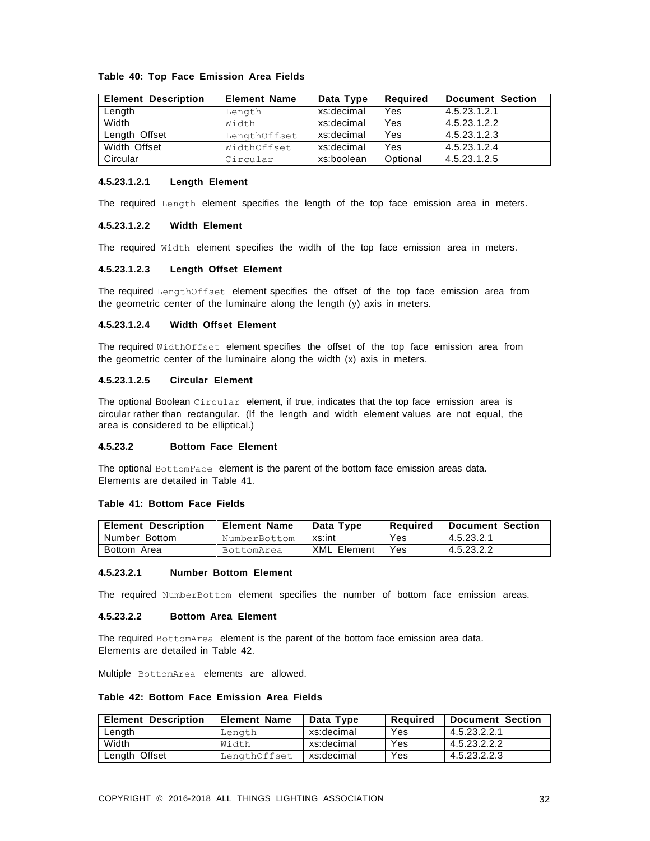#### **Table 40: Top Face Emission Area Fields**

| <b>Element Description</b> | <b>Element Name</b> | Data Type  | Required | <b>Document Section</b> |
|----------------------------|---------------------|------------|----------|-------------------------|
| Length                     | Length              | xs:decimal | Yes      | 4.5.23.1.2.1            |
| Width                      | Width               | xs:decimal | Yes      | 4.5.23.1.2.2            |
| Length Offset              | LengthOffset        | xs:decimal | Yes      | 4.5.23.1.2.3            |
| Width Offset               | WidthOffset         | xs:decimal | Yes      | 4.5.23.1.2.4            |
| Circular                   | Circular            | xs:boolean | Optional | 4.5.23.1.2.5            |

#### **4.5.23.1.2.1 Length Element**

The required Length element specifies the length of the top face emission area in meters.

#### **4.5.23.1.2.2 Width Element**

The required Width element specifies the width of the top face emission area in meters.

#### **4.5.23.1.2.3 Length Offset Element**

The required LengthOffset element specifies the offset of the top face emission area from the geometric center of the luminaire along the length (y) axis in meters.

#### **4.5.23.1.2.4 Width Offset Element**

The required WidthOffset element specifies the offset of the top face emission area from the geometric center of the luminaire along the width (x) axis in meters.

# **4.5.23.1.2.5 Circular Element**

The optional Boolean Circular element, if true, indicates that the top face emission area is circular rather than rectangular. (If the length and width element values are not equal, the area is considered to be elliptical.)

#### **4.5.23.2 Bottom Face Element**

The optional BottomFace element is the parent of the bottom face emission areas data. Elements are detailed in Table 41.

#### **Table 41: Bottom Face Fields**

| <b>Element Description</b> | <b>Element Name</b> | Data Type          | Reauired   | Document Section |
|----------------------------|---------------------|--------------------|------------|------------------|
| Number Bottom              | NumberBottom        | xs:int             | Yes        | 4.5.23.2.1       |
| Bottom Area                | BottomArea          | <b>XML Element</b> | <b>Yes</b> | 4.5.23.2.2       |

#### **4.5.23.2.1 Number Bottom Element**

The required NumberBottom element specifies the number of bottom face emission areas.

#### **4.5.23.2.2 Bottom Area Element**

The required BottomArea element is the parent of the bottom face emission area data. Elements are detailed in Table 42.

Multiple BottomArea elements are allowed.

#### **Table 42: Bottom Face Emission Area Fields**

| <b>Element Description</b> | <b>Element Name</b> | Data Type  | Reauired | <b>Document Section</b> |
|----------------------------|---------------------|------------|----------|-------------------------|
| Length                     | Length              | xs:decimal | Yes      | 4.5.23.2.2.1            |
| Width                      | Width               | xs:decimal | Yes      | 4.5.23.2.2.2            |
| Length Offset              | LengthOffset        | xs:decimal | Yes      | 4.5.23.2.2.3            |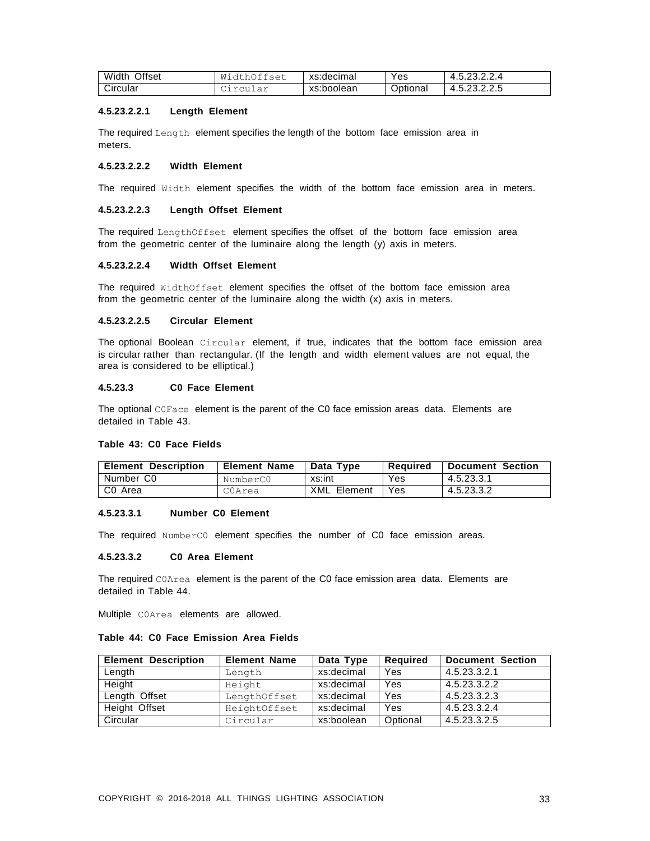| Width<br>Offset | M.<br>Dttset<br>$-1 + 5$ | xs:decimal | Yes      | $\sim$ $\sim$<br>つつ<br>$\Delta$<br>4.5.23.2.4. |
|-----------------|--------------------------|------------|----------|------------------------------------------------|
| Circular        | ircular                  | xs:boolean | Optional | 4.5.23.2.2.5                                   |

#### **4.5.23.2.2.1 Length Element**

The required Length element specifies the length of the bottom face emission area in meters.

# **4.5.23.2.2.2 Width Element**

The required Width element specifies the width of the bottom face emission area in meters.

#### **4.5.23.2.2.3 Length Offset Element**

The required LengthOffset element specifies the offset of the bottom face emission area from the geometric center of the luminaire along the length (y) axis in meters.

#### **4.5.23.2.2.4 Width Offset Element**

The required WidthOffset element specifies the offset of the bottom face emission area from the geometric center of the luminaire along the width (x) axis in meters.

# **4.5.23.2.2.5 Circular Element**

The optional Boolean Circular element, if true, indicates that the bottom face emission area is circular rather than rectangular. (If the length and width element values are not equal, the area is considered to be elliptical.)

# **4.5.23.3 C0 Face Element**

The optional C0Face element is the parent of the C0 face emission areas data. Elements are detailed in Table 43.

# **Table 43: C0 Face Fields**

| <b>Element Description</b> | <b>Element Name</b> | Data Type          | Reauired | <b>Document Section</b> |
|----------------------------|---------------------|--------------------|----------|-------------------------|
| Number C0                  | NumberCO            | xs:int             | Yes      | 4.5.23.3.1              |
| C0 Area                    | COArea              | <b>XML</b> Element | Yes      | 4.5.23.3.2              |

#### **4.5.23.3.1 Number C0 Element**

The required NumberC0 element specifies the number of C0 face emission areas.

#### **4.5.23.3.2 C0 Area Element**

The required C0Area element is the parent of the C0 face emission area data. Elements are detailed in Table 44.

Multiple C0Area elements are allowed.

#### **Table 44: C0 Face Emission Area Fields**

| <b>Element Description</b> | <b>Element Name</b> | Data Type  | Required | <b>Document Section</b> |
|----------------------------|---------------------|------------|----------|-------------------------|
| Length                     | Length              | xs:decimal | Yes      | 4.5.23.3.2.1            |
| Height                     | Height              | xs:decimal | Yes      | 4.5.23.3.2.2            |
| Length Offset              | LengthOffset        | xs:decimal | Yes      | 4.5.23.3.2.3            |
| Height Offset              | HeightOffset        | xs:decimal | Yes      | 4.5.23.3.2.4            |
| Circular                   | Circular            | xs:boolean | Optional | 4.5.23.3.2.5            |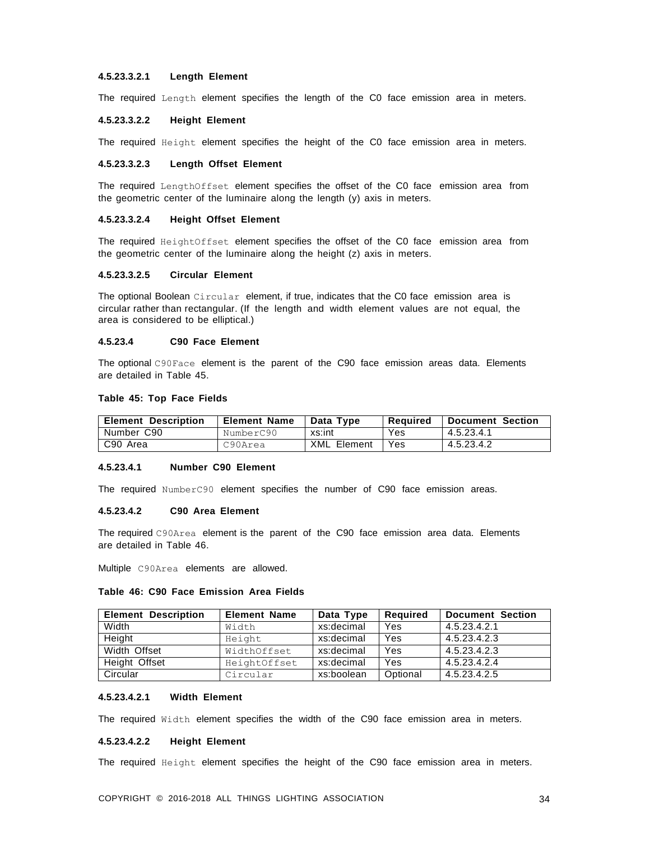# **4.5.23.3.2.1 Length Element**

The required Length element specifies the length of the C0 face emission area in meters.

#### **4.5.23.3.2.2 Height Element**

The required Height element specifies the height of the C0 face emission area in meters.

# **4.5.23.3.2.3 Length Offset Element**

The required LengthOffset element specifies the offset of the C0 face emission area from the geometric center of the luminaire along the length (y) axis in meters.

#### **4.5.23.3.2.4 Height Offset Element**

The required HeightOffset element specifies the offset of the C0 face emission area from the geometric center of the luminaire along the height (z) axis in meters.

#### **4.5.23.3.2.5 Circular Element**

The optional Boolean Circular element, if true, indicates that the C0 face emission area is circular rather than rectangular. (If the length and width element values are not equal, the area is considered to be elliptical.)

#### **4.5.23.4 C90 Face Element**

The optional C90Face element is the parent of the C90 face emission areas data. Elements are detailed in Table 45.

#### **Table 45: Top Face Fields**

| <b>Element Description</b> | <b>Element Name</b> | Data Type          | Reauired | l Document Section |
|----------------------------|---------------------|--------------------|----------|--------------------|
| Number C90                 | NumberC90           | xs:int             | Yes.     | 4.5.23.4.1         |
| C90 Area                   | C90Area             | <b>XML Element</b> | Yes      | 4.5.23.4.2         |

#### **4.5.23.4.1 Number C90 Element**

The required NumberC90 element specifies the number of C90 face emission areas.

#### **4.5.23.4.2 C90 Area Element**

The required C90Area element is the parent of the C90 face emission area data. Elements are detailed in Table 46.

Multiple C90Area elements are allowed.

# **Table 46: C90 Face Emission Area Fields**

| <b>Element Description</b> | <b>Element Name</b> | Data Type  | Required | <b>Document Section</b> |
|----------------------------|---------------------|------------|----------|-------------------------|
| Width                      | Width               | xs:decimal | Yes      | 4.5.23.4.2.1            |
| Height                     | Height              | xs:decimal | Yes      | 4.5.23.4.2.3            |
| Width Offset               | WidthOffset         | xs:decimal | Yes      | 4.5.23.4.2.3            |
| Height Offset              | HeightOffset        | xs:decimal | Yes      | 4.5.23.4.2.4            |
| Circular                   | Circular            | xs:boolean | Optional | 4.5.23.4.2.5            |

#### **4.5.23.4.2.1 Width Element**

The required Width element specifies the width of the C90 face emission area in meters.

### **4.5.23.4.2.2 Height Element**

The required Height element specifies the height of the C90 face emission area in meters.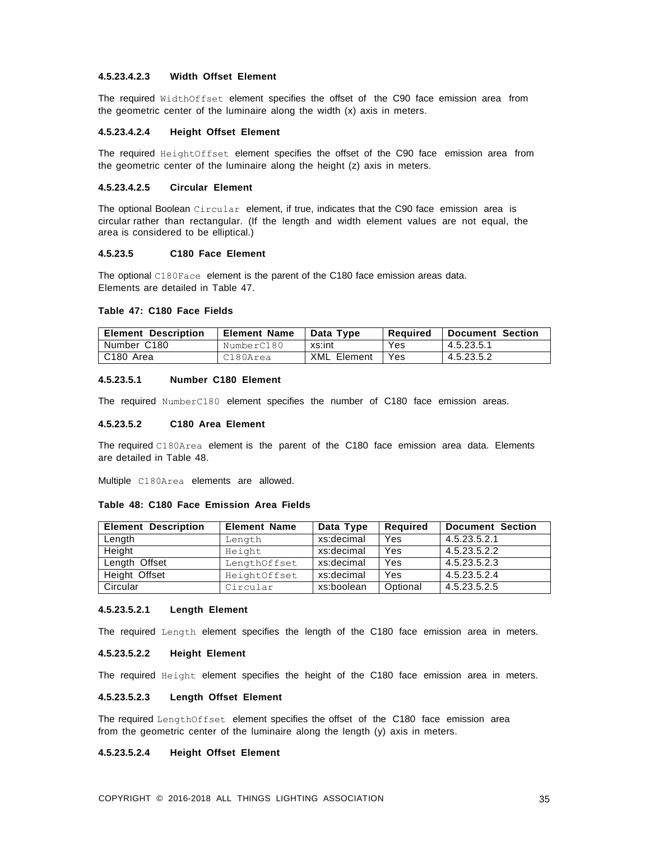# **4.5.23.4.2.3 Width Offset Element**

The required WidthOffset element specifies the offset of the C90 face emission area from the geometric center of the luminaire along the width (x) axis in meters.

#### **4.5.23.4.2.4 Height Offset Element**

The required HeightOffset element specifies the offset of the C90 face emission area from the geometric center of the luminaire along the height (z) axis in meters.

#### **4.5.23.4.2.5 Circular Element**

The optional Boolean Circular element, if true, indicates that the C90 face emission area is circular rather than rectangular. (If the length and width element values are not equal, the area is considered to be elliptical.)

#### **4.5.23.5 C180 Face Element**

The optional C180Face element is the parent of the C180 face emission areas data. Elements are detailed in Table 47.

### **Table 47: C180 Face Fields**

| <b>Element Description</b> | <b>Element Name</b> | Data Tvpe          | Reauired | l Document Section |
|----------------------------|---------------------|--------------------|----------|--------------------|
| Number C180                | NumberC180          | xs:int             | Yes      | 4.5.23.5.1         |
| C180 Area                  | C180Area            | <b>XML Element</b> | Yes.     | 4.5.23.5.2         |

#### **4.5.23.5.1 Number C180 Element**

The required NumberC180 element specifies the number of C180 face emission areas.

#### **4.5.23.5.2 C180 Area Element**

The required C180Area element is the parent of the C180 face emission area data. Elements are detailed in Table 48.

Multiple C180Area elements are allowed.

#### **Table 48: C180 Face Emission Area Fields**

| <b>Element Description</b> | <b>Element Name</b> | Data Type  | <b>Required</b> | <b>Document Section</b> |
|----------------------------|---------------------|------------|-----------------|-------------------------|
| Length                     | Length              | xs:decimal | Yes             | 4.5.23.5.2.1            |
| Height                     | Height              | xs:decimal | Yes             | 4.5.23.5.2.2            |
| Length Offset              | LengthOffset        | xs:decimal | Yes             | 4.5.23.5.2.3            |
| Height Offset              | HeightOffset        | xs:decimal | Yes             | 4.5.23.5.2.4            |
| Circular                   | Circular            | xs:boolean | Optional        | 4.5.23.5.2.5            |

#### **4.5.23.5.2.1 Length Element**

The required Length element specifies the length of the C180 face emission area in meters.

# **4.5.23.5.2.2 Height Element**

The required Height element specifies the height of the C180 face emission area in meters.

#### **4.5.23.5.2.3 Length Offset Element**

The required LengthOffset element specifies the offset of the C180 face emission area from the geometric center of the luminaire along the length (y) axis in meters.

# **4.5.23.5.2.4 Height Offset Element**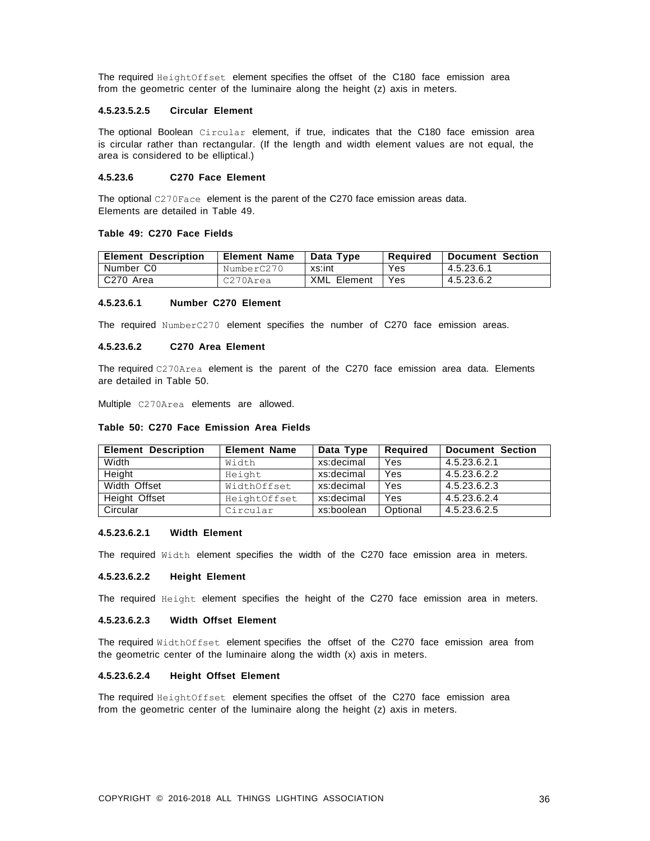The required HeightOffset element specifies the offset of the C180 face emission area from the geometric center of the luminaire along the height (z) axis in meters.

## **4.5.23.5.2.5 Circular Element**

The optional Boolean Circular element, if true, indicates that the C180 face emission area is circular rather than rectangular. (If the length and width element values are not equal, the area is considered to be elliptical.)

# **4.5.23.6 C270 Face Element**

The optional C270Face element is the parent of the C270 face emission areas data. Elements are detailed in Table 49.

#### **Table 49: C270 Face Fields**

| <b>Element Description</b> | <b>Element Name</b> | Data Type          | Reauired | <b>Document Section</b> |
|----------------------------|---------------------|--------------------|----------|-------------------------|
| Number C0                  | NumberC270          | xs:int             | Yes      | 4.5.23.6.1              |
| C270 Area                  | C270Area            | <b>XML</b> Element | Yes      | 4.5.23.6.2              |

### **4.5.23.6.1 Number C270 Element**

The required NumberC270 element specifies the number of C270 face emission areas.

#### **4.5.23.6.2 C270 Area Element**

The required C270Area element is the parent of the C270 face emission area data. Elements are detailed in Table 50.

Multiple C270Area elements are allowed.

| <b>Element Description</b> | <b>Element Name</b> | Data Type  | <b>Required</b> | <b>Document Section</b> |
|----------------------------|---------------------|------------|-----------------|-------------------------|
| Width                      | Width               | xs:decimal | Yes             | 4.5.23.6.2.1            |
| Height                     | Height              | xs:decimal | Yes             | 4.5.23.6.2.2            |
| Width Offset               | WidthOffset         | xs:decimal | Yes             | 4.5.23.6.2.3            |
| Height Offset              | HeightOffset        | xs:decimal | Yes             | 4.5.23.6.2.4            |
| Circular                   | Circular            | xs:boolean | Optional        | 4.5.23.6.2.5            |

# **Table 50: C270 Face Emission Area Fields**

#### **4.5.23.6.2.1 Width Element**

The required Width element specifies the width of the C270 face emission area in meters.

#### **4.5.23.6.2.2 Height Element**

The required Height element specifies the height of the C270 face emission area in meters.

# **4.5.23.6.2.3 Width Offset Element**

The required WidthOffset element specifies the offset of the C270 face emission area from the geometric center of the luminaire along the width (x) axis in meters.

#### **4.5.23.6.2.4 Height Offset Element**

The required HeightOffset element specifies the offset of the C270 face emission area from the geometric center of the luminaire along the height (z) axis in meters.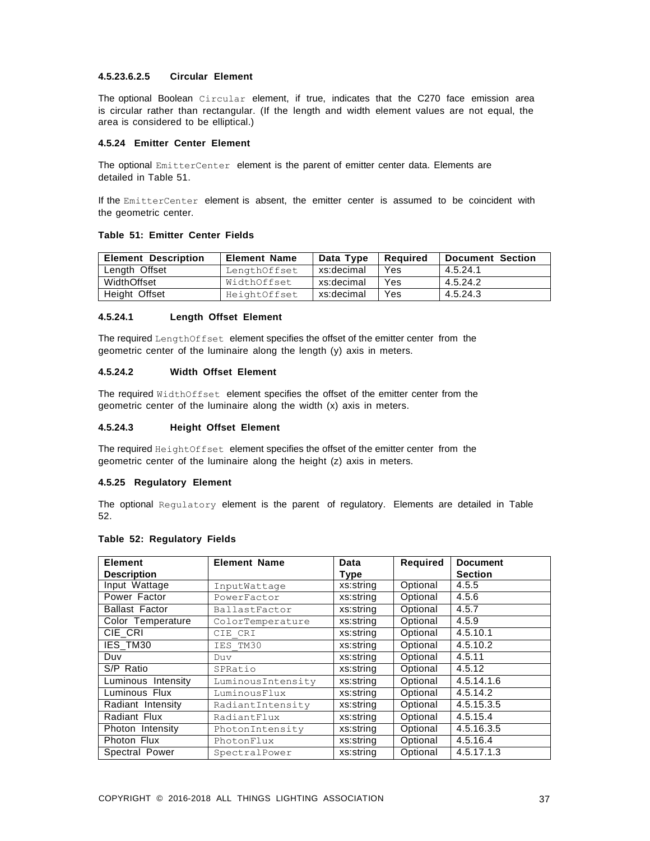# **4.5.23.6.2.5 Circular Element**

The optional Boolean Circular element, if true, indicates that the C270 face emission area is circular rather than rectangular. (If the length and width element values are not equal, the area is considered to be elliptical.)

#### <span id="page-35-0"></span>**4.5.24 Emitter Center Element**

The optional EmitterCenter element is the parent of emitter center data. Elements are detailed in Table 51.

If the EmitterCenter element is absent, the emitter center is assumed to be coincident with the geometric center.

#### **Table 51: Emitter Center Fields**

| <b>Element Description</b> | <b>Element Name</b> | Data Type  | Reauired | <b>Document Section</b> |
|----------------------------|---------------------|------------|----------|-------------------------|
| Length Offset              | LengthOffset        | xs:decimal | Yes      | 4.5.24.1                |
| WidthOffset                | WidthOffset         | xs:decimal | Yes      | 4.5.24.2                |
| Height Offset              | HeightOffset        | xs:decimal | Yes      | 4.5.24.3                |

#### **4.5.24.1 Length Offset Element**

The required LengthOffset element specifies the offset of the emitter center from the geometric center of the luminaire along the length (y) axis in meters.

# **4.5.24.2 Width Offset Element**

The required WidthOffset element specifies the offset of the emitter center from the geometric center of the luminaire along the width (x) axis in meters.

# **4.5.24.3 Height Offset Element**

The required HeightOffset element specifies the offset of the emitter center from the geometric center of the luminaire along the height (z) axis in meters.

#### <span id="page-35-1"></span>**4.5.25 Regulatory Element**

The optional Regulatory element is the parent of regulatory. Elements are detailed in Table 52.

# **Table 52: Regulatory Fields**

| <b>Element</b>        | <b>Element Name</b> | Data        | <b>Required</b> | <b>Document</b> |
|-----------------------|---------------------|-------------|-----------------|-----------------|
| <b>Description</b>    |                     | <b>Type</b> |                 | <b>Section</b>  |
| Input Wattage         | InputWattage        | xs:string   | Optional        | 4.5.5           |
| Power Factor          | PowerFactor         | xs:string   | Optional        | 4.5.6           |
| <b>Ballast Factor</b> | BallastFactor       | xs:string   | Optional        | 4.5.7           |
| Color Temperature     | ColorTemperature    | xs:string   | Optional        | 4.5.9           |
| CIE_CRI               | CIE CRI             | xs:string   | Optional        | 4.5.10.1        |
| IES_TM30              | IES TM30            | xs:string   | Optional        | 4.5.10.2        |
| Duv                   | Duv                 | xs:string   | Optional        | 4.5.11          |
| S/P Ratio             | SPRatio             | xs:string   | Optional        | 4.5.12          |
| Luminous Intensity    | LuminousIntensity   | xs:string   | Optional        | 4.5.14.1.6      |
| Luminous Flux         | LuminousFlux        | xs:string   | Optional        | 4.5.14.2        |
| Radiant Intensity     | RadiantIntensity    | xs:string   | Optional        | 4.5.15.3.5      |
| Radiant Flux          | RadiantFlux         | xs:string   | Optional        | 4.5.15.4        |
| Photon Intensity      | PhotonIntensity     | xs:string   | Optional        | 4.5.16.3.5      |
| Photon Flux           | PhotonFlux          | xs:string   | Optional        | 4.5.16.4        |
| Spectral Power        | SpectralPower       | xs:string   | Optional        | 4.5.17.1.3      |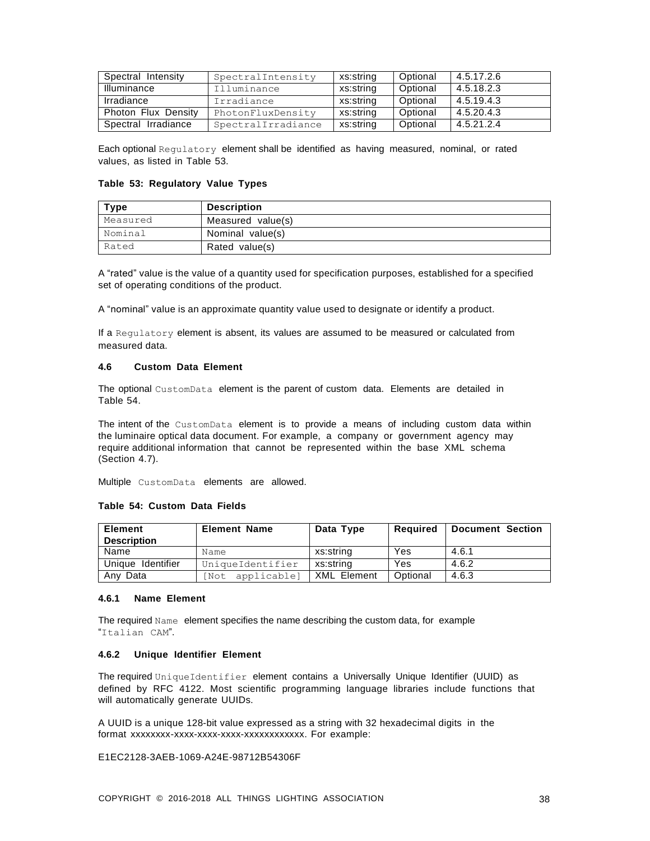| Spectral Intensity  | SpectralIntensity  | xs:string | Optional | 4.5.17.2.6 |
|---------------------|--------------------|-----------|----------|------------|
| Illuminance         | Illuminance        | xs:string | Optional | 4.5.18.2.3 |
| Irradiance          | Irradiance         | xs:string | Optional | 4.5.19.4.3 |
| Photon Flux Density | PhotonFluxDensity  | xs:string | Optional | 4.5.20.4.3 |
| Spectral Irradiance | SpectralIrradiance | xs:string | Optional | 4.5.21.2.4 |

Each optional Regulatory element shall be identified as having measured, nominal, or rated values, as listed in Table 53.

#### **Table 53: Regulatory Value Types**

| <b>Type</b> | <b>Description</b> |
|-------------|--------------------|
| Measured    | Measured value(s)  |
| Nominal     | Nominal value(s)   |
| Rated       | Rated value(s)     |

A "rated" value is the value of a quantity used for specification purposes, established for a specified set of operating conditions of the product.

A "nominal" value is an approximate quantity value used to designate or identify a product.

If a Regulatory element is absent, its values are assumed to be measured or calculated from measured data.

# <span id="page-36-0"></span>**4.6 Custom Data Element**

The optional CustomData element is the parent of custom data. Elements are detailed in Table 54.

The intent of the CustomData element is to provide a means of including custom data within the luminaire optical data document. For example, a company or government agency may require additional information that cannot be represented within the base XML schema (Section 4.7).

Multiple CustomData elements are allowed.

#### **Table 54: Custom Data Fields**

| <b>Element</b>     | <b>Element Name</b> | Data Type          | Reauired | <b>Document Section</b> |
|--------------------|---------------------|--------------------|----------|-------------------------|
| <b>Description</b> |                     |                    |          |                         |
| Name               | Name                | xs:string          | Yes      | 4.6.1                   |
| Unique Identifier  | UniqueIdentifier    | xs:string          | Yes      | 4.6.2                   |
| Any Data           | applicablel<br>Not  | <b>XML Element</b> | Optional | 4.6.3                   |

### <span id="page-36-1"></span>**4.6.1 Name Element**

The required Name element specifies the name describing the custom data, for example "Italian CAM".

# <span id="page-36-2"></span>**4.6.2 Unique Identifier Element**

The required UniqueIdentifier element contains a Universally Unique Identifier (UUID) as defined by RFC 4122. Most scientific programming language libraries include functions that will automatically generate UUIDs.

A UUID is a unique 128-bit value expressed as a string with 32 hexadecimal digits in the format xxxxxxxx-xxxx-xxxx-xxxx-xxxxxxxxxxxx. For example:

E1EC2128-3AEB-1069-A24E-98712B54306F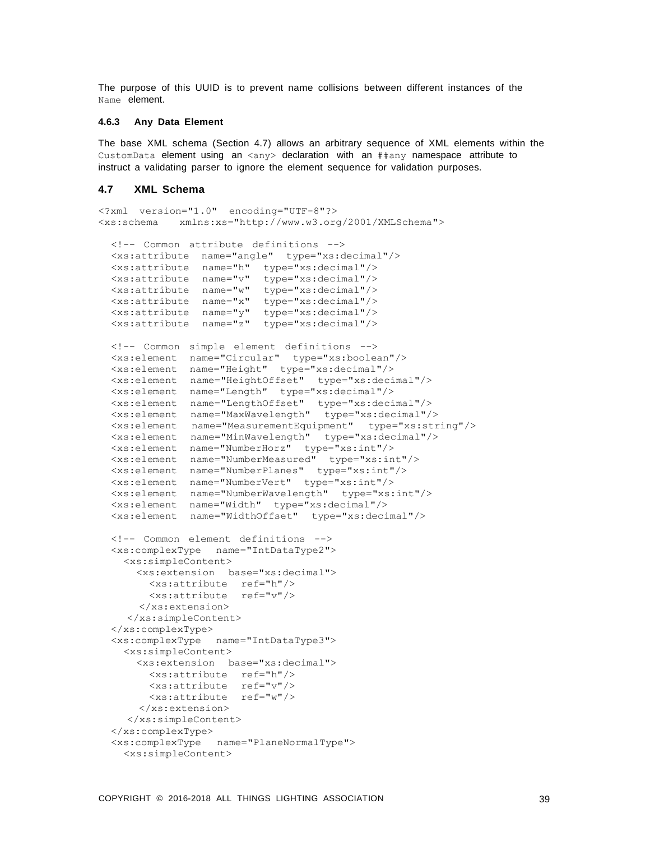The purpose of this UUID is to prevent name collisions between different instances of the Name element.

# <span id="page-37-0"></span>**4.6.3 Any Data Element**

The base XML schema (Section 4.7) allows an arbitrary sequence of XML elements within the CustomData element using an  $\langle \text{any} \rangle$  declaration with an  $\# \# \text{any}$  namespace attribute to instruct a validating parser to ignore the element sequence for validation purposes.

# <span id="page-37-1"></span>**4.7 XML Schema**

```
<?xml version="1.0" encoding="UTF-8"?>
<xs:schema xmlns:xs="http://www.w3.org/2001/XMLSchema">
  <!-- Common attribute definitions -->
  <xs:attribute name="angle" type="xs:decimal"/>
  <xs:attribute name="h" type="xs:decimal"/>
  <xs:attribute name="v" type="xs:decimal"/>
  <xs:attribute name="w" type="xs:decimal"/>
  <xs:attribute name="x" type="xs:decimal"/>
  <xs:attribute name="y" type="xs:decimal"/>
  <xs:attribute name="z" type="xs:decimal"/>
  <!-- Common simple element definitions -->
  <xs:element name="Circular" type="xs:boolean"/>
  <xs:element name="Height" type="xs:decimal"/>
  <xs:element name="HeightOffset" type="xs:decimal"/>
  <xs:element name="Length" type="xs:decimal"/>
  <xs:element name="LengthOffset" type="xs:decimal"/>
  <xs:element name="MaxWavelength" type="xs:decimal"/>
  <xs:element name="MeasurementEquipment" type="xs:string"/>
  <xs:element name="MinWavelength" type="xs:decimal"/>
  <xs:element name="NumberHorz" type="xs:int"/>
  <xs:element name="NumberMeasured" type="xs:int"/>
  <xs:element name="NumberPlanes" type="xs:int"/>
  <xs:element name="NumberVert" type="xs:int"/>
  <xs:element name="NumberWavelength" type="xs:int"/>
  <xs:element name="Width" type="xs:decimal"/>
  <xs:element name="WidthOffset" type="xs:decimal"/>
  <!-- Common element definitions -->
  <xs:complexType name="IntDataType2">
    <xs:simpleContent>
      <xs:extension base="xs:decimal">
        <xs:attribute ref="h"/>
        <xs:attribute ref="v"/>
      </xs:extension>
    </xs:simpleContent>
  </xs:complexType>
  <xs:complexType name="IntDataType3">
    <xs:simpleContent>
      <xs:extension base="xs:decimal">
        <xs:attribute ref="h"/>
        <xs:attribute ref="v"/>
        <xs:attribute ref="w"/>
      </xs:extension>
    </xs:simpleContent>
  </xs:complexType>
  <xs:complexType name="PlaneNormalType">
    <xs:simpleContent>
```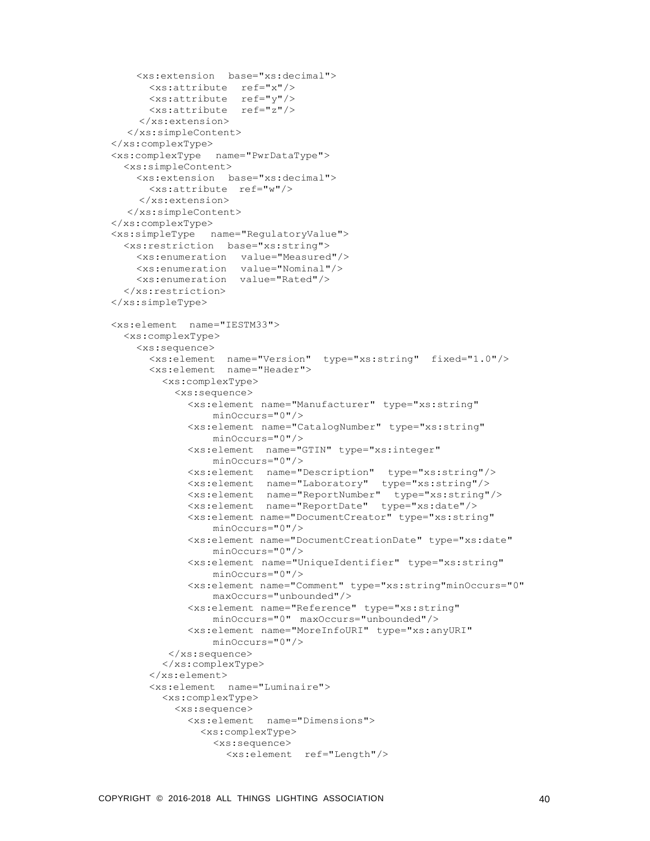```
<xs:extension base="xs:decimal">
      <xs:attribute ref="x"/>
      <xs:attribute ref="y"/>
      <xs:attribute ref="z"/>
    </xs:extension>
  </xs:simpleContent>
</xs:complexType>
<xs:complexType name="PwrDataType">
 <xs:simpleContent>
    <xs:extension base="xs:decimal">
      <xs:attribute ref="w"/>
    </xs:extension>
  </xs:simpleContent>
</xs:complexType>
<xs:simpleType name="RegulatoryValue">
  <xs:restriction base="xs:string">
    <xs:enumeration value="Measured"/>
    <xs:enumeration value="Nominal"/>
    <xs:enumeration value="Rated"/>
  </xs:restriction>
</xs:simpleType>
<xs:element name="IESTM33">
 <xs:complexType>
    <xs:sequence>
      <xs:element name="Version" type="xs:string" fixed="1.0"/>
      <xs:element name="Header">
        <xs:complexType>
          <xs:sequence>
            <xs:element name="Manufacturer" type="xs:string"
                minOccurs="0"/>
            <xs:element name="CatalogNumber" type="xs:string"
                minOccurs="0"/>
            <xs:element name="GTIN" type="xs:integer"
                minOccurs="0"/>
            <xs:element name="Description" type="xs:string"/>
            <xs:element name="Laboratory" type="xs:string"/>
            <xs:element name="ReportNumber" type="xs:string"/>
            <xs:element name="ReportDate" type="xs:date"/>
            <xs:element name="DocumentCreator" type="xs:string"
                minOccurs="0"/>
            <xs:element name="DocumentCreationDate" type="xs:date"
                minOccurs="0"/>
            <xs:element name="UniqueIdentifier" type="xs:string"
                minOccurs="0"/>
            <xs:element name="Comment" type="xs:string"minOccurs="0"
                maxOccurs="unbounded"/>
            <xs:element name="Reference" type="xs:string"
                minOccurs="0" maxOccurs="unbounded"/>
            <xs:element name="MoreInfoURI" type="xs:anyURI"
                minOccurs="0"/>
         </xs:sequence>
        </xs:complexType>
      </xs:element>
      <xs:element name="Luminaire">
        <xs:complexType>
          <xs:sequence>
            <xs:element name="Dimensions">
              <xs:complexType>
                <xs:sequence>
                  <xs:element ref="Length"/>
```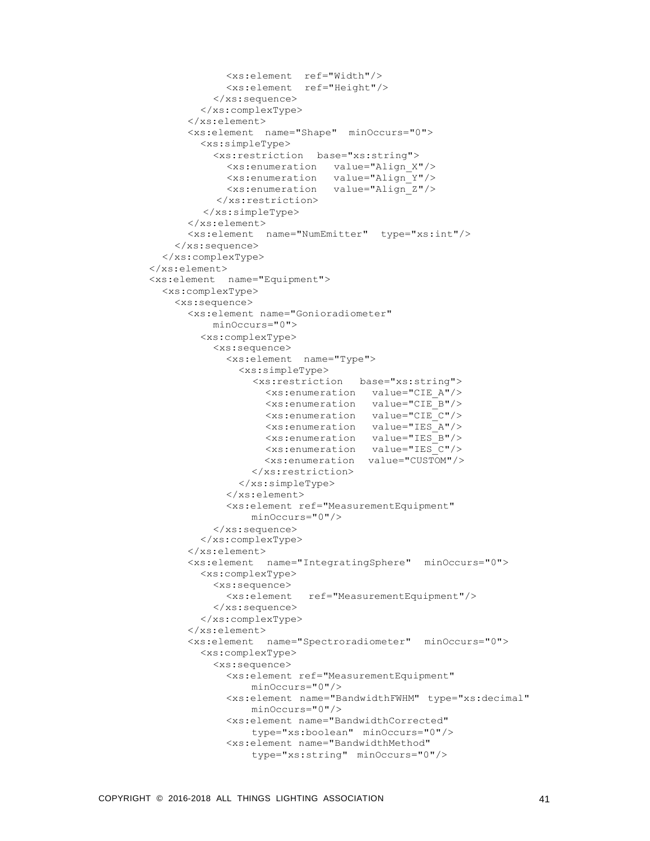```
<xs:element ref="Width"/>
            <xs:element ref="Height"/>
          </xs:sequence>
        </xs:complexType>
      </xs:element>
      <xs:element name="Shape" minOccurs="0">
        <xs:simpleType>
          <xs:restriction base="xs:string">
            <xs:enumeration value="Align_X"/>
            <xs:enumeration value="Align_Y"/>
            <xs:enumeration value="Align_Z"/>
          </xs:restriction>
        </xs:simpleType>
      </xs:element>
      <xs:element name="NumEmitter" type="xs:int"/>
    </xs:sequence>
  </xs:complexType>
</xs:element>
<xs:element name="Equipment">
  <xs:complexType>
    <xs:sequence>
      <xs:element name="Gonioradiometer"
          minOccurs="0">
        <xs:complexType>
          <xs:sequence>
            <xs:element name="Type">
              <xs:simpleType>
                <xs:restriction base="xs:string">
                   <xs:enumeration value="CIE_A"/>
                   <xs:enumeration value="CIE_B"/>
                   <xs:enumeration value="CIE_C"/>
                   <xs:enumeration value="IES_A"/>
                  <xs:enumeration value="IES_B"/>
                   <xs:enumeration value="IES_C"/>
                  <xs:enumeration value="CUSTOM"/>
                </xs:restriction>
              </xs:simpleType>
            </xs:element>
            <xs:element ref="MeasurementEquipment"
                minOccurs="0"/>
          </xs:sequence>
        </xs:complexType>
      </xs:element>
      <xs:element name="IntegratingSphere" minOccurs="0">
        <xs:complexType>
          <xs:sequence>
            <xs:element ref="MeasurementEquipment"/>
          </xs:sequence>
        </xs:complexType>
      </xs:element>
      <xs:element name="Spectroradiometer" minOccurs="0">
        <xs:complexType>
          <xs:sequence>
            <xs:element ref="MeasurementEquipment"
                minOccurs="0"/>
            <xs:element name="BandwidthFWHM" type="xs:decimal"
                minOccurs="0"/>
            <xs:element name="BandwidthCorrected"
                type="xs:boolean" minOccurs="0"/>
            <xs:element name="BandwidthMethod"
                type="xs:string" minOccurs="0"/>
```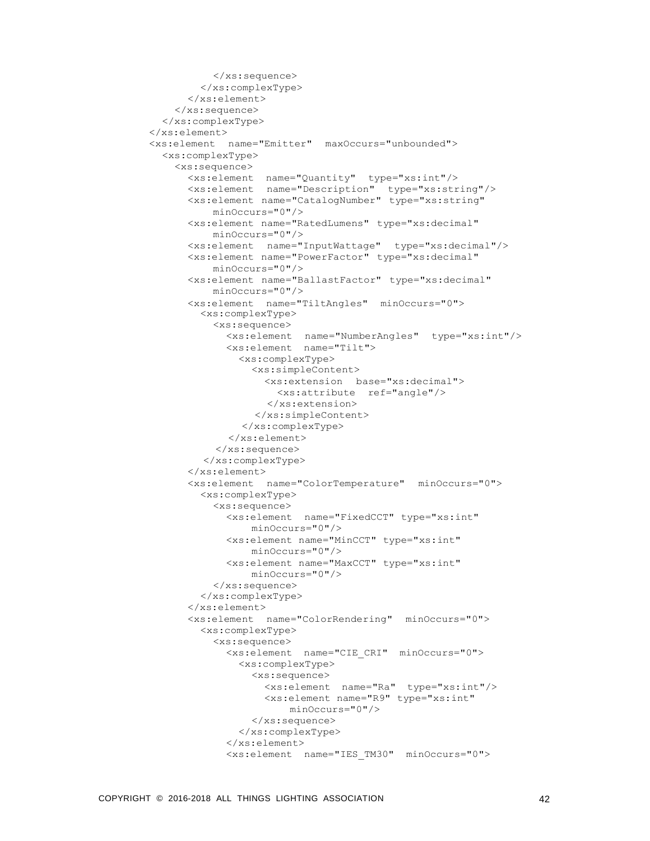```
</xs:sequence>
        </xs:complexType>
      </xs:element>
    </xs:sequence>
  </xs:complexType>
</xs:element>
<xs:element name="Emitter" maxOccurs="unbounded">
  <xs:complexType>
    <xs:sequence>
      <xs:element name="Quantity" type="xs:int"/>
      <xs:element name="Description" type="xs:string"/>
      <xs:element name="CatalogNumber" type="xs:string"
          minOccurs="0"/>
      <xs:element name="RatedLumens" type="xs:decimal"
          minOccurs="0"/>
      <xs:element name="InputWattage" type="xs:decimal"/>
      <xs:element name="PowerFactor" type="xs:decimal"
          minOccurs="0"/>
      <xs:element name="BallastFactor" type="xs:decimal"
          minOccurs="0"/>
      <xs:element name="TiltAngles" minOccurs="0">
        <xs:complexType>
          <xs:sequence>
            <xs:element name="NumberAngles" type="xs:int"/>
            <xs:element name="Tilt">
              <xs:complexType>
                <xs:simpleContent>
                   <xs:extension base="xs:decimal">
                     <xs:attribute ref="angle"/>
                   </xs:extension>
                 </xs:simpleContent>
               </xs:complexType>
            </xs:element>
          </xs:sequence>
         </xs:complexType>
      </xs:element>
      <xs:element name="ColorTemperature" minOccurs="0">
        <xs:complexType>
          <xs:sequence>
            <xs:element name="FixedCCT" type="xs:int"
                minOccurs="0"/>
            <xs:element name="MinCCT" type="xs:int"
                minOccurs="0"/>
            <xs:element name="MaxCCT" type="xs:int"
                minOccurs="0"/>
          </xs:sequence>
        </xs:complexType>
      </xs:element>
      <xs:element name="ColorRendering" minOccurs="0">
        <xs:complexType>
          <xs:sequence>
            <xs:element name="CIE_CRI" minOccurs="0">
              <xs:complexType>
                <xs:sequence>
                   <xs:element name="Ra" type="xs:int"/>
                   <xs:element name="R9" type="xs:int"
                      minOccurs="0"/>
                </xs:sequence>
              </xs:complexType>
            </xs:element>
            <xs:element name="IES_TM30" minOccurs="0">
```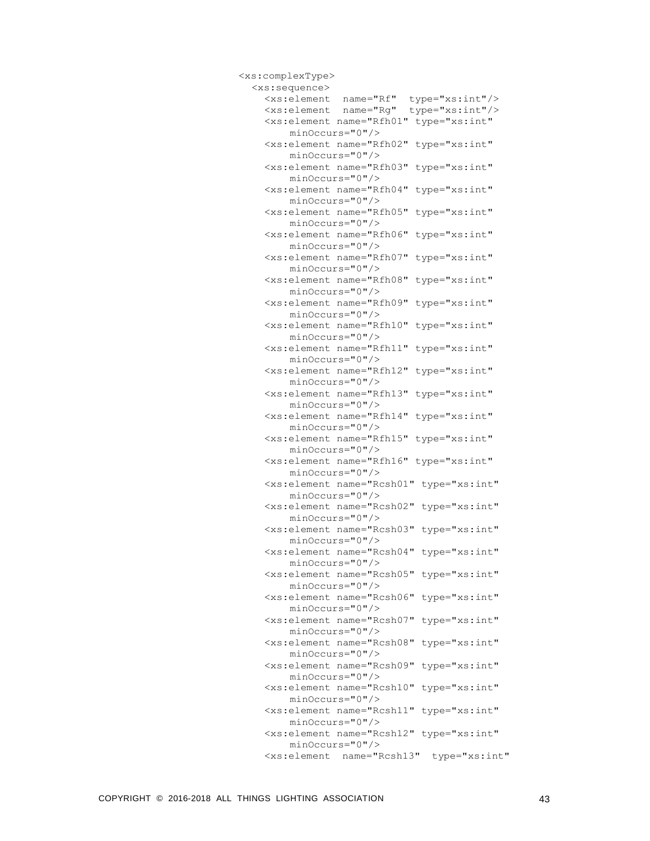| <xs:complextype></xs:complextype>                                                              |
|------------------------------------------------------------------------------------------------|
| <xs:sequence></xs:sequence>                                                                    |
| type="xs:int"/><br><xs:element <="" name="Rf" td=""></xs:element>                              |
| type="xs:int"/><br><xs:element <="" name="Rg" td=""></xs:element>                              |
| <xs:element <br="" name="Rfh01">type="xs:int"</xs:element>                                     |
| minOccurs="0"/>                                                                                |
| <xs:element <br="" name="Rfh02">type="xs:int"</xs:element>                                     |
| minOccurs="0"/>                                                                                |
| <xs:element <br="" name="Rfh03">type="xs:int"</xs:element>                                     |
| minOccurs="0"/>                                                                                |
| <xs:element <br="" name="Rfh04">type="xs:int"</xs:element>                                     |
| $minOccurs="0"$ />                                                                             |
| <xs:element <br="" name="Rfh05">type="xs:int"<br/><math>minOccurs="0"</math>/&gt;</xs:element> |
| <xs:element <br="" name="Rfh06">type="xs:int"</xs:element>                                     |
| minOccurs="0"/>                                                                                |
| <xs:element <br="" name="Rfh07">type="xs:int"</xs:element>                                     |
| $minOccurs="0"$ />                                                                             |
| <xs:element <br="" name="Rfh08">type="xs:int"</xs:element>                                     |
| $minOccurs="0"$ />                                                                             |
| <xs:element <br="" name="Rfh09">type="xs:int"</xs:element>                                     |
| minOccurs="0"/>                                                                                |
| <xs:element <br="" name="Rfh10">type="xs:int"</xs:element>                                     |
| minOccurs="0"/>                                                                                |
| <xs:element <br="" name="Rfh11">type="xs:int"</xs:element>                                     |
| $minOccurs="0"$ />                                                                             |
| <xs:element <br="" name="Rfh12">type="xs:int"</xs:element>                                     |
| $minOccurs="0"$ />                                                                             |
| <xs:element <br="" name="Rfh13">type="xs:int"</xs:element>                                     |
| $minOccurs = "0"$                                                                              |
| <xs:element <br="" name="Rfh14">type="xs:int"</xs:element>                                     |
| $minOccurs="0"$ />                                                                             |
| <xs:element <br="" name="Rfh15">type="xs:int"</xs:element>                                     |
| $minOccurs = "0"$                                                                              |
| <xs:element <="" name="Rfh16" td="" type="xs:int"></xs:element>                                |
| $minOccurs="0"$ />                                                                             |
| <xs:element <="" name="Rcsh01" td="" type="xs:int"></xs:element>                               |
| $minOccurs="0"$ />                                                                             |
| <xs:element <="" name="Rcsh02" td="" type="xs:int"></xs:element>                               |
| $minOccurs="0"$ />                                                                             |
| <xs:element <="" name="Rcsh03" td="" type="xs:int"></xs:element>                               |
| $minOccurs="0"$ />                                                                             |
| <xs:element <="" name="Rcsh04" td="" type="xs:int"></xs:element>                               |
| $minOccurs="0"$ />                                                                             |
| <xs:element <="" name="Rcsh05" td="" type="xs:int"></xs:element>                               |
| minOccurs="0"/>                                                                                |
| <xs:element <="" name="Rcsh06" td="" type="xs:int"></xs:element>                               |
| $minOccurs="0"$ />                                                                             |
| type="xs:int"<br><xs:element <br="" name="Rcsh07"><math>minOccurs="0"</math>/&gt;</xs:element> |
| <xs:element <br="" name="Rcsh08">type="xs:int"</xs:element>                                    |
| minOccurs="0"/>                                                                                |
| <xs:element <br="" name="Rcsh09">type="xs:int"</xs:element>                                    |
| minOccurs="0"/>                                                                                |
| <xs:element <="" name="Rcsh10" td="" type="xs:int"></xs:element>                               |
| minOccurs="0"/>                                                                                |
| <xs:element <="" name="Rcsh11" td="" type="xs:int"></xs:element>                               |
| $minOccurs="0"$ />                                                                             |
| <xs:element <="" name="Rcsh12" td="" type="xs:int"></xs:element>                               |
| $minOccurs="0"$ />                                                                             |
| <xs:element <br="" name="Rcsh13">type="xs:int"</xs:element>                                    |
|                                                                                                |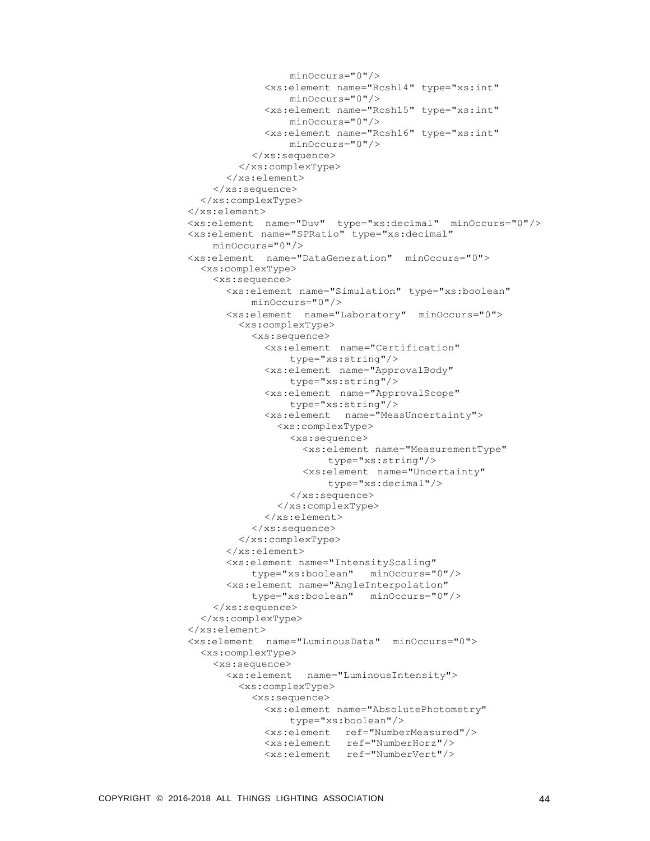```
minOccurs="0"/>
             <xs:element name="Rcsh14" type="xs:int"
                 minOccurs="0"/>
             <xs:element name="Rcsh15" type="xs:int"
                minOccurs="0"/>
             <xs:element name="Rcsh16" type="xs:int"
                minOccurs="0"/>
          </xs:sequence>
        </xs:complexType>
      </xs:element>
    </xs:sequence>
  </xs:complexType>
</xs:element>
<xs:element name="Duv" type="xs:decimal" minOccurs="0"/>
<xs:element name="SPRatio" type="xs:decimal"
    minOccurs="0"/>
<xs:element name="DataGeneration" minOccurs="0">
  <xs:complexType>
    <xs:sequence>
      <xs:element name="Simulation" type="xs:boolean"
          minOccurs="0"/>
      <xs:element name="Laboratory" minOccurs="0">
        <xs:complexType>
          <xs:sequence>
             <xs:element name="Certification"
                 type="xs:string"/>
            <xs:element name="ApprovalBody"
                type="xs:string"/>
            <xs:element name="ApprovalScope"
                type="xs:string"/>
            <xs:element name="MeasUncertainty">
               <xs:complexType>
                 <xs:sequence>
                   <xs:element name="MeasurementType"
                       type="xs:string"/>
                   <xs:element name="Uncertainty"
                       type="xs:decimal"/>
                 </xs:sequence>
               </xs:complexType>
            </xs:element>
          </xs:sequence>
        </xs:complexType>
      </xs:element>
      <xs:element name="IntensityScaling"
          type="xs:boolean" minOccurs="0"/>
      <xs:element name="AngleInterpolation"
          type="xs:boolean" minOccurs="0"/>
    </xs:sequence>
  </xs:complexType>
</xs:element>
<xs:element name="LuminousData" minOccurs="0">
  <xs:complexType>
    <xs:sequence>
      <xs:element name="LuminousIntensity">
        <xs:complexType>
          <xs:sequence>
            <xs:element name="AbsolutePhotometry"
                 type="xs:boolean"/>
            <xs:element ref="NumberMeasured"/>
            <xs:element ref="NumberHorz"/>
            <xs:element ref="NumberVert"/>
```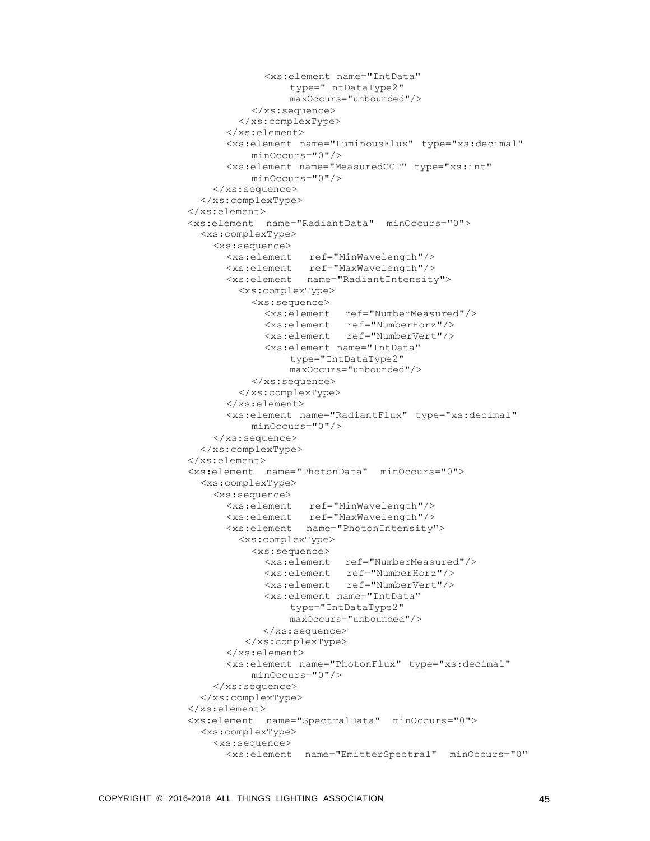```
<xs:element name="IntData"
                 type="IntDataType2"
                maxOccurs="unbounded"/>
          </xs:sequence>
        </xs:complexType>
      </xs:element>
      <xs:element name="LuminousFlux" type="xs:decimal"
          minOccurs="0"/>
      <xs:element name="MeasuredCCT" type="xs:int"
          minOccurs="0"/>
    </xs:sequence>
  </xs:complexType>
</xs:element>
<xs:element name="RadiantData" minOccurs="0">
  <xs:complexType>
    <xs:sequence>
      <xs:element ref="MinWavelength"/>
      <xs:element ref="MaxWavelength"/>
      <xs:element name="RadiantIntensity">
        <xs:complexType>
          <xs:sequence>
            <xs:element ref="NumberMeasured"/>
            <xs:element ref="NumberHorz"/>
            <xs:element ref="NumberVert"/>
            <xs:element name="IntData"
                 type="IntDataType2"
                maxOccurs="unbounded"/>
          </xs:sequence>
        </xs:complexType>
      </xs:element>
      <xs:element name="RadiantFlux" type="xs:decimal"
          minOccurs="0"/>
    </xs:sequence>
  </xs:complexType>
</xs:element>
<xs:element name="PhotonData" minOccurs="0">
  <xs:complexType>
    <xs:sequence>
      <xs:element ref="MinWavelength"/>
      <xs:element ref="MaxWavelength"/>
      <xs:element name="PhotonIntensity">
        <xs:complexType>
          <xs:sequence>
            <xs:element ref="NumberMeasured"/>
            <xs:element ref="NumberHorz"/>
            <xs:element ref="NumberVert"/>
            <xs:element name="IntData"
                type="IntDataType2"
                maxOccurs="unbounded"/>
            </xs:sequence>
         </xs:complexType>
      </xs:element>
      <xs:element name="PhotonFlux" type="xs:decimal"
          minOccurs="0"/>
    </xs:sequence>
  </xs:complexType>
</xs:element>
<xs:element name="SpectralData" minOccurs="0">
  <xs:complexType>
    <xs:sequence>
      <xs:element name="EmitterSpectral" minOccurs="0"
```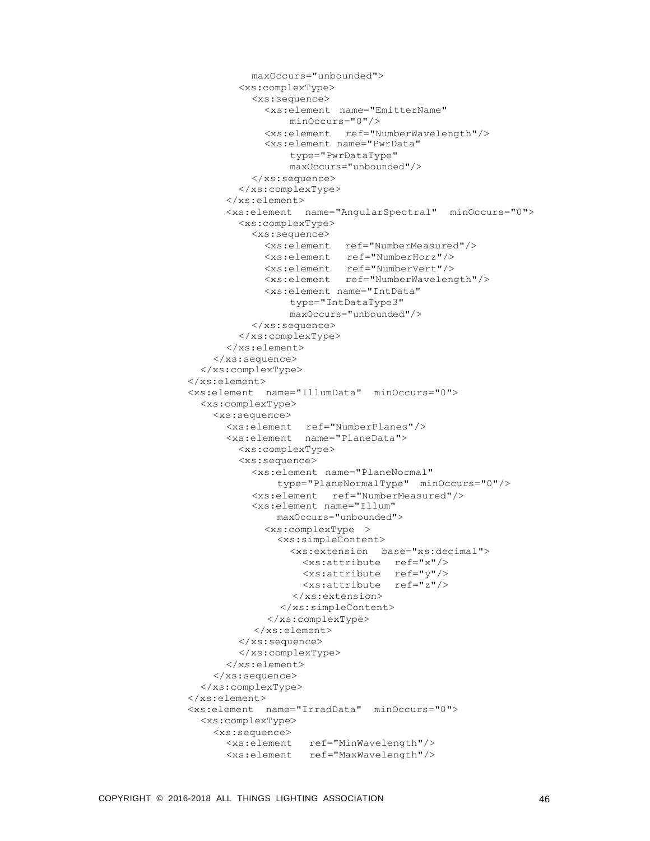```
maxOccurs="unbounded">
        <xs:complexType>
          <xs:sequence>
            <xs:element name="EmitterName"
                minOccurs="0"/>
            <xs:element ref="NumberWavelength"/>
            <xs:element name="PwrData"
                 type="PwrDataType"
                maxOccurs="unbounded"/>
          </xs:sequence>
        </xs:complexType>
      </xs:element>
      <xs:element name="AngularSpectral" minOccurs="0">
        <xs:complexType>
          <xs:sequence>
            <xs:element ref="NumberMeasured"/>
            <xs:element ref="NumberHorz"/>
            <xs:element ref="NumberVert"/>
            <xs:element ref="NumberWavelength"/>
            <xs:element name="IntData"
                type="IntDataType3"
                maxOccurs="unbounded"/>
          </xs:sequence>
        </xs:complexType>
      </xs:element>
    </xs:sequence>
  </xs:complexType>
</xs:element>
<xs:element name="IllumData" minOccurs="0">
  <xs:complexType>
    <xs:sequence>
      <xs:element ref="NumberPlanes"/>
      <xs:element name="PlaneData">
        <xs:complexType>
        <xs:sequence>
          <xs:element name="PlaneNormal"
              type="PlaneNormalType" minOccurs="0"/>
          <xs:element ref="NumberMeasured"/>
          <xs:element name="Illum"
              maxOccurs="unbounded">
            <xs:complexType >
              <xs:simpleContent>
                <xs:extension base="xs:decimal">
                   <xs:attribute ref="x"/>
                  <xs:attribute ref="y"/>
                   <xs:attribute ref="z"/>
                 </xs:extension>
               </xs:simpleContent>
             </xs:complexType>
          </xs:element>
        </xs:sequence>
        </xs:complexType>
      </xs:element>
    </xs:sequence>
  </xs:complexType>
</xs:element>
<xs:element name="IrradData" minOccurs="0">
 <xs:complexType>
    <xs:sequence>
      <xs:element ref="MinWavelength"/>
      <xs:element ref="MaxWavelength"/>
```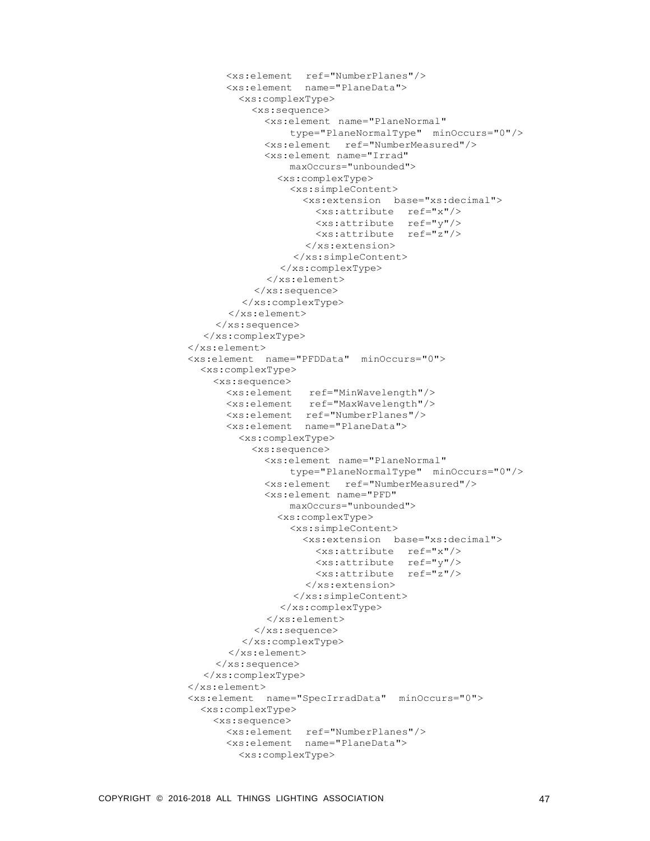```
<xs:element ref="NumberPlanes"/>
      <xs:element name="PlaneData">
        <xs:complexType>
          <xs:sequence>
            <xs:element name="PlaneNormal"
                 type="PlaneNormalType" minOccurs="0"/>
            <xs:element ref="NumberMeasured"/>
            <xs:element name="Irrad"
                maxOccurs="unbounded">
              <xs:complexType>
                 <xs:simpleContent>
                   <xs:extension base="xs:decimal">
                     <xs:attribute ref="x"/>
                     <xs:attribute ref="y"/>
                     <xs:attribute ref="z"/>
                   </xs:extension>
                 </xs:simpleContent>
               </xs:complexType>
             </xs:element>
           </xs:sequence>
         </xs:complexType>
      </xs:element>
    </xs:sequence>
  </xs:complexType>
</xs:element>
<xs:element name="PFDData" minOccurs="0">
  <xs:complexType>
    <xs:sequence>
      <xs:element ref="MinWavelength"/>
      <xs:element ref="MaxWavelength"/>
      <xs:element ref="NumberPlanes"/>
      <xs:element name="PlaneData">
        <xs:complexType>
          <xs:sequence>
            <xs:element name="PlaneNormal"
                type="PlaneNormalType" minOccurs="0"/>
            <xs:element ref="NumberMeasured"/>
            <xs:element name="PFD"
                maxOccurs="unbounded">
              <xs:complexType>
                <xs:simpleContent>
                   <xs:extension base="xs:decimal">
                     <xs:attribute ref="x"/>
                     <xs:attribute ref="y"/>
                     <xs:attribute ref="z"/>
                   </xs:extension>
                 </xs:simpleContent>
               </xs:complexType>
             </xs:element>
           </xs:sequence>
        </xs:complexType>
      </xs:element>
    </xs:sequence>
  </xs:complexType>
</xs:element>
<xs:element name="SpecIrradData" minOccurs="0">
  <xs:complexType>
    <xs:sequence>
      <xs:element ref="NumberPlanes"/>
      <xs:element name="PlaneData">
        <xs:complexType>
```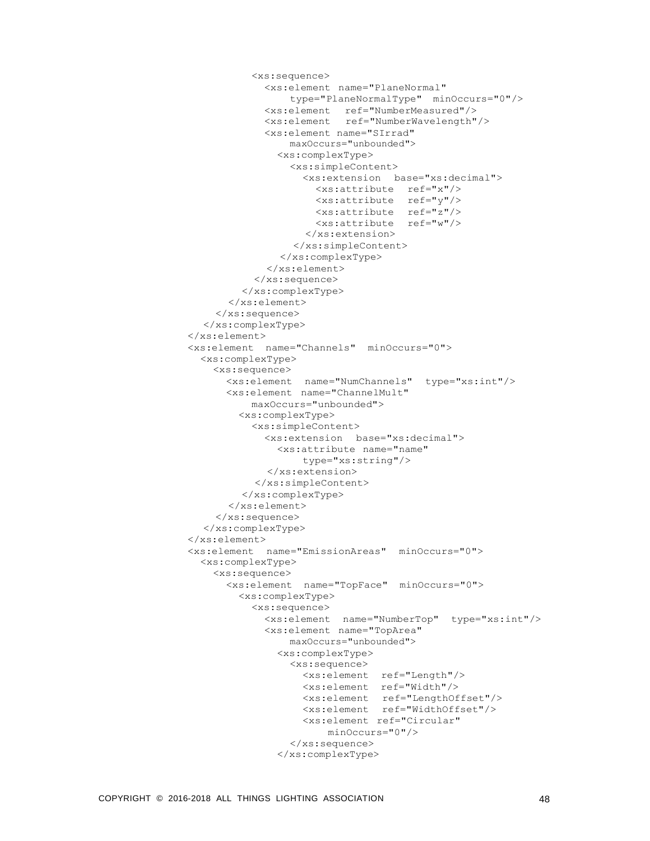```
<xs:sequence>
            <xs:element name="PlaneNormal"
                 type="PlaneNormalType" minOccurs="0"/>
            <xs:element ref="NumberMeasured"/>
            <xs:element ref="NumberWavelength"/>
            <xs:element name="SIrrad"
                maxOccurs="unbounded">
              <xs:complexType>
                 <xs:simpleContent>
                   <xs:extension base="xs:decimal">
                     <xs:attribute ref="x"/>
                     <xs:attribute ref="y"/>
                     <xs:attribute ref="z"/>
                     <xs:attribute ref="w"/>
                   </xs:extension>
                 </xs:simpleContent>
               </xs:complexType>
             </xs:element>
           </xs:sequence>
         </xs:complexType>
      </xs:element>
    </xs:sequence>
  </xs:complexType>
</xs:element>
<xs:element name="Channels" minOccurs="0">
  <xs:complexType>
    <xs:sequence>
      <xs:element name="NumChannels" type="xs:int"/>
      <xs:element name="ChannelMult"
          maxOccurs="unbounded">
        <xs:complexType>
          <xs:simpleContent>
            <xs:extension base="xs:decimal">
              <xs:attribute name="name"
                  type="xs:string"/>
             </xs:extension>
           </xs:simpleContent>
        </xs:complexType>
      </xs:element>
    </xs:sequence>
  </xs:complexType>
</xs:element>
<xs:element name="EmissionAreas" minOccurs="0">
  <xs:complexType>
    <xs:sequence>
      <xs:element name="TopFace" minOccurs="0">
        <xs:complexType>
          <xs:sequence>
            <xs:element name="NumberTop" type="xs:int"/>
            <xs:element name="TopArea"
                maxOccurs="unbounded">
              <xs:complexType>
                 <xs:sequence>
                   <xs:element ref="Length"/>
                   <xs:element ref="Width"/>
                   <xs:element ref="LengthOffset"/>
                  <xs:element ref="WidthOffset"/>
                   <xs:element ref="Circular"
                       minOccurs="0"/>
                 </xs:sequence>
               </xs:complexType>
```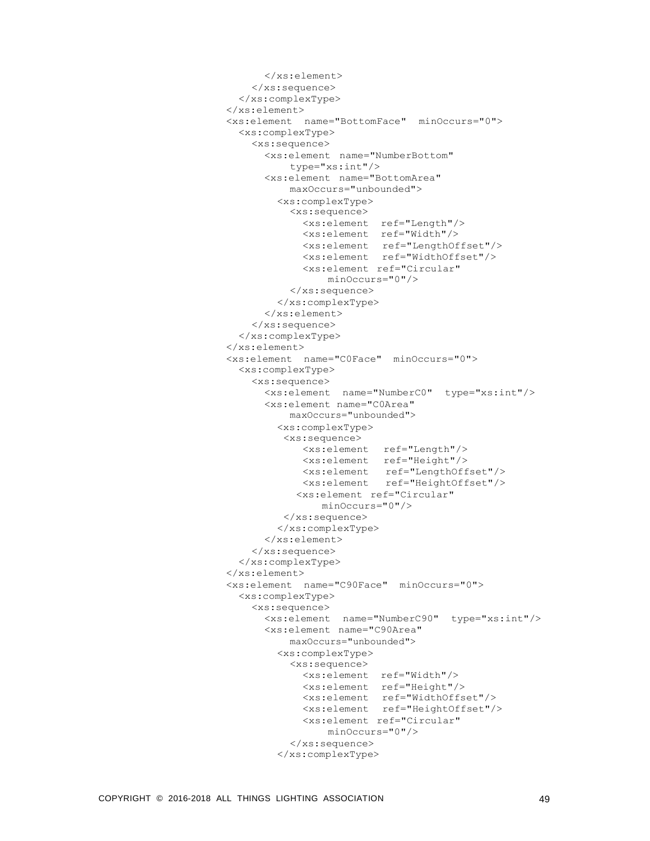```
</xs:element>
    </xs:sequence>
  </xs:complexType>
</xs:element>
<xs:element name="BottomFace" minOccurs="0">
  <xs:complexType>
    <xs:sequence>
      <xs:element name="NumberBottom"
         type="xs:int"/>
      <xs:element name="BottomArea"
          maxOccurs="unbounded">
        <xs:complexType>
          <xs:sequence>
            <xs:element ref="Length"/>
            <xs:element ref="Width"/>
            <xs:element ref="LengthOffset"/>
            <xs:element ref="WidthOffset"/>
            <xs:element ref="Circular"
                minOccurs="0"/>
          </xs:sequence>
        </xs:complexType>
      </xs:element>
    </xs:sequence>
  </xs:complexType>
</xs:element>
<xs:element name="C0Face" minOccurs="0">
  <xs:complexType>
    <xs:sequence>
      <xs:element name="NumberC0" type="xs:int"/>
      <xs:element name="C0Area"
          maxOccurs="unbounded">
        <xs:complexType>
         <xs:sequence>
            <xs:element ref="Length"/>
            <xs:element ref="Height"/>
            <xs:element ref="LengthOffset"/>
            <xs:element ref="HeightOffset"/>
           <xs:element ref="Circular"
               minOccurs="0"/>
         </xs:sequence>
        </xs:complexType>
      </xs:element>
    </xs:sequence>
  </xs:complexType>
</xs:element>
<xs:element name="C90Face" minOccurs="0">
  <xs:complexType>
    <xs:sequence>
      <xs:element name="NumberC90" type="xs:int"/>
      <xs:element name="C90Area"
          maxOccurs="unbounded">
        <xs:complexType>
          <xs:sequence>
            <xs:element ref="Width"/>
            <xs:element ref="Height"/>
            <xs:element ref="WidthOffset"/>
            <xs:element ref="HeightOffset"/>
            <xs:element ref="Circular"
                minOccurs="0"/>
          </xs:sequence>
        </xs:complexType>
```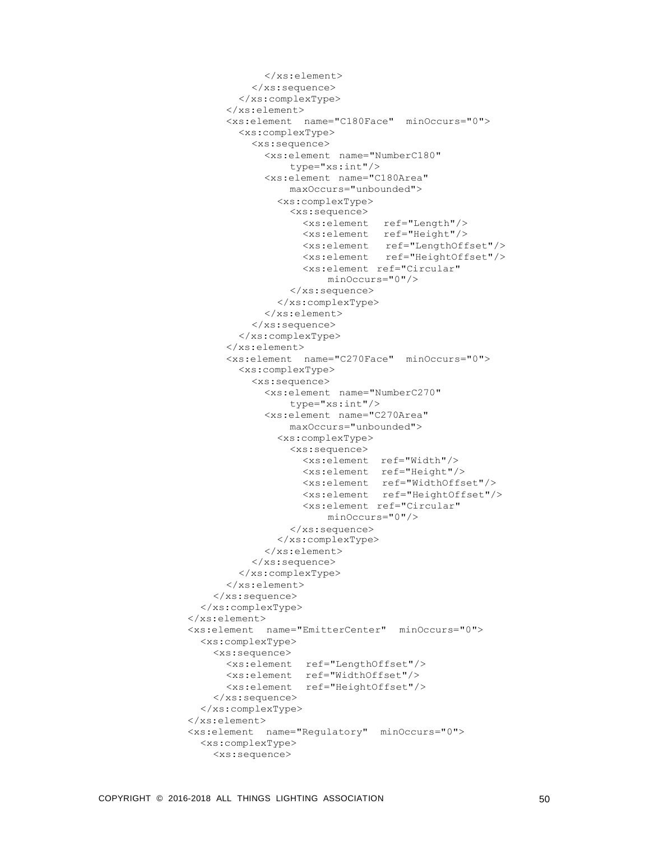```
</xs:element>
          </xs:sequence>
        </xs:complexType>
      </xs:element>
      <xs:element name="C180Face" minOccurs="0">
        <xs:complexType>
          <xs:sequence>
            <xs:element name="NumberC180"
                type="xs:int"/>
            <xs:element name="C180Area"
                maxOccurs="unbounded">
               <xs:complexType>
                 <xs:sequence>
                   <xs:element ref="Length"/>
                   <xs:element ref="Height"/>
                   <xs:element ref="LengthOffset"/>
                   <xs:element ref="HeightOffset"/>
                   <xs:element ref="Circular"
                       minOccurs="0"/>
                 </xs:sequence>
               </xs:complexType>
            </xs:element>
          </xs:sequence>
        </xs:complexType>
      </xs:element>
      <xs:element name="C270Face" minOccurs="0">
        <xs:complexType>
          <xs:sequence>
            <xs:element name="NumberC270"
                 type="xs:int"/>
             <xs:element name="C270Area"
                 maxOccurs="unbounded">
               <xs:complexType>
                 <xs:sequence>
                   <xs:element ref="Width"/>
                   <xs:element ref="Height"/>
                   <xs:element ref="WidthOffset"/>
                   <xs:element ref="HeightOffset"/>
                   <xs:element ref="Circular"
                       minOccurs="0"/>
                 </xs:sequence>
               </xs:complexType>
            </xs:element>
          </xs:sequence>
        </xs:complexType>
      </xs:element>
    </xs:sequence>
  </xs:complexType>
</xs:element>
<xs:element name="EmitterCenter" minOccurs="0">
  <xs:complexType>
    <xs:sequence>
      <xs:element ref="LengthOffset"/>
      <xs:element ref="WidthOffset"/>
      <xs:element ref="HeightOffset"/>
    </xs:sequence>
  </xs:complexType>
</xs:element>
<xs:element name="Regulatory" minOccurs="0">
  <xs:complexType>
    <xs:sequence>
```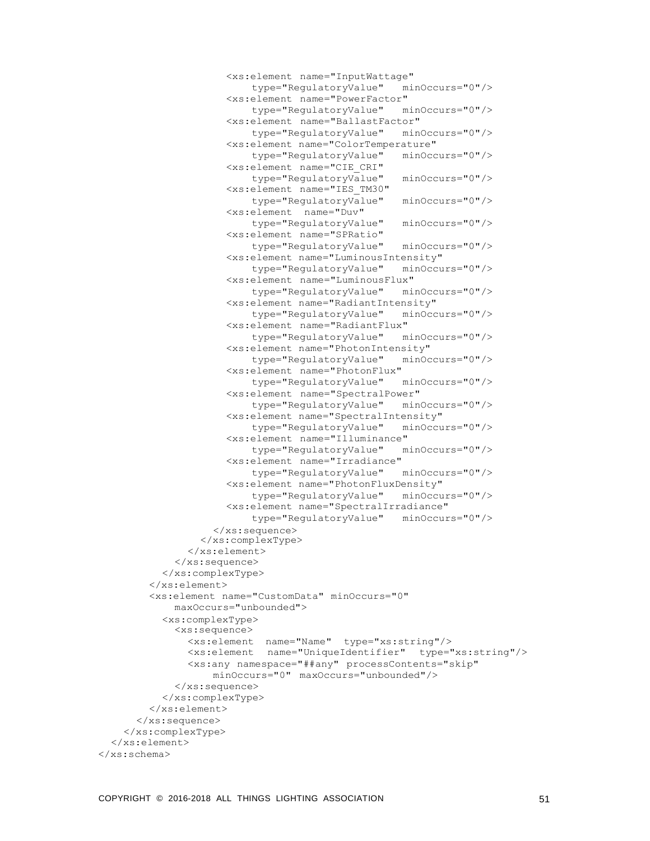```
<xs:element name="InputWattage"
                         type="RegulatoryValue" minOccurs="0"/>
                    <xs:element name="PowerFactor"
                         type="RegulatoryValue" minOccurs="0"/>
                    <xs:element name="BallastFactor"
                         type="RegulatoryValue" minOccurs="0"/>
                    <xs:element name="ColorTemperature"
                         type="RegulatoryValue" minOccurs="0"/>
                    <xs:element name="CIE_CRI"
                         type="RegulatoryValue" minOccurs="0"/>
                    <xs:element name="IES_TM30"
                         type="RegulatoryValue" minOccurs="0"/>
                    <xs:element name="Duv"
                         type="RegulatoryValue" minOccurs="0"/>
                    <xs:element name="SPRatio"
                         type="RegulatoryValue" minOccurs="0"/>
                    <xs:element name="LuminousIntensity"
                         type="RegulatoryValue" minOccurs="0"/>
                     <xs:element name="LuminousFlux"
                         type="RegulatoryValue" minOccurs="0"/>
                    <xs:element name="RadiantIntensity"
                         type="RegulatoryValue" minOccurs="0"/>
                    <xs:element name="RadiantFlux"
                         type="RegulatoryValue" minOccurs="0"/>
                    <xs:element name="PhotonIntensity"
                        type="RegulatoryValue" minOccurs="0"/>
                    <xs:element name="PhotonFlux"
                        type="RegulatoryValue" minOccurs="0"/>
                    <xs:element name="SpectralPower"
                         type="RegulatoryValue" minOccurs="0"/>
                    <xs:element name="SpectralIntensity"
                         type="RegulatoryValue" minOccurs="0"/>
                    <xs:element name="Illuminance"
                         type="RegulatoryValue"
                    <xs:element name="Irradiance"
                         type="RegulatoryValue" minOccurs="0"/>
                    <xs:element name="PhotonFluxDensity"
                         type="RegulatoryValue" minOccurs="0"/>
                    <xs:element name="SpectralIrradiance"
                         type="RegulatoryValue" minOccurs="0"/>
                  </xs:sequence>
                </xs:complexType>
              </xs:element>
            </xs:sequence>
          </xs:complexType>
        </xs:element>
        <xs:element name="CustomData" minOccurs="0"
            maxOccurs="unbounded">
          <xs:complexType>
            <xs:sequence>
              <xs:element name="Name" type="xs:string"/>
              <xs:element name="UniqueIdentifier" type="xs:string"/>
              <xs:any namespace="##any" processContents="skip"
                  minOccurs="0" maxOccurs="unbounded"/>
            \langle xs:sequence \rangle</xs:complexType>
        </xs:element>
      </xs:sequence>
    </xs:complexType>
  </xs:element>
</xs:schema>
```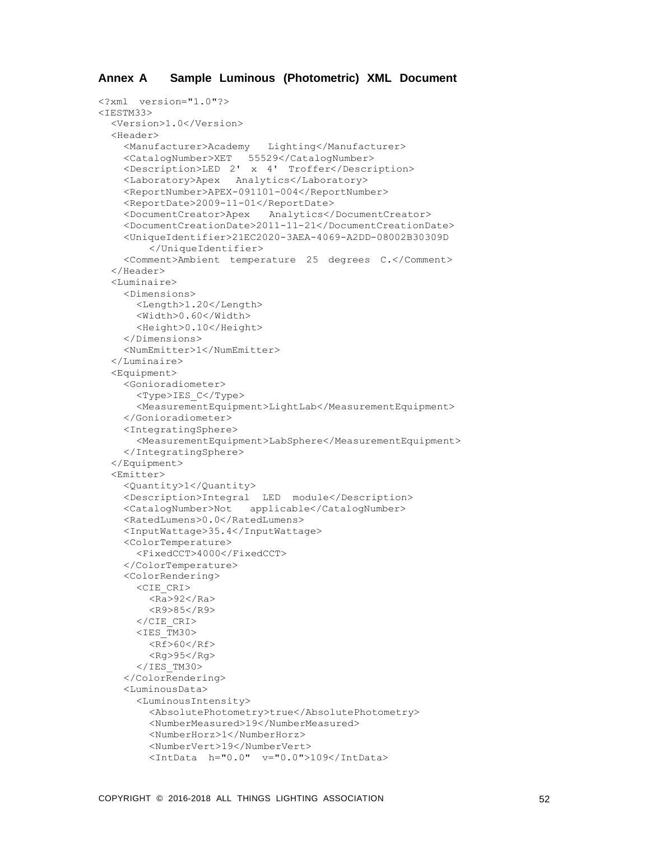```
<?xml version="1.0"?>
<TESTM33>
  <Version>1.0</Version>
  <Header>
    <Manufacturer>Academy Lighting</Manufacturer>
    <CatalogNumber>XET 55529</CatalogNumber>
    <Description>LED 2' x 4' Troffer</Description>
    <Laboratory>Apex Analytics</Laboratory>
    <ReportNumber>APEX-091101-004</ReportNumber>
    <ReportDate>2009-11-01</ReportDate>
    <DocumentCreator>Apex Analytics</DocumentCreator>
    <DocumentCreationDate>2011-11-21</DocumentCreationDate>
    <UniqueIdentifier>21EC2020-3AEA-4069-A2DD-08002B30309D
        </UniqueIdentifier>
    <Comment>Ambient temperature 25 degrees C.</Comment>
  </Header>
  <Luminaire>
    <Dimensions>
      <Length>1.20</Length>
      <Width>0.60</Width>
      <Height>0.10</Height>
    </Dimensions>
    <NumEmitter>1</NumEmitter>
  </Luminaire>
  <Equipment>
    <Gonioradiometer>
      <Type>IES_C</Type>
      <MeasurementEquipment>LightLab</MeasurementEquipment>
    </Gonioradiometer>
    <IntegratingSphere>
      <MeasurementEquipment>LabSphere</MeasurementEquipment>
    </IntegratingSphere>
  </Equipment>
  <Emitter>
    <Quantity>1</Quantity>
    <Description>Integral LED module</Description>
    <CatalogNumber>Not applicable</CatalogNumber>
    <RatedLumens>0.0</RatedLumens>
    <InputWattage>35.4</InputWattage>
    <ColorTemperature>
      <FixedCCT>4000</FixedCCT>
    </ColorTemperature>
    <ColorRendering>
      <CIE_CRI>
        <Ra>92</Ra>
        <R9>85</R9>
      \langle/CIE CRI>
      <IES TM30>
        <Rf>60</Rf>
        <Rg>95</Rg>
      </IES TM30>
    </ColorRendering>
    <LuminousData>
      <LuminousIntensity>
        <AbsolutePhotometry>true</AbsolutePhotometry>
        <NumberMeasured>19</NumberMeasured>
        <NumberHorz>1</NumberHorz>
        <NumberVert>19</NumberVert>
        <IntData h="0.0" v="0.0">109</IntData>
```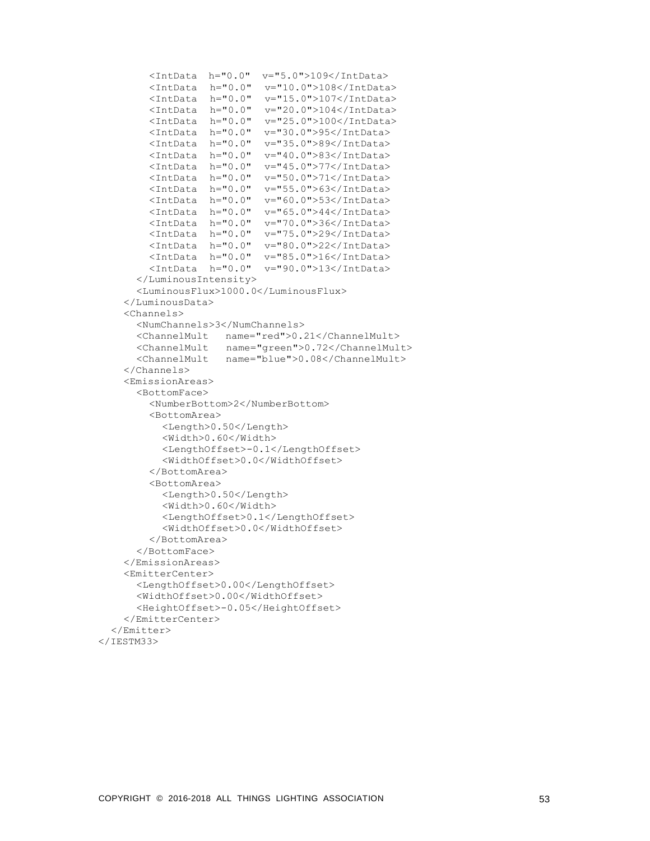```
<IntData h="0.0" v="5.0">109</IntData>
        <IntData h="0.0" v="10.0">108</IntData>
        <IntData h="0.0" v="15.0">107</IntData>
        <IntData h="0.0" v="20.0">104</IntData>
        <IntData h="0.0" v="25.0">100</IntData>
        <IntData h="0.0" v="30.0">95</IntData>
        <IntData h="0.0" v="35.0">89</IntData>
        <IntData h="0.0" v="40.0">83</IntData>
        <IntData h="0.0" v="45.0">77</IntData>
        <IntData h="0.0" v="50.0">71</IntData>
        <IntData h="0.0" v="55.0">63</IntData>
        <IntData h="0.0" v="60.0">53</IntData>
        <IntData h="0.0" v="65.0">44</IntData>
        <IntData h="0.0" v="70.0">36</IntData>
        <IntData h="0.0" v="75.0">29</IntData>
        <IntData h="0.0" v="80.0">22</IntData>
        <IntData h="0.0" v="85.0">16</IntData>
        <IntData h="0.0" v="90.0">13</IntData>
      </LuminousIntensity>
      <LuminousFlux>1000.0</LuminousFlux>
    </LuminousData>
    <Channels>
      <NumChannels>3</NumChannels>
      <ChannelMult name="red">0.21</ChannelMult>
      <ChannelMult name="green">0.72</ChannelMult>
      <ChannelMult name="blue">0.08</ChannelMult>
    </Channels>
    <EmissionAreas>
      <BottomFace>
        <NumberBottom>2</NumberBottom>
        <BottomArea>
          <Length>0.50</Length>
          <Width>0.60</Width>
          <LengthOffset>-0.1</LengthOffset>
          <WidthOffset>0.0</WidthOffset>
        </BottomArea>
        <BottomArea>
          <Length>0.50</Length>
          <Width>0.60</Width>
          <LengthOffset>0.1</LengthOffset>
          <WidthOffset>0.0</WidthOffset>
        </BottomArea>
      </BottomFace>
    </EmissionAreas>
    <EmitterCenter>
      <LengthOffset>0.00</LengthOffset>
      <WidthOffset>0.00</WidthOffset>
      <HeightOffset>-0.05</HeightOffset>
    </EmitterCenter>
  </Emitter>
</IESTM33>
```